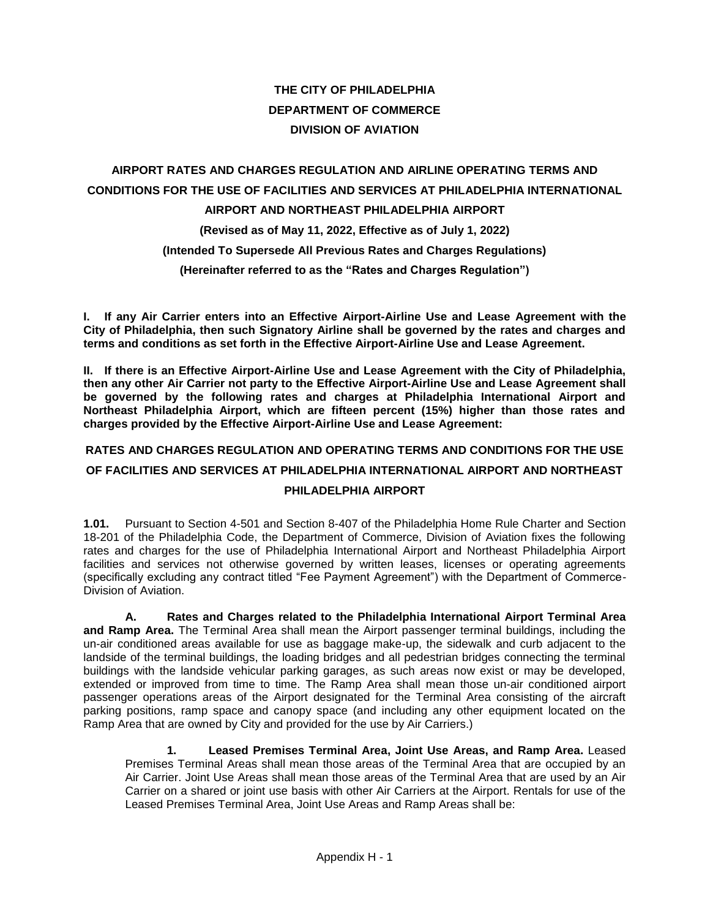# **THE CITY OF PHILADELPHIA DEPARTMENT OF COMMERCE DIVISION OF AVIATION**

# **AIRPORT RATES AND CHARGES REGULATION AND AIRLINE OPERATING TERMS AND CONDITIONS FOR THE USE OF FACILITIES AND SERVICES AT PHILADELPHIA INTERNATIONAL AIRPORT AND NORTHEAST PHILADELPHIA AIRPORT (Revised as of May 11, 2022, Effective as of July 1, 2022) (Intended To Supersede All Previous Rates and Charges Regulations) (Hereinafter referred to as the "Rates and Charges Regulation")**

**I. If any Air Carrier enters into an Effective Airport-Airline Use and Lease Agreement with the City of Philadelphia, then such Signatory Airline shall be governed by the rates and charges and terms and conditions as set forth in the Effective Airport-Airline Use and Lease Agreement.** 

**II. If there is an Effective Airport-Airline Use and Lease Agreement with the City of Philadelphia, then any other Air Carrier not party to the Effective Airport-Airline Use and Lease Agreement shall be governed by the following rates and charges at Philadelphia International Airport and Northeast Philadelphia Airport, which are fifteen percent (15%) higher than those rates and charges provided by the Effective Airport-Airline Use and Lease Agreement:**

## **RATES AND CHARGES REGULATION AND OPERATING TERMS AND CONDITIONS FOR THE USE OF FACILITIES AND SERVICES AT PHILADELPHIA INTERNATIONAL AIRPORT AND NORTHEAST PHILADELPHIA AIRPORT**

**1.01.** Pursuant to Section 4-501 and Section 8-407 of the Philadelphia Home Rule Charter and Section 18-201 of the Philadelphia Code, the Department of Commerce, Division of Aviation fixes the following rates and charges for the use of Philadelphia International Airport and Northeast Philadelphia Airport facilities and services not otherwise governed by written leases, licenses or operating agreements (specifically excluding any contract titled "Fee Payment Agreement") with the Department of Commerce-Division of Aviation.

**A. Rates and Charges related to the Philadelphia International Airport Terminal Area and Ramp Area.** The Terminal Area shall mean the Airport passenger terminal buildings, including the un-air conditioned areas available for use as baggage make-up, the sidewalk and curb adjacent to the landside of the terminal buildings, the loading bridges and all pedestrian bridges connecting the terminal buildings with the landside vehicular parking garages, as such areas now exist or may be developed, extended or improved from time to time. The Ramp Area shall mean those un-air conditioned airport passenger operations areas of the Airport designated for the Terminal Area consisting of the aircraft parking positions, ramp space and canopy space (and including any other equipment located on the Ramp Area that are owned by City and provided for the use by Air Carriers.)

**1. Leased Premises Terminal Area, Joint Use Areas, and Ramp Area.** Leased Premises Terminal Areas shall mean those areas of the Terminal Area that are occupied by an Air Carrier. Joint Use Areas shall mean those areas of the Terminal Area that are used by an Air Carrier on a shared or joint use basis with other Air Carriers at the Airport. Rentals for use of the Leased Premises Terminal Area, Joint Use Areas and Ramp Areas shall be: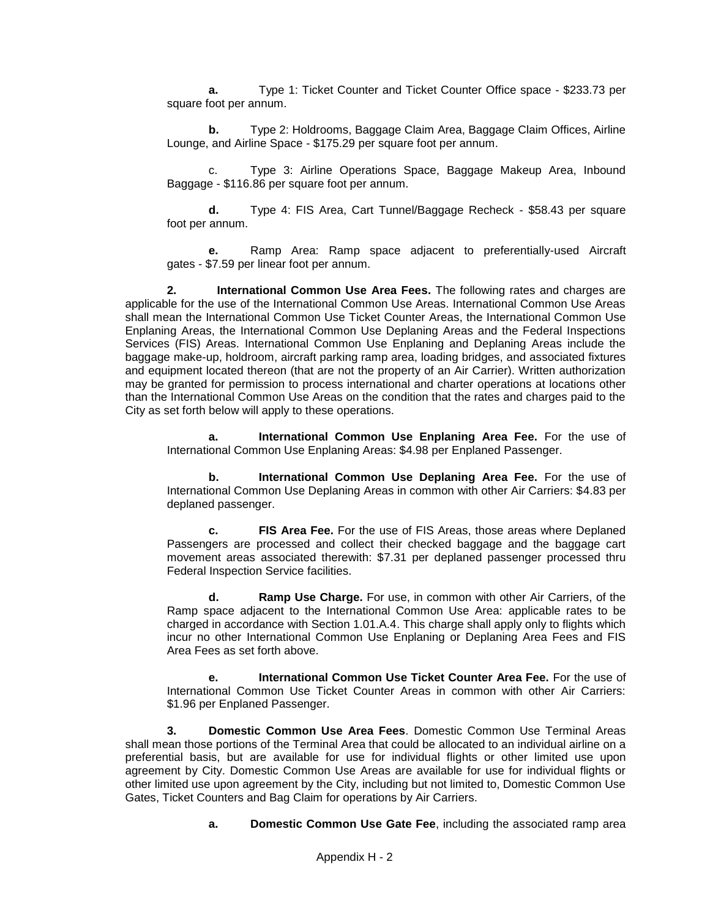**a.** Type 1: Ticket Counter and Ticket Counter Office space - \$233.73 per square foot per annum.

**b.** Type 2: Holdrooms, Baggage Claim Area, Baggage Claim Offices, Airline Lounge, and Airline Space - \$175.29 per square foot per annum.

c. Type 3: Airline Operations Space, Baggage Makeup Area, Inbound Baggage - \$116.86 per square foot per annum.

**d.** Type 4: FIS Area, Cart Tunnel/Baggage Recheck - \$58.43 per square foot per annum.

**e.** Ramp Area: Ramp space adjacent to preferentially-used Aircraft gates - \$7.59 per linear foot per annum.

**2. International Common Use Area Fees.** The following rates and charges are applicable for the use of the International Common Use Areas. International Common Use Areas shall mean the International Common Use Ticket Counter Areas, the International Common Use Enplaning Areas, the International Common Use Deplaning Areas and the Federal Inspections Services (FIS) Areas. International Common Use Enplaning and Deplaning Areas include the baggage make-up, holdroom, aircraft parking ramp area, loading bridges, and associated fixtures and equipment located thereon (that are not the property of an Air Carrier). Written authorization may be granted for permission to process international and charter operations at locations other than the International Common Use Areas on the condition that the rates and charges paid to the City as set forth below will apply to these operations.

**a. International Common Use Enplaning Area Fee.** For the use of International Common Use Enplaning Areas: \$4.98 per Enplaned Passenger.

**b. International Common Use Deplaning Area Fee.** For the use of International Common Use Deplaning Areas in common with other Air Carriers: \$4.83 per deplaned passenger.

**c. FIS Area Fee.** For the use of FIS Areas, those areas where Deplaned Passengers are processed and collect their checked baggage and the baggage cart movement areas associated therewith: \$7.31 per deplaned passenger processed thru Federal Inspection Service facilities.

**d. Ramp Use Charge.** For use, in common with other Air Carriers, of the Ramp space adjacent to the International Common Use Area: applicable rates to be charged in accordance with Section 1.01.A.4. This charge shall apply only to flights which incur no other International Common Use Enplaning or Deplaning Area Fees and FIS Area Fees as set forth above.

**e. International Common Use Ticket Counter Area Fee.** For the use of International Common Use Ticket Counter Areas in common with other Air Carriers: \$1.96 per Enplaned Passenger.

**3. Domestic Common Use Area Fees**. Domestic Common Use Terminal Areas shall mean those portions of the Terminal Area that could be allocated to an individual airline on a preferential basis, but are available for use for individual flights or other limited use upon agreement by City. Domestic Common Use Areas are available for use for individual flights or other limited use upon agreement by the City, including but not limited to, Domestic Common Use Gates, Ticket Counters and Bag Claim for operations by Air Carriers.

**a. Domestic Common Use Gate Fee**, including the associated ramp area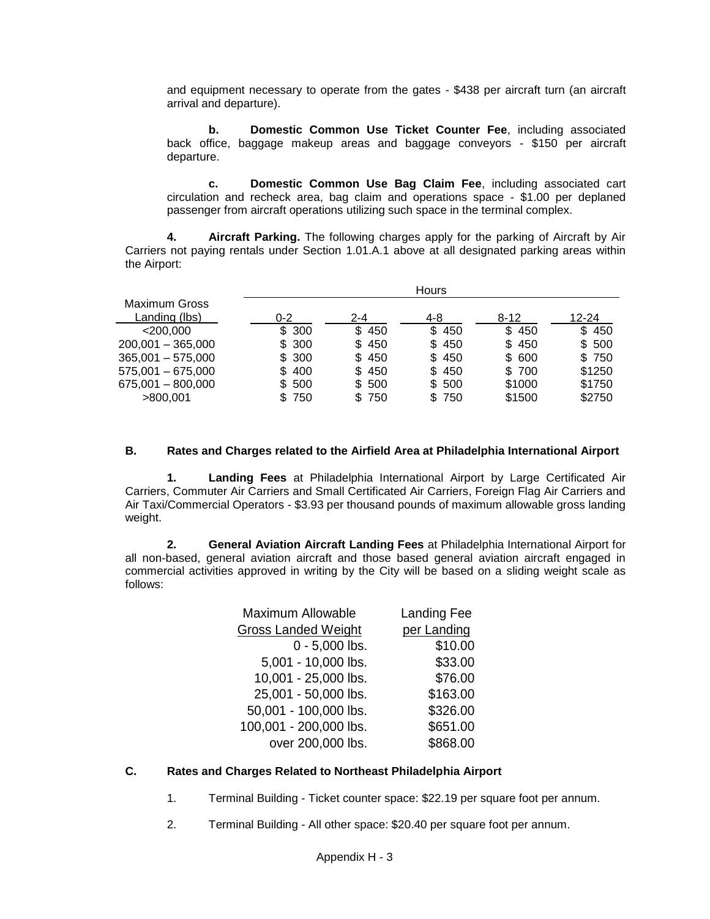and equipment necessary to operate from the gates - \$438 per aircraft turn (an aircraft arrival and departure).

**b. Domestic Common Use Ticket Counter Fee**, including associated back office, baggage makeup areas and baggage conveyors - \$150 per aircraft departure.

**c. Domestic Common Use Bag Claim Fee**, including associated cart circulation and recheck area, bag claim and operations space - \$1.00 per deplaned passenger from aircraft operations utilizing such space in the terminal complex.

**4. Aircraft Parking.** The following charges apply for the parking of Aircraft by Air Carriers not paying rentals under Section 1.01.A.1 above at all designated parking areas within the Airport:

|                      | <b>Hours</b> |         |            |          |        |
|----------------------|--------------|---------|------------|----------|--------|
| <b>Maximum Gross</b> |              |         |            |          |        |
| Landing (lbs)        | $0 - 2$      | $2 - 4$ | 4-8        | $8 - 12$ | 12-24  |
| $<$ 200.000          | \$300        | \$450   | \$450      | \$450    | \$450  |
| $200,001 - 365,000$  | \$300        | \$450   | \$450      | \$450    | \$500  |
| $365,001 - 575,000$  | \$300        | \$450   | \$450      | \$ 600   | \$750  |
| $575,001 - 675,000$  | \$400        | \$450   | \$450      | \$700    | \$1250 |
| 675,001 - 800,000    | \$500        | \$500   | \$500      | \$1000   | \$1750 |
| >800.001             | \$750        | \$750   | 750<br>SS. | \$1500   | \$2750 |

#### **B. Rates and Charges related to the Airfield Area at Philadelphia International Airport**

**1. Landing Fees** at Philadelphia International Airport by Large Certificated Air Carriers, Commuter Air Carriers and Small Certificated Air Carriers, Foreign Flag Air Carriers and Air Taxi/Commercial Operators - \$3.93 per thousand pounds of maximum allowable gross landing weight.

**2. General Aviation Aircraft Landing Fees** at Philadelphia International Airport for all non-based, general aviation aircraft and those based general aviation aircraft engaged in commercial activities approved in writing by the City will be based on a sliding weight scale as follows:

| <b>Maximum Allowable</b>   | <b>Landing Fee</b> |
|----------------------------|--------------------|
| <b>Gross Landed Weight</b> | per Landing        |
| $0 - 5,000$ lbs.           | \$10.00            |
| 5,001 - 10,000 lbs.        | \$33.00            |
| 10,001 - 25,000 lbs.       | \$76.00            |
| 25,001 - 50,000 lbs.       | \$163.00           |
| 50,001 - 100,000 lbs.      | \$326.00           |
| 100,001 - 200,000 lbs.     | \$651.00           |
| over 200,000 lbs.          | \$868.00           |
|                            |                    |

#### **C. Rates and Charges Related to Northeast Philadelphia Airport**

- 1. Terminal Building Ticket counter space: \$22.19 per square foot per annum.
- 2. Terminal Building All other space: \$20.40 per square foot per annum.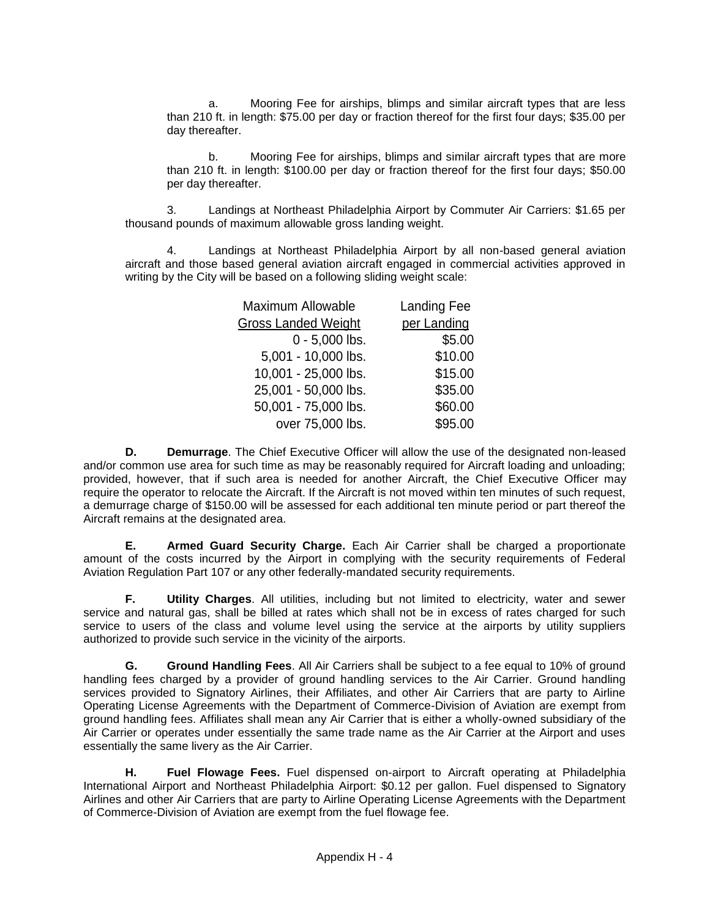a. Mooring Fee for airships, blimps and similar aircraft types that are less than 210 ft. in length: \$75.00 per day or fraction thereof for the first four days; \$35.00 per day thereafter.

b. Mooring Fee for airships, blimps and similar aircraft types that are more than 210 ft. in length: \$100.00 per day or fraction thereof for the first four days; \$50.00 per day thereafter.

3. Landings at Northeast Philadelphia Airport by Commuter Air Carriers: \$1.65 per thousand pounds of maximum allowable gross landing weight.

4. Landings at Northeast Philadelphia Airport by all non-based general aviation aircraft and those based general aviation aircraft engaged in commercial activities approved in writing by the City will be based on a following sliding weight scale:

| <b>Maximum Allowable</b>   | <b>Landing Fee</b> |
|----------------------------|--------------------|
| <b>Gross Landed Weight</b> | per Landing        |
| $0 - 5,000$ lbs.           | \$5.00             |
| 5,001 - 10,000 lbs.        | \$10.00            |
| 10,001 - 25,000 lbs.       | \$15.00            |
| 25,001 - 50,000 lbs.       | \$35.00            |
| 50,001 - 75,000 lbs.       | \$60.00            |
| over 75,000 lbs.           | \$95.00            |
|                            |                    |

**D. Demurrage**. The Chief Executive Officer will allow the use of the designated non-leased and/or common use area for such time as may be reasonably required for Aircraft loading and unloading; provided, however, that if such area is needed for another Aircraft, the Chief Executive Officer may require the operator to relocate the Aircraft. If the Aircraft is not moved within ten minutes of such request, a demurrage charge of \$150.00 will be assessed for each additional ten minute period or part thereof the Aircraft remains at the designated area.

**E. Armed Guard Security Charge.** Each Air Carrier shall be charged a proportionate amount of the costs incurred by the Airport in complying with the security requirements of Federal Aviation Regulation Part 107 or any other federally-mandated security requirements.

**F. Utility Charges**. All utilities, including but not limited to electricity, water and sewer service and natural gas, shall be billed at rates which shall not be in excess of rates charged for such service to users of the class and volume level using the service at the airports by utility suppliers authorized to provide such service in the vicinity of the airports.

**G. Ground Handling Fees**. All Air Carriers shall be subject to a fee equal to 10% of ground handling fees charged by a provider of ground handling services to the Air Carrier. Ground handling services provided to Signatory Airlines, their Affiliates, and other Air Carriers that are party to Airline Operating License Agreements with the Department of Commerce-Division of Aviation are exempt from ground handling fees. Affiliates shall mean any Air Carrier that is either a wholly-owned subsidiary of the Air Carrier or operates under essentially the same trade name as the Air Carrier at the Airport and uses essentially the same livery as the Air Carrier.

**H. Fuel Flowage Fees.** Fuel dispensed on-airport to Aircraft operating at Philadelphia International Airport and Northeast Philadelphia Airport: \$0.12 per gallon. Fuel dispensed to Signatory Airlines and other Air Carriers that are party to Airline Operating License Agreements with the Department of Commerce-Division of Aviation are exempt from the fuel flowage fee.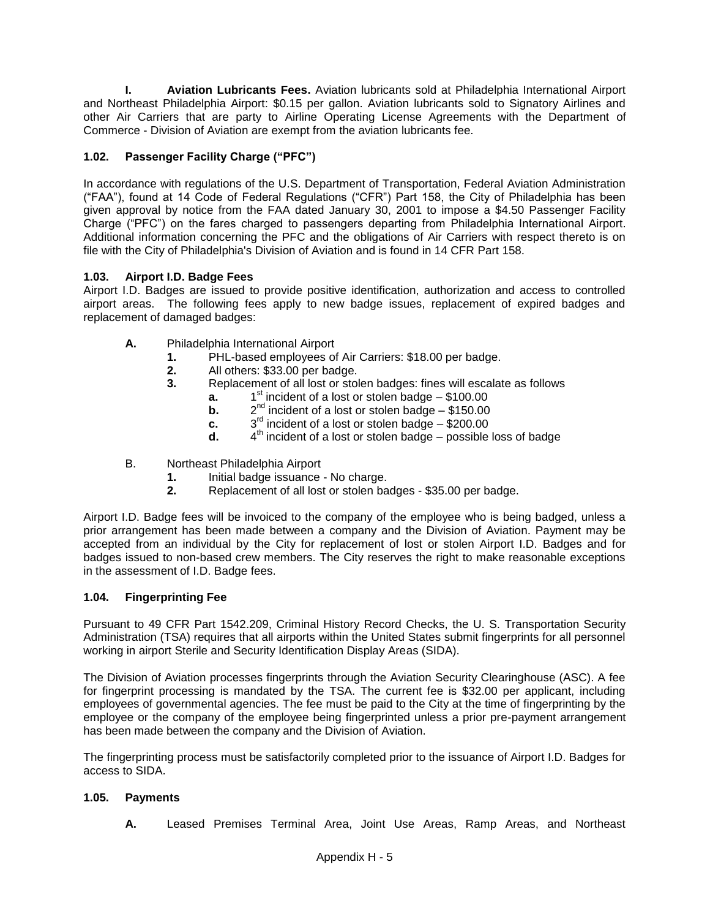**I. Aviation Lubricants Fees.** Aviation lubricants sold at Philadelphia International Airport and Northeast Philadelphia Airport: \$0.15 per gallon. Aviation lubricants sold to Signatory Airlines and other Air Carriers that are party to Airline Operating License Agreements with the Department of Commerce - Division of Aviation are exempt from the aviation lubricants fee.

## **1.02. Passenger Facility Charge ("PFC")**

In accordance with regulations of the U.S. Department of Transportation, Federal Aviation Administration ("FAA"), found at 14 Code of Federal Regulations ("CFR") Part 158, the City of Philadelphia has been given approval by notice from the FAA dated January 30, 2001 to impose a \$4.50 Passenger Facility Charge ("PFC") on the fares charged to passengers departing from Philadelphia International Airport. Additional information concerning the PFC and the obligations of Air Carriers with respect thereto is on file with the City of Philadelphia's Division of Aviation and is found in 14 CFR Part 158.

## **1.03. Airport I.D. Badge Fees**

Airport I.D. Badges are issued to provide positive identification, authorization and access to controlled airport areas. The following fees apply to new badge issues, replacement of expired badges and replacement of damaged badges:

- **A.** Philadelphia International Airport
	- **1.** PHL-based employees of Air Carriers: \$18.00 per badge.
	- **2.** All others: \$33.00 per badge.
	- **3.** Replacement of all lost or stolen badges: fines will escalate as follows
		- **a.** 1  $1<sup>st</sup>$  incident of a lost or stolen badge – \$100.00
		- **b.** 2  $2^{nd}$  incident of a lost or stolen badge - \$150.00
		- **c.** 3  $3<sup>rd</sup>$  incident of a lost or stolen badge – \$200.00
		- **d.** 4  $4<sup>th</sup>$  incident of a lost or stolen badge – possible loss of badge
- B. Northeast Philadelphia Airport
	- **1.** Initial badge issuance No charge.
	- **2.** Replacement of all lost or stolen badges \$35.00 per badge.

Airport I.D. Badge fees will be invoiced to the company of the employee who is being badged, unless a prior arrangement has been made between a company and the Division of Aviation. Payment may be accepted from an individual by the City for replacement of lost or stolen Airport I.D. Badges and for badges issued to non-based crew members. The City reserves the right to make reasonable exceptions in the assessment of I.D. Badge fees.

#### **1.04. Fingerprinting Fee**

Pursuant to 49 CFR Part 1542.209, Criminal History Record Checks, the U. S. Transportation Security Administration (TSA) requires that all airports within the United States submit fingerprints for all personnel working in airport Sterile and Security Identification Display Areas (SIDA).

The Division of Aviation processes fingerprints through the Aviation Security Clearinghouse (ASC). A fee for fingerprint processing is mandated by the TSA. The current fee is \$32.00 per applicant, including employees of governmental agencies. The fee must be paid to the City at the time of fingerprinting by the employee or the company of the employee being fingerprinted unless a prior pre-payment arrangement has been made between the company and the Division of Aviation.

The fingerprinting process must be satisfactorily completed prior to the issuance of Airport I.D. Badges for access to SIDA.

#### **1.05. Payments**

**A.** Leased Premises Terminal Area, Joint Use Areas, Ramp Areas, and Northeast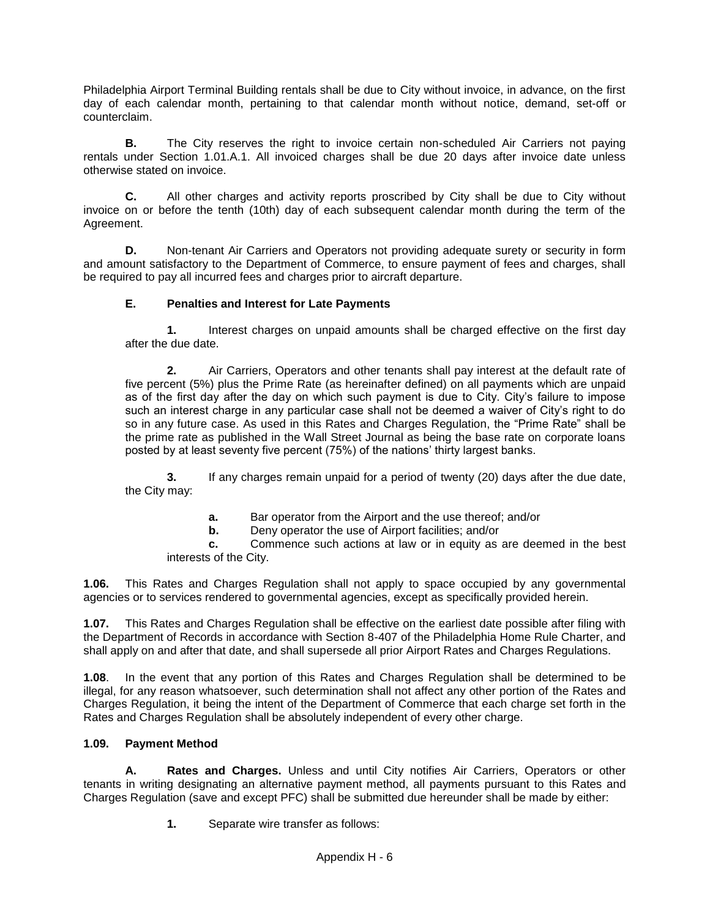Philadelphia Airport Terminal Building rentals shall be due to City without invoice, in advance, on the first day of each calendar month, pertaining to that calendar month without notice, demand, set-off or counterclaim.

**B.** The City reserves the right to invoice certain non-scheduled Air Carriers not paying rentals under Section 1.01.A.1. All invoiced charges shall be due 20 days after invoice date unless otherwise stated on invoice.

**C.** All other charges and activity reports proscribed by City shall be due to City without invoice on or before the tenth (10th) day of each subsequent calendar month during the term of the Agreement.

**D.** Non-tenant Air Carriers and Operators not providing adequate surety or security in form and amount satisfactory to the Department of Commerce, to ensure payment of fees and charges, shall be required to pay all incurred fees and charges prior to aircraft departure.

## **E. Penalties and Interest for Late Payments**

**1.** Interest charges on unpaid amounts shall be charged effective on the first day after the due date.

**2.** Air Carriers, Operators and other tenants shall pay interest at the default rate of five percent (5%) plus the Prime Rate (as hereinafter defined) on all payments which are unpaid as of the first day after the day on which such payment is due to City. City's failure to impose such an interest charge in any particular case shall not be deemed a waiver of City's right to do so in any future case. As used in this Rates and Charges Regulation, the "Prime Rate" shall be the prime rate as published in the Wall Street Journal as being the base rate on corporate loans posted by at least seventy five percent (75%) of the nations' thirty largest banks.

**3.** If any charges remain unpaid for a period of twenty (20) days after the due date, the City may:

**a.** Bar operator from the Airport and the use thereof; and/or

**b.** Deny operator the use of Airport facilities; and/or

**c.** Commence such actions at law or in equity as are deemed in the best interests of the City.

**1.06.** This Rates and Charges Regulation shall not apply to space occupied by any governmental agencies or to services rendered to governmental agencies, except as specifically provided herein.

**1.07.** This Rates and Charges Regulation shall be effective on the earliest date possible after filing with the Department of Records in accordance with Section 8-407 of the Philadelphia Home Rule Charter, and shall apply on and after that date, and shall supersede all prior Airport Rates and Charges Regulations.

**1.08**. In the event that any portion of this Rates and Charges Regulation shall be determined to be illegal, for any reason whatsoever, such determination shall not affect any other portion of the Rates and Charges Regulation, it being the intent of the Department of Commerce that each charge set forth in the Rates and Charges Regulation shall be absolutely independent of every other charge.

#### **1.09. Payment Method**

**A. Rates and Charges.** Unless and until City notifies Air Carriers, Operators or other tenants in writing designating an alternative payment method, all payments pursuant to this Rates and Charges Regulation (save and except PFC) shall be submitted due hereunder shall be made by either:

**1.** Separate wire transfer as follows: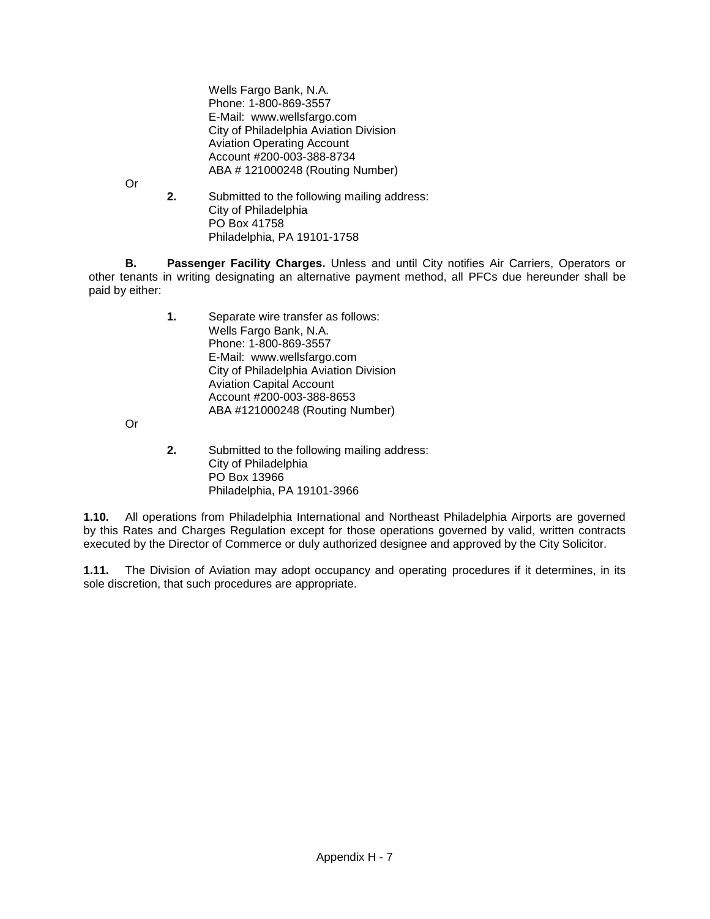Wells Fargo Bank, N.A. Phone: 1-800-869-3557 E-Mail: www.wellsfargo.com City of Philadelphia Aviation Division Aviation Operating Account Account #200-003-388-8734 ABA # 121000248 (Routing Number)

Or

**2.** Submitted to the following mailing address: City of Philadelphia PO Box 41758 Philadelphia, PA 19101-1758

**B. Passenger Facility Charges.** Unless and until City notifies Air Carriers, Operators or other tenants in writing designating an alternative payment method, all PFCs due hereunder shall be paid by either:

> **1.** Separate wire transfer as follows: Wells Fargo Bank, N.A. Phone: 1-800-869-3557 E-Mail: www.wellsfargo.com City of Philadelphia Aviation Division Aviation Capital Account Account #200-003-388-8653 ABA #121000248 (Routing Number)

Or

**2.** Submitted to the following mailing address: City of Philadelphia PO Box 13966 Philadelphia, PA 19101-3966

**1.10.** All operations from Philadelphia International and Northeast Philadelphia Airports are governed by this Rates and Charges Regulation except for those operations governed by valid, written contracts executed by the Director of Commerce or duly authorized designee and approved by the City Solicitor.

**1.11.** The Division of Aviation may adopt occupancy and operating procedures if it determines, in its sole discretion, that such procedures are appropriate.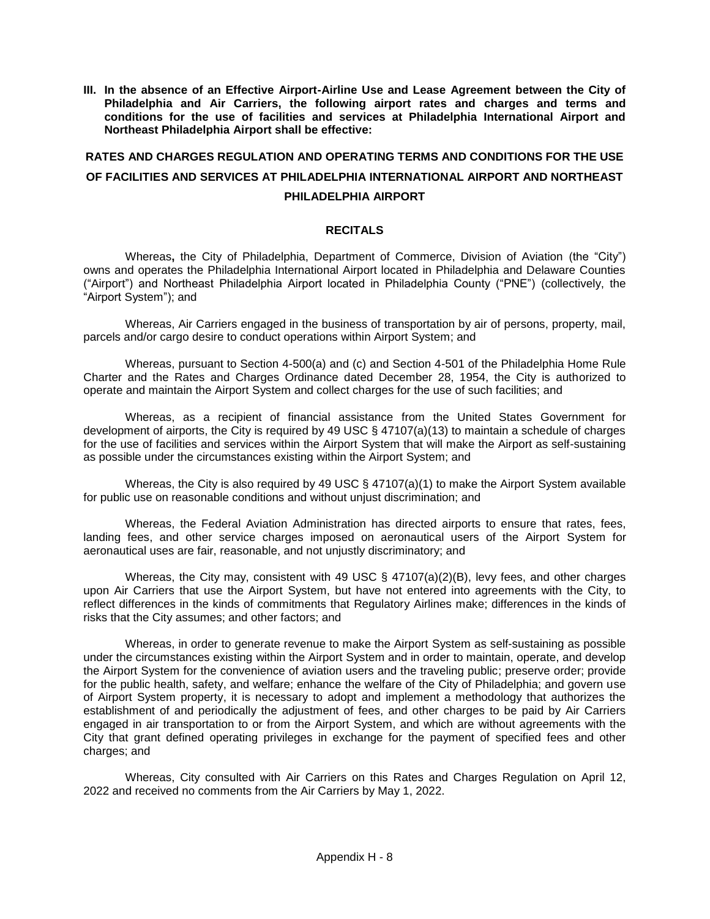**III. In the absence of an Effective Airport-Airline Use and Lease Agreement between the City of Philadelphia and Air Carriers, the following airport rates and charges and terms and conditions for the use of facilities and services at Philadelphia International Airport and Northeast Philadelphia Airport shall be effective:**

## **RATES AND CHARGES REGULATION AND OPERATING TERMS AND CONDITIONS FOR THE USE OF FACILITIES AND SERVICES AT PHILADELPHIA INTERNATIONAL AIRPORT AND NORTHEAST PHILADELPHIA AIRPORT**

#### **RECITALS**

Whereas**,** the City of Philadelphia, Department of Commerce, Division of Aviation (the "City") owns and operates the Philadelphia International Airport located in Philadelphia and Delaware Counties ("Airport") and Northeast Philadelphia Airport located in Philadelphia County ("PNE") (collectively, the "Airport System"); and

Whereas, Air Carriers engaged in the business of transportation by air of persons, property, mail, parcels and/or cargo desire to conduct operations within Airport System; and

Whereas, pursuant to Section 4-500(a) and (c) and Section 4-501 of the Philadelphia Home Rule Charter and the Rates and Charges Ordinance dated December 28, 1954, the City is authorized to operate and maintain the Airport System and collect charges for the use of such facilities; and

Whereas, as a recipient of financial assistance from the United States Government for development of airports, the City is required by 49 USC § 47107(a)(13) to maintain a schedule of charges for the use of facilities and services within the Airport System that will make the Airport as self-sustaining as possible under the circumstances existing within the Airport System; and

Whereas, the City is also required by 49 USC  $\S$  47107(a)(1) to make the Airport System available for public use on reasonable conditions and without unjust discrimination; and

Whereas, the Federal Aviation Administration has directed airports to ensure that rates, fees, landing fees, and other service charges imposed on aeronautical users of the Airport System for aeronautical uses are fair, reasonable, and not unjustly discriminatory; and

Whereas, the City may, consistent with 49 USC § 47107(a)(2)(B), levy fees, and other charges upon Air Carriers that use the Airport System, but have not entered into agreements with the City, to reflect differences in the kinds of commitments that Regulatory Airlines make; differences in the kinds of risks that the City assumes; and other factors; and

Whereas, in order to generate revenue to make the Airport System as self-sustaining as possible under the circumstances existing within the Airport System and in order to maintain, operate, and develop the Airport System for the convenience of aviation users and the traveling public; preserve order; provide for the public health, safety, and welfare; enhance the welfare of the City of Philadelphia; and govern use of Airport System property, it is necessary to adopt and implement a methodology that authorizes the establishment of and periodically the adjustment of fees, and other charges to be paid by Air Carriers engaged in air transportation to or from the Airport System, and which are without agreements with the City that grant defined operating privileges in exchange for the payment of specified fees and other charges; and

Whereas, City consulted with Air Carriers on this Rates and Charges Regulation on April 12, 2022 and received no comments from the Air Carriers by May 1, 2022.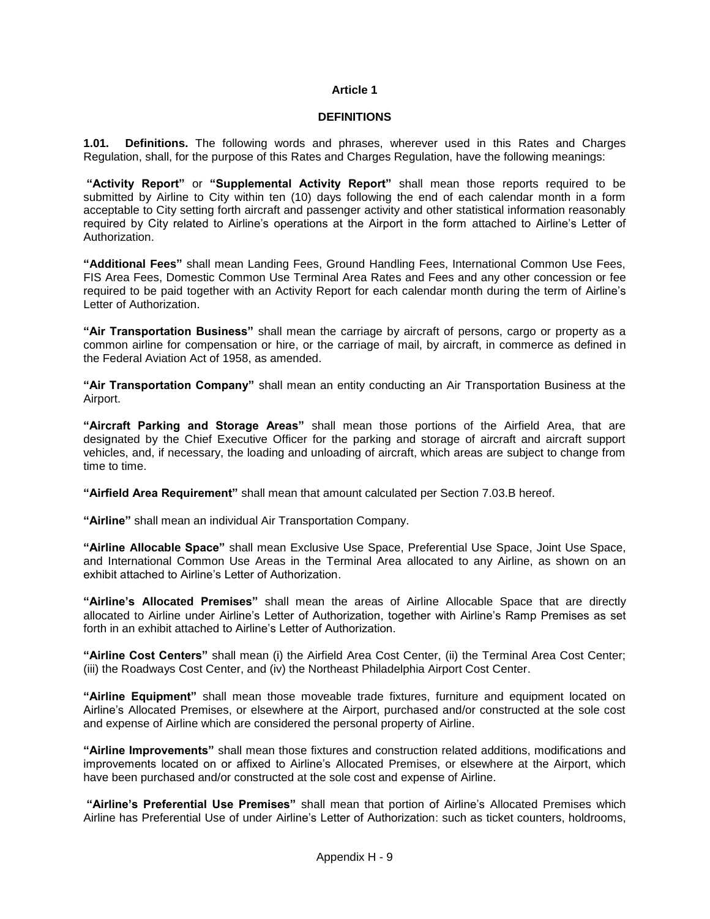#### **Article 1**

#### **DEFINITIONS**

**1.01. Definitions.** The following words and phrases, wherever used in this Rates and Charges Regulation, shall, for the purpose of this Rates and Charges Regulation, have the following meanings:

**"Activity Report"** or **"Supplemental Activity Report"** shall mean those reports required to be submitted by Airline to City within ten (10) days following the end of each calendar month in a form acceptable to City setting forth aircraft and passenger activity and other statistical information reasonably required by City related to Airline's operations at the Airport in the form attached to Airline's Letter of Authorization.

**"Additional Fees"** shall mean Landing Fees, Ground Handling Fees, International Common Use Fees, FIS Area Fees, Domestic Common Use Terminal Area Rates and Fees and any other concession or fee required to be paid together with an Activity Report for each calendar month during the term of Airline's Letter of Authorization.

**"Air Transportation Business"** shall mean the carriage by aircraft of persons, cargo or property as a common airline for compensation or hire, or the carriage of mail, by aircraft, in commerce as defined in the Federal Aviation Act of 1958, as amended.

**"Air Transportation Company"** shall mean an entity conducting an Air Transportation Business at the Airport.

**"Aircraft Parking and Storage Areas"** shall mean those portions of the Airfield Area, that are designated by the Chief Executive Officer for the parking and storage of aircraft and aircraft support vehicles, and, if necessary, the loading and unloading of aircraft, which areas are subject to change from time to time.

**"Airfield Area Requirement"** shall mean that amount calculated per Section 7.03.B hereof.

**"Airline"** shall mean an individual Air Transportation Company.

**"Airline Allocable Space"** shall mean Exclusive Use Space, Preferential Use Space, Joint Use Space, and International Common Use Areas in the Terminal Area allocated to any Airline, as shown on an exhibit attached to Airline's Letter of Authorization.

**"Airline's Allocated Premises"** shall mean the areas of Airline Allocable Space that are directly allocated to Airline under Airline's Letter of Authorization, together with Airline's Ramp Premises as set forth in an exhibit attached to Airline's Letter of Authorization.

**"Airline Cost Centers"** shall mean (i) the Airfield Area Cost Center, (ii) the Terminal Area Cost Center; (iii) the Roadways Cost Center, and (iv) the Northeast Philadelphia Airport Cost Center.

**"Airline Equipment"** shall mean those moveable trade fixtures, furniture and equipment located on Airline's Allocated Premises, or elsewhere at the Airport, purchased and/or constructed at the sole cost and expense of Airline which are considered the personal property of Airline.

**"Airline Improvements"** shall mean those fixtures and construction related additions, modifications and improvements located on or affixed to Airline's Allocated Premises, or elsewhere at the Airport, which have been purchased and/or constructed at the sole cost and expense of Airline.

**"Airline's Preferential Use Premises"** shall mean that portion of Airline's Allocated Premises which Airline has Preferential Use of under Airline's Letter of Authorization: such as ticket counters, holdrooms,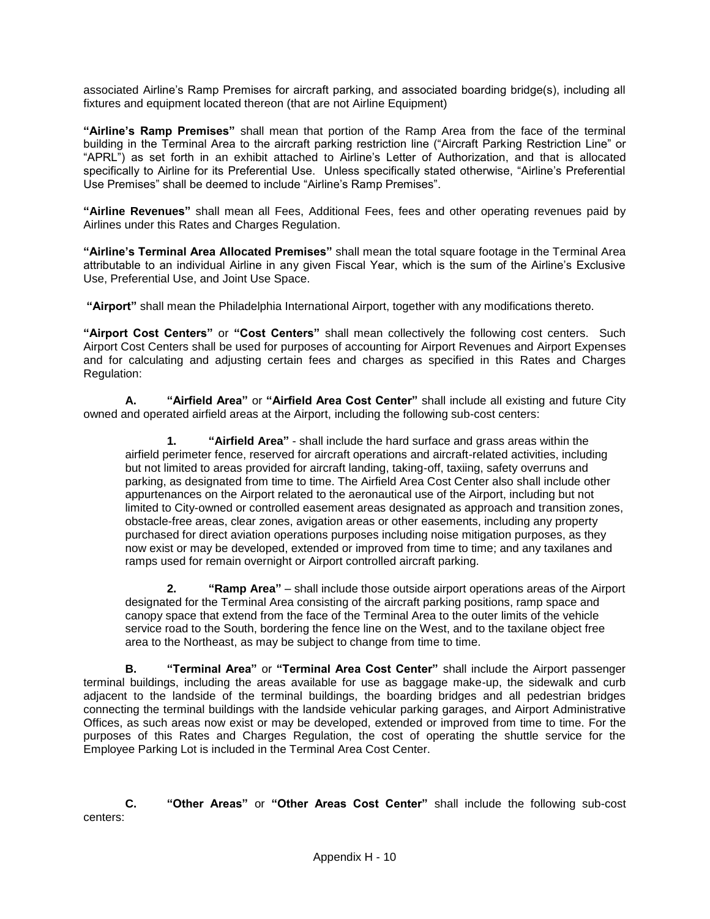associated Airline's Ramp Premises for aircraft parking, and associated boarding bridge(s), including all fixtures and equipment located thereon (that are not Airline Equipment)

**"Airline's Ramp Premises"** shall mean that portion of the Ramp Area from the face of the terminal building in the Terminal Area to the aircraft parking restriction line ("Aircraft Parking Restriction Line" or "APRL") as set forth in an exhibit attached to Airline's Letter of Authorization, and that is allocated specifically to Airline for its Preferential Use. Unless specifically stated otherwise, "Airline's Preferential Use Premises" shall be deemed to include "Airline's Ramp Premises".

**"Airline Revenues"** shall mean all Fees, Additional Fees, fees and other operating revenues paid by Airlines under this Rates and Charges Regulation.

**"Airline's Terminal Area Allocated Premises"** shall mean the total square footage in the Terminal Area attributable to an individual Airline in any given Fiscal Year, which is the sum of the Airline's Exclusive Use, Preferential Use, and Joint Use Space.

**"Airport"** shall mean the Philadelphia International Airport, together with any modifications thereto.

**"Airport Cost Centers"** or **"Cost Centers"** shall mean collectively the following cost centers. Such Airport Cost Centers shall be used for purposes of accounting for Airport Revenues and Airport Expenses and for calculating and adjusting certain fees and charges as specified in this Rates and Charges Regulation:

**A. "Airfield Area"** or **"Airfield Area Cost Center"** shall include all existing and future City owned and operated airfield areas at the Airport, including the following sub-cost centers:

**1. "Airfield Area"** - shall include the hard surface and grass areas within the airfield perimeter fence, reserved for aircraft operations and aircraft-related activities, including but not limited to areas provided for aircraft landing, taking-off, taxiing, safety overruns and parking, as designated from time to time. The Airfield Area Cost Center also shall include other appurtenances on the Airport related to the aeronautical use of the Airport, including but not limited to City-owned or controlled easement areas designated as approach and transition zones, obstacle-free areas, clear zones, avigation areas or other easements, including any property purchased for direct aviation operations purposes including noise mitigation purposes, as they now exist or may be developed, extended or improved from time to time; and any taxilanes and ramps used for remain overnight or Airport controlled aircraft parking.

**2. "Ramp Area"** – shall include those outside airport operations areas of the Airport designated for the Terminal Area consisting of the aircraft parking positions, ramp space and canopy space that extend from the face of the Terminal Area to the outer limits of the vehicle service road to the South, bordering the fence line on the West, and to the taxilane object free area to the Northeast, as may be subject to change from time to time.

**B. "Terminal Area"** or **"Terminal Area Cost Center"** shall include the Airport passenger terminal buildings, including the areas available for use as baggage make-up, the sidewalk and curb adjacent to the landside of the terminal buildings, the boarding bridges and all pedestrian bridges connecting the terminal buildings with the landside vehicular parking garages, and Airport Administrative Offices, as such areas now exist or may be developed, extended or improved from time to time. For the purposes of this Rates and Charges Regulation, the cost of operating the shuttle service for the Employee Parking Lot is included in the Terminal Area Cost Center.

**C. "Other Areas"** or **"Other Areas Cost Center"** shall include the following sub-cost centers: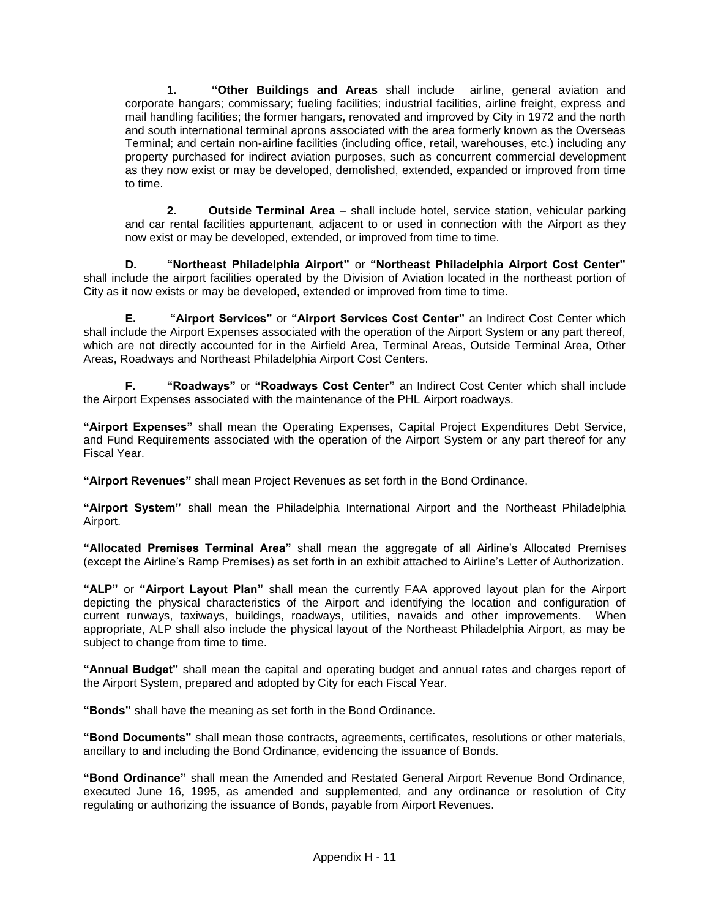**1. "Other Buildings and Areas** shall include airline, general aviation and corporate hangars; commissary; fueling facilities; industrial facilities, airline freight, express and mail handling facilities; the former hangars, renovated and improved by City in 1972 and the north and south international terminal aprons associated with the area formerly known as the Overseas Terminal; and certain non-airline facilities (including office, retail, warehouses, etc.) including any property purchased for indirect aviation purposes, such as concurrent commercial development as they now exist or may be developed, demolished, extended, expanded or improved from time to time.

**2. Outside Terminal Area** – shall include hotel, service station, vehicular parking and car rental facilities appurtenant, adjacent to or used in connection with the Airport as they now exist or may be developed, extended, or improved from time to time.

**D. "Northeast Philadelphia Airport"** or **"Northeast Philadelphia Airport Cost Center"** shall include the airport facilities operated by the Division of Aviation located in the northeast portion of City as it now exists or may be developed, extended or improved from time to time.

**E. "Airport Services"** or **"Airport Services Cost Center"** an Indirect Cost Center which shall include the Airport Expenses associated with the operation of the Airport System or any part thereof, which are not directly accounted for in the Airfield Area, Terminal Areas, Outside Terminal Area, Other Areas, Roadways and Northeast Philadelphia Airport Cost Centers.

**F. "Roadways"** or **"Roadways Cost Center"** an Indirect Cost Center which shall include the Airport Expenses associated with the maintenance of the PHL Airport roadways.

**"Airport Expenses"** shall mean the Operating Expenses, Capital Project Expenditures Debt Service, and Fund Requirements associated with the operation of the Airport System or any part thereof for any Fiscal Year.

**"Airport Revenues"** shall mean Project Revenues as set forth in the Bond Ordinance.

**"Airport System"** shall mean the Philadelphia International Airport and the Northeast Philadelphia Airport.

**"Allocated Premises Terminal Area"** shall mean the aggregate of all Airline's Allocated Premises (except the Airline's Ramp Premises) as set forth in an exhibit attached to Airline's Letter of Authorization.

**"ALP"** or **"Airport Layout Plan"** shall mean the currently FAA approved layout plan for the Airport depicting the physical characteristics of the Airport and identifying the location and configuration of current runways, taxiways, buildings, roadways, utilities, navaids and other improvements. When appropriate, ALP shall also include the physical layout of the Northeast Philadelphia Airport, as may be subject to change from time to time.

**"Annual Budget"** shall mean the capital and operating budget and annual rates and charges report of the Airport System, prepared and adopted by City for each Fiscal Year.

**"Bonds"** shall have the meaning as set forth in the Bond Ordinance.

**"Bond Documents"** shall mean those contracts, agreements, certificates, resolutions or other materials, ancillary to and including the Bond Ordinance, evidencing the issuance of Bonds.

**"Bond Ordinance"** shall mean the Amended and Restated General Airport Revenue Bond Ordinance, executed June 16, 1995, as amended and supplemented, and any ordinance or resolution of City regulating or authorizing the issuance of Bonds, payable from Airport Revenues.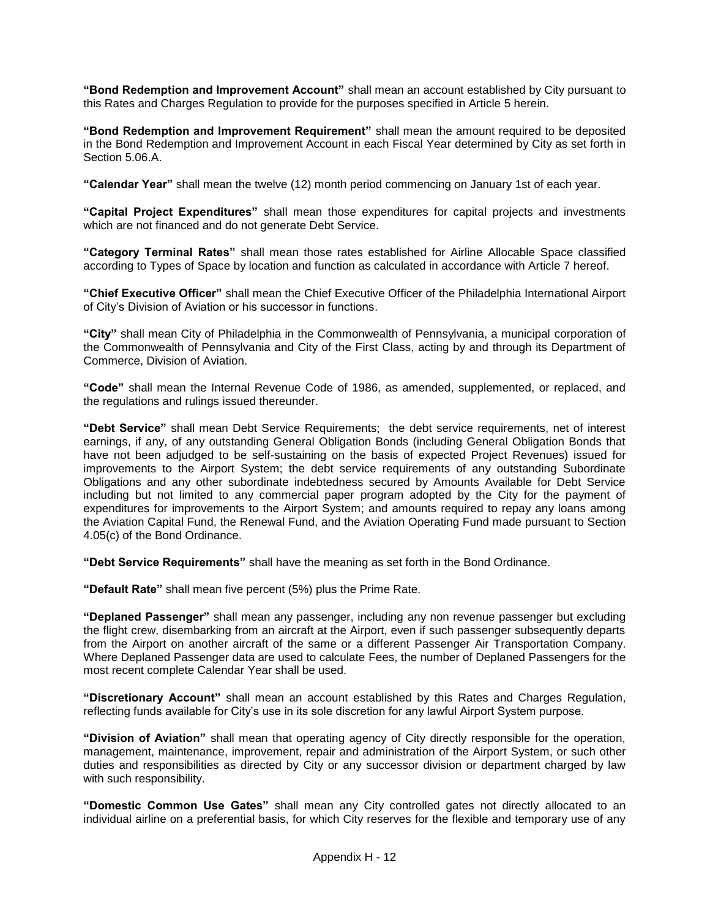**"Bond Redemption and Improvement Account"** shall mean an account established by City pursuant to this Rates and Charges Regulation to provide for the purposes specified in Article 5 herein.

**"Bond Redemption and Improvement Requirement"** shall mean the amount required to be deposited in the Bond Redemption and Improvement Account in each Fiscal Year determined by City as set forth in Section 5.06.A.

**"Calendar Year"** shall mean the twelve (12) month period commencing on January 1st of each year.

**"Capital Project Expenditures"** shall mean those expenditures for capital projects and investments which are not financed and do not generate Debt Service.

**"Category Terminal Rates"** shall mean those rates established for Airline Allocable Space classified according to Types of Space by location and function as calculated in accordance with Article 7 hereof.

**"Chief Executive Officer"** shall mean the Chief Executive Officer of the Philadelphia International Airport of City's Division of Aviation or his successor in functions.

**"City"** shall mean City of Philadelphia in the Commonwealth of Pennsylvania, a municipal corporation of the Commonwealth of Pennsylvania and City of the First Class, acting by and through its Department of Commerce, Division of Aviation.

**"Code"** shall mean the Internal Revenue Code of 1986, as amended, supplemented, or replaced, and the regulations and rulings issued thereunder.

**"Debt Service"** shall mean Debt Service Requirements; the debt service requirements, net of interest earnings, if any, of any outstanding General Obligation Bonds (including General Obligation Bonds that have not been adjudged to be self-sustaining on the basis of expected Project Revenues) issued for improvements to the Airport System; the debt service requirements of any outstanding Subordinate Obligations and any other subordinate indebtedness secured by Amounts Available for Debt Service including but not limited to any commercial paper program adopted by the City for the payment of expenditures for improvements to the Airport System; and amounts required to repay any loans among the Aviation Capital Fund, the Renewal Fund, and the Aviation Operating Fund made pursuant to Section 4.05(c) of the Bond Ordinance.

**"Debt Service Requirements"** shall have the meaning as set forth in the Bond Ordinance.

**"Default Rate"** shall mean five percent (5%) plus the Prime Rate.

**"Deplaned Passenger"** shall mean any passenger, including any non revenue passenger but excluding the flight crew, disembarking from an aircraft at the Airport, even if such passenger subsequently departs from the Airport on another aircraft of the same or a different Passenger Air Transportation Company. Where Deplaned Passenger data are used to calculate Fees, the number of Deplaned Passengers for the most recent complete Calendar Year shall be used.

**"Discretionary Account"** shall mean an account established by this Rates and Charges Regulation, reflecting funds available for City's use in its sole discretion for any lawful Airport System purpose.

**"Division of Aviation"** shall mean that operating agency of City directly responsible for the operation, management, maintenance, improvement, repair and administration of the Airport System, or such other duties and responsibilities as directed by City or any successor division or department charged by law with such responsibility.

**"Domestic Common Use Gates"** shall mean any City controlled gates not directly allocated to an individual airline on a preferential basis, for which City reserves for the flexible and temporary use of any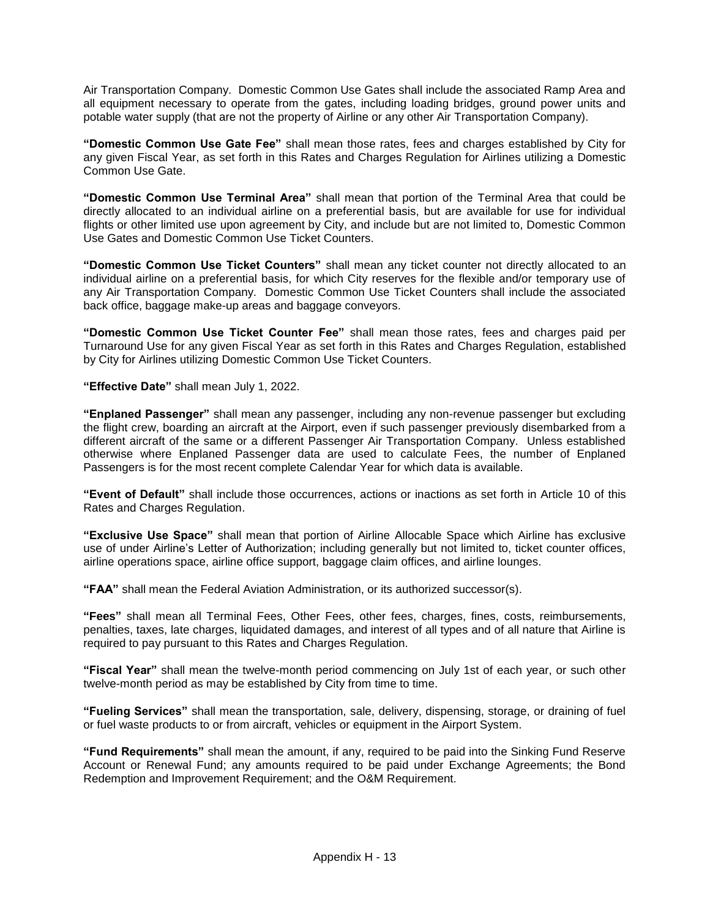Air Transportation Company. Domestic Common Use Gates shall include the associated Ramp Area and all equipment necessary to operate from the gates, including loading bridges, ground power units and potable water supply (that are not the property of Airline or any other Air Transportation Company).

**"Domestic Common Use Gate Fee"** shall mean those rates, fees and charges established by City for any given Fiscal Year, as set forth in this Rates and Charges Regulation for Airlines utilizing a Domestic Common Use Gate.

**"Domestic Common Use Terminal Area"** shall mean that portion of the Terminal Area that could be directly allocated to an individual airline on a preferential basis, but are available for use for individual flights or other limited use upon agreement by City, and include but are not limited to, Domestic Common Use Gates and Domestic Common Use Ticket Counters.

**"Domestic Common Use Ticket Counters"** shall mean any ticket counter not directly allocated to an individual airline on a preferential basis, for which City reserves for the flexible and/or temporary use of any Air Transportation Company. Domestic Common Use Ticket Counters shall include the associated back office, baggage make-up areas and baggage conveyors.

**"Domestic Common Use Ticket Counter Fee"** shall mean those rates, fees and charges paid per Turnaround Use for any given Fiscal Year as set forth in this Rates and Charges Regulation, established by City for Airlines utilizing Domestic Common Use Ticket Counters.

**"Effective Date"** shall mean July 1, 2022.

**"Enplaned Passenger"** shall mean any passenger, including any non-revenue passenger but excluding the flight crew, boarding an aircraft at the Airport, even if such passenger previously disembarked from a different aircraft of the same or a different Passenger Air Transportation Company. Unless established otherwise where Enplaned Passenger data are used to calculate Fees, the number of Enplaned Passengers is for the most recent complete Calendar Year for which data is available.

**"Event of Default"** shall include those occurrences, actions or inactions as set forth in Article 10 of this Rates and Charges Regulation.

**"Exclusive Use Space"** shall mean that portion of Airline Allocable Space which Airline has exclusive use of under Airline's Letter of Authorization; including generally but not limited to, ticket counter offices, airline operations space, airline office support, baggage claim offices, and airline lounges.

**"FAA"** shall mean the Federal Aviation Administration, or its authorized successor(s).

**"Fees"** shall mean all Terminal Fees, Other Fees, other fees, charges, fines, costs, reimbursements, penalties, taxes, late charges, liquidated damages, and interest of all types and of all nature that Airline is required to pay pursuant to this Rates and Charges Regulation.

**"Fiscal Year"** shall mean the twelve-month period commencing on July 1st of each year, or such other twelve-month period as may be established by City from time to time.

**"Fueling Services"** shall mean the transportation, sale, delivery, dispensing, storage, or draining of fuel or fuel waste products to or from aircraft, vehicles or equipment in the Airport System.

**"Fund Requirements"** shall mean the amount, if any, required to be paid into the Sinking Fund Reserve Account or Renewal Fund; any amounts required to be paid under Exchange Agreements; the Bond Redemption and Improvement Requirement; and the O&M Requirement.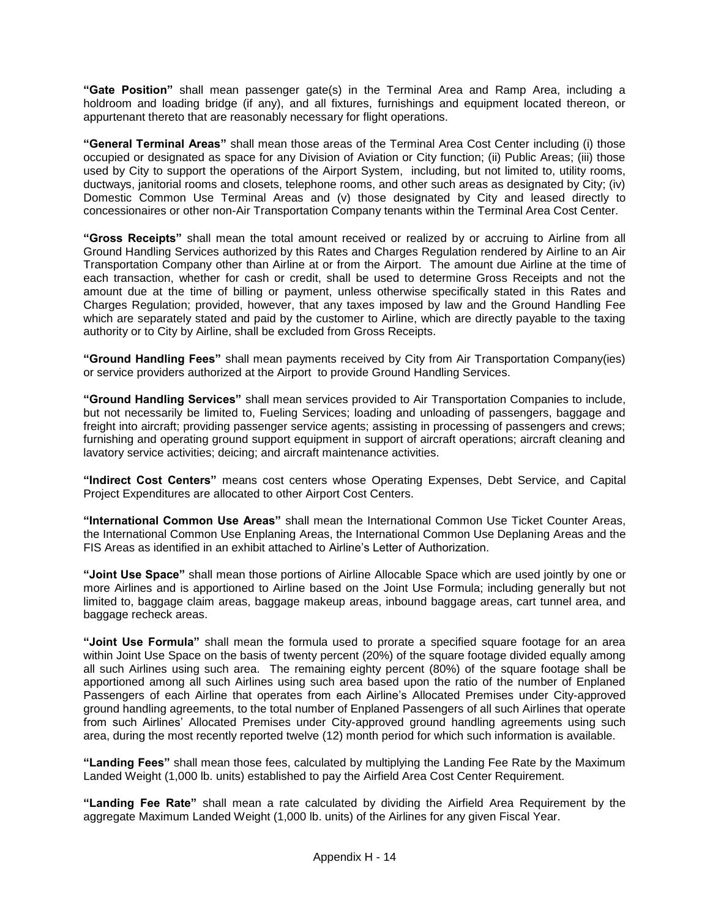**"Gate Position"** shall mean passenger gate(s) in the Terminal Area and Ramp Area, including a holdroom and loading bridge (if any), and all fixtures, furnishings and equipment located thereon, or appurtenant thereto that are reasonably necessary for flight operations.

**"General Terminal Areas"** shall mean those areas of the Terminal Area Cost Center including (i) those occupied or designated as space for any Division of Aviation or City function; (ii) Public Areas; (iii) those used by City to support the operations of the Airport System, including, but not limited to, utility rooms, ductways, janitorial rooms and closets, telephone rooms, and other such areas as designated by City; (iv) Domestic Common Use Terminal Areas and (v) those designated by City and leased directly to concessionaires or other non-Air Transportation Company tenants within the Terminal Area Cost Center.

**"Gross Receipts"** shall mean the total amount received or realized by or accruing to Airline from all Ground Handling Services authorized by this Rates and Charges Regulation rendered by Airline to an Air Transportation Company other than Airline at or from the Airport. The amount due Airline at the time of each transaction, whether for cash or credit, shall be used to determine Gross Receipts and not the amount due at the time of billing or payment, unless otherwise specifically stated in this Rates and Charges Regulation; provided, however, that any taxes imposed by law and the Ground Handling Fee which are separately stated and paid by the customer to Airline, which are directly payable to the taxing authority or to City by Airline, shall be excluded from Gross Receipts.

**"Ground Handling Fees"** shall mean payments received by City from Air Transportation Company(ies) or service providers authorized at the Airport to provide Ground Handling Services.

**"Ground Handling Services"** shall mean services provided to Air Transportation Companies to include, but not necessarily be limited to, Fueling Services; loading and unloading of passengers, baggage and freight into aircraft; providing passenger service agents; assisting in processing of passengers and crews; furnishing and operating ground support equipment in support of aircraft operations; aircraft cleaning and lavatory service activities; deicing; and aircraft maintenance activities.

**"Indirect Cost Centers"** means cost centers whose Operating Expenses, Debt Service, and Capital Project Expenditures are allocated to other Airport Cost Centers.

**"International Common Use Areas"** shall mean the International Common Use Ticket Counter Areas, the International Common Use Enplaning Areas, the International Common Use Deplaning Areas and the FIS Areas as identified in an exhibit attached to Airline's Letter of Authorization.

**"Joint Use Space"** shall mean those portions of Airline Allocable Space which are used jointly by one or more Airlines and is apportioned to Airline based on the Joint Use Formula; including generally but not limited to, baggage claim areas, baggage makeup areas, inbound baggage areas, cart tunnel area, and baggage recheck areas.

**"Joint Use Formula"** shall mean the formula used to prorate a specified square footage for an area within Joint Use Space on the basis of twenty percent (20%) of the square footage divided equally among all such Airlines using such area. The remaining eighty percent (80%) of the square footage shall be apportioned among all such Airlines using such area based upon the ratio of the number of Enplaned Passengers of each Airline that operates from each Airline's Allocated Premises under City-approved ground handling agreements, to the total number of Enplaned Passengers of all such Airlines that operate from such Airlines' Allocated Premises under City-approved ground handling agreements using such area, during the most recently reported twelve (12) month period for which such information is available.

**"Landing Fees"** shall mean those fees, calculated by multiplying the Landing Fee Rate by the Maximum Landed Weight (1,000 lb. units) established to pay the Airfield Area Cost Center Requirement.

**"Landing Fee Rate"** shall mean a rate calculated by dividing the Airfield Area Requirement by the aggregate Maximum Landed Weight (1,000 lb. units) of the Airlines for any given Fiscal Year.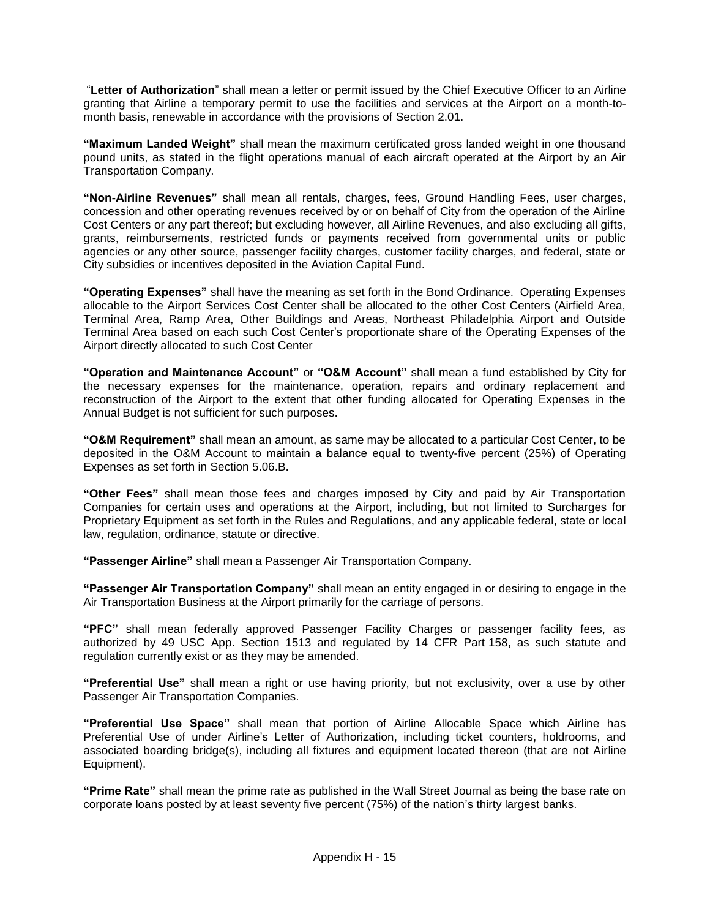"**Letter of Authorization**" shall mean a letter or permit issued by the Chief Executive Officer to an Airline granting that Airline a temporary permit to use the facilities and services at the Airport on a month-tomonth basis, renewable in accordance with the provisions of Section 2.01.

**"Maximum Landed Weight"** shall mean the maximum certificated gross landed weight in one thousand pound units, as stated in the flight operations manual of each aircraft operated at the Airport by an Air Transportation Company.

**"Non-Airline Revenues"** shall mean all rentals, charges, fees, Ground Handling Fees, user charges, concession and other operating revenues received by or on behalf of City from the operation of the Airline Cost Centers or any part thereof; but excluding however, all Airline Revenues, and also excluding all gifts, grants, reimbursements, restricted funds or payments received from governmental units or public agencies or any other source, passenger facility charges, customer facility charges, and federal, state or City subsidies or incentives deposited in the Aviation Capital Fund.

**"Operating Expenses"** shall have the meaning as set forth in the Bond Ordinance. Operating Expenses allocable to the Airport Services Cost Center shall be allocated to the other Cost Centers (Airfield Area, Terminal Area, Ramp Area, Other Buildings and Areas, Northeast Philadelphia Airport and Outside Terminal Area based on each such Cost Center's proportionate share of the Operating Expenses of the Airport directly allocated to such Cost Center

**"Operation and Maintenance Account"** or **"O&M Account"** shall mean a fund established by City for the necessary expenses for the maintenance, operation, repairs and ordinary replacement and reconstruction of the Airport to the extent that other funding allocated for Operating Expenses in the Annual Budget is not sufficient for such purposes.

**"O&M Requirement"** shall mean an amount, as same may be allocated to a particular Cost Center, to be deposited in the O&M Account to maintain a balance equal to twenty-five percent (25%) of Operating Expenses as set forth in Section 5.06.B.

**"Other Fees"** shall mean those fees and charges imposed by City and paid by Air Transportation Companies for certain uses and operations at the Airport, including, but not limited to Surcharges for Proprietary Equipment as set forth in the Rules and Regulations, and any applicable federal, state or local law, regulation, ordinance, statute or directive.

**"Passenger Airline"** shall mean a Passenger Air Transportation Company.

**"Passenger Air Transportation Company"** shall mean an entity engaged in or desiring to engage in the Air Transportation Business at the Airport primarily for the carriage of persons.

**"PFC"** shall mean federally approved Passenger Facility Charges or passenger facility fees, as authorized by 49 USC App. Section 1513 and regulated by 14 CFR Part 158, as such statute and regulation currently exist or as they may be amended.

**"Preferential Use"** shall mean a right or use having priority, but not exclusivity, over a use by other Passenger Air Transportation Companies.

**"Preferential Use Space"** shall mean that portion of Airline Allocable Space which Airline has Preferential Use of under Airline's Letter of Authorization, including ticket counters, holdrooms, and associated boarding bridge(s), including all fixtures and equipment located thereon (that are not Airline Equipment).

**"Prime Rate"** shall mean the prime rate as published in the Wall Street Journal as being the base rate on corporate loans posted by at least seventy five percent (75%) of the nation's thirty largest banks.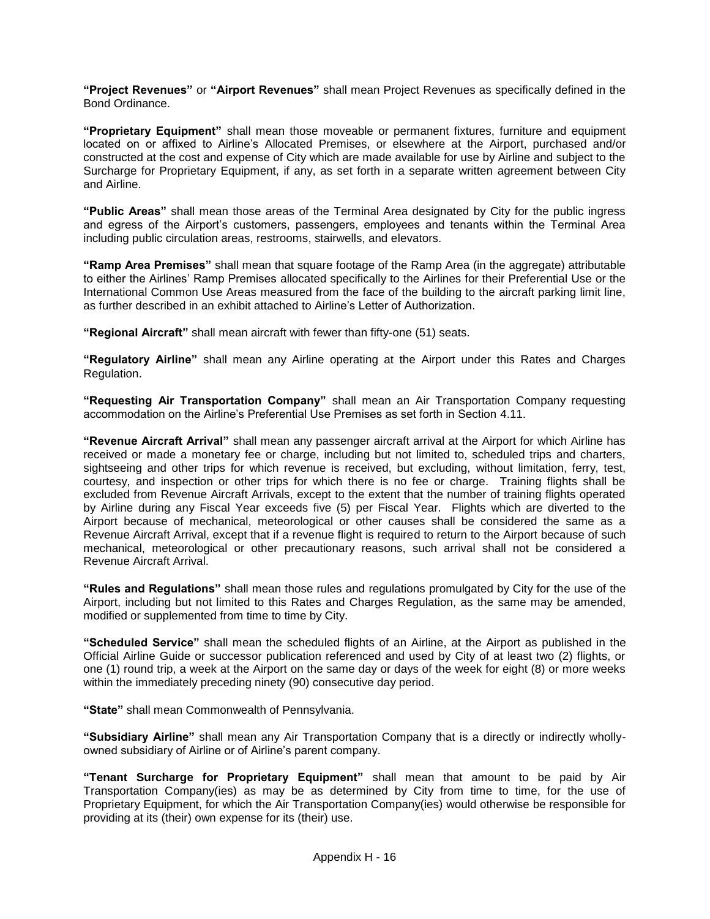**"Project Revenues"** or **"Airport Revenues"** shall mean Project Revenues as specifically defined in the Bond Ordinance.

**"Proprietary Equipment"** shall mean those moveable or permanent fixtures, furniture and equipment located on or affixed to Airline's Allocated Premises, or elsewhere at the Airport, purchased and/or constructed at the cost and expense of City which are made available for use by Airline and subject to the Surcharge for Proprietary Equipment, if any, as set forth in a separate written agreement between City and Airline.

**"Public Areas"** shall mean those areas of the Terminal Area designated by City for the public ingress and egress of the Airport's customers, passengers, employees and tenants within the Terminal Area including public circulation areas, restrooms, stairwells, and elevators.

**"Ramp Area Premises"** shall mean that square footage of the Ramp Area (in the aggregate) attributable to either the Airlines' Ramp Premises allocated specifically to the Airlines for their Preferential Use or the International Common Use Areas measured from the face of the building to the aircraft parking limit line, as further described in an exhibit attached to Airline's Letter of Authorization.

**"Regional Aircraft"** shall mean aircraft with fewer than fifty-one (51) seats.

**"Regulatory Airline"** shall mean any Airline operating at the Airport under this Rates and Charges Regulation.

**"Requesting Air Transportation Company"** shall mean an Air Transportation Company requesting accommodation on the Airline's Preferential Use Premises as set forth in Section 4.11.

**"Revenue Aircraft Arrival"** shall mean any passenger aircraft arrival at the Airport for which Airline has received or made a monetary fee or charge, including but not limited to, scheduled trips and charters, sightseeing and other trips for which revenue is received, but excluding, without limitation, ferry, test, courtesy, and inspection or other trips for which there is no fee or charge. Training flights shall be excluded from Revenue Aircraft Arrivals, except to the extent that the number of training flights operated by Airline during any Fiscal Year exceeds five (5) per Fiscal Year. Flights which are diverted to the Airport because of mechanical, meteorological or other causes shall be considered the same as a Revenue Aircraft Arrival, except that if a revenue flight is required to return to the Airport because of such mechanical, meteorological or other precautionary reasons, such arrival shall not be considered a Revenue Aircraft Arrival.

**"Rules and Regulations"** shall mean those rules and regulations promulgated by City for the use of the Airport, including but not limited to this Rates and Charges Regulation, as the same may be amended, modified or supplemented from time to time by City.

**"Scheduled Service"** shall mean the scheduled flights of an Airline, at the Airport as published in the Official Airline Guide or successor publication referenced and used by City of at least two (2) flights, or one (1) round trip, a week at the Airport on the same day or days of the week for eight (8) or more weeks within the immediately preceding ninety (90) consecutive day period.

**"State"** shall mean Commonwealth of Pennsylvania.

**"Subsidiary Airline"** shall mean any Air Transportation Company that is a directly or indirectly whollyowned subsidiary of Airline or of Airline's parent company.

**"Tenant Surcharge for Proprietary Equipment"** shall mean that amount to be paid by Air Transportation Company(ies) as may be as determined by City from time to time, for the use of Proprietary Equipment, for which the Air Transportation Company(ies) would otherwise be responsible for providing at its (their) own expense for its (their) use.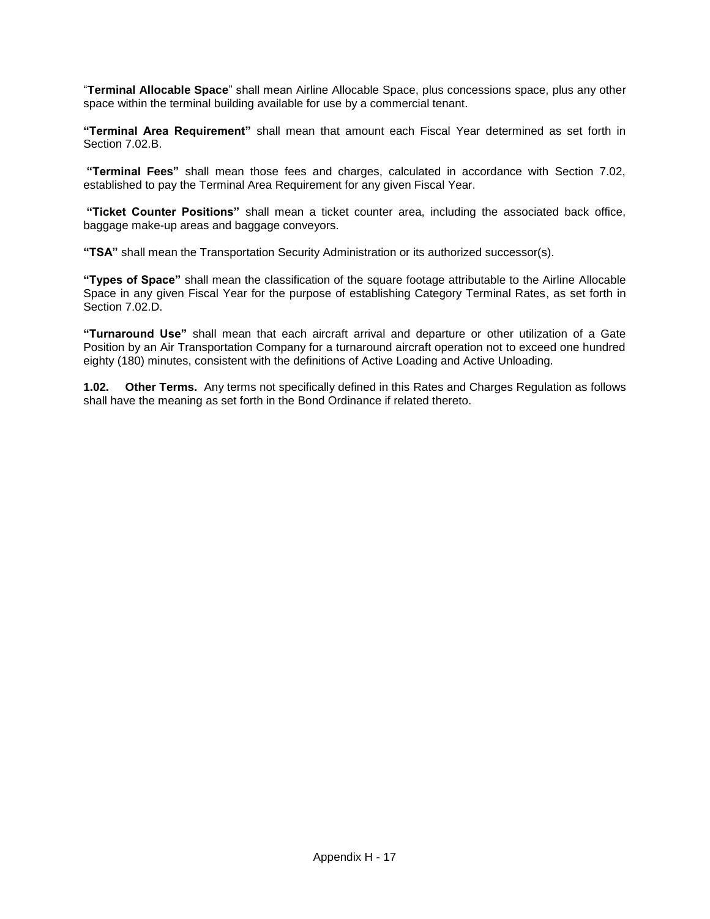"**Terminal Allocable Space**" shall mean Airline Allocable Space, plus concessions space, plus any other space within the terminal building available for use by a commercial tenant.

**"Terminal Area Requirement"** shall mean that amount each Fiscal Year determined as set forth in Section 7.02 B

**"Terminal Fees"** shall mean those fees and charges, calculated in accordance with Section 7.02, established to pay the Terminal Area Requirement for any given Fiscal Year.

**"Ticket Counter Positions"** shall mean a ticket counter area, including the associated back office, baggage make-up areas and baggage conveyors.

**"TSA"** shall mean the Transportation Security Administration or its authorized successor(s).

**"Types of Space"** shall mean the classification of the square footage attributable to the Airline Allocable Space in any given Fiscal Year for the purpose of establishing Category Terminal Rates, as set forth in Section 7.02.D.

**"Turnaround Use"** shall mean that each aircraft arrival and departure or other utilization of a Gate Position by an Air Transportation Company for a turnaround aircraft operation not to exceed one hundred eighty (180) minutes, consistent with the definitions of Active Loading and Active Unloading.

**1.02. Other Terms.** Any terms not specifically defined in this Rates and Charges Regulation as follows shall have the meaning as set forth in the Bond Ordinance if related thereto.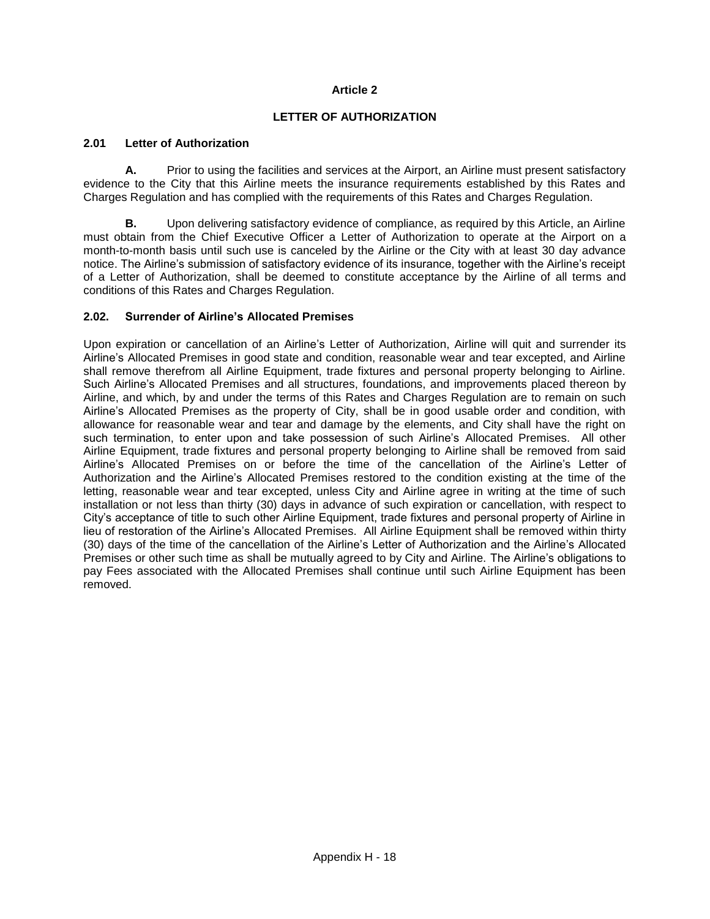#### **Article 2**

#### **LETTER OF AUTHORIZATION**

#### **2.01 Letter of Authorization**

**A.** Prior to using the facilities and services at the Airport, an Airline must present satisfactory evidence to the City that this Airline meets the insurance requirements established by this Rates and Charges Regulation and has complied with the requirements of this Rates and Charges Regulation.

**B.** Upon delivering satisfactory evidence of compliance, as required by this Article, an Airline must obtain from the Chief Executive Officer a Letter of Authorization to operate at the Airport on a month-to-month basis until such use is canceled by the Airline or the City with at least 30 day advance notice. The Airline's submission of satisfactory evidence of its insurance, together with the Airline's receipt of a Letter of Authorization, shall be deemed to constitute acceptance by the Airline of all terms and conditions of this Rates and Charges Regulation.

#### **2.02. Surrender of Airline's Allocated Premises**

Upon expiration or cancellation of an Airline's Letter of Authorization, Airline will quit and surrender its Airline's Allocated Premises in good state and condition, reasonable wear and tear excepted, and Airline shall remove therefrom all Airline Equipment, trade fixtures and personal property belonging to Airline. Such Airline's Allocated Premises and all structures, foundations, and improvements placed thereon by Airline, and which, by and under the terms of this Rates and Charges Regulation are to remain on such Airline's Allocated Premises as the property of City, shall be in good usable order and condition, with allowance for reasonable wear and tear and damage by the elements, and City shall have the right on such termination, to enter upon and take possession of such Airline's Allocated Premises. All other Airline Equipment, trade fixtures and personal property belonging to Airline shall be removed from said Airline's Allocated Premises on or before the time of the cancellation of the Airline's Letter of Authorization and the Airline's Allocated Premises restored to the condition existing at the time of the letting, reasonable wear and tear excepted, unless City and Airline agree in writing at the time of such installation or not less than thirty (30) days in advance of such expiration or cancellation, with respect to City's acceptance of title to such other Airline Equipment, trade fixtures and personal property of Airline in lieu of restoration of the Airline's Allocated Premises. All Airline Equipment shall be removed within thirty (30) days of the time of the cancellation of the Airline's Letter of Authorization and the Airline's Allocated Premises or other such time as shall be mutually agreed to by City and Airline. The Airline's obligations to pay Fees associated with the Allocated Premises shall continue until such Airline Equipment has been removed.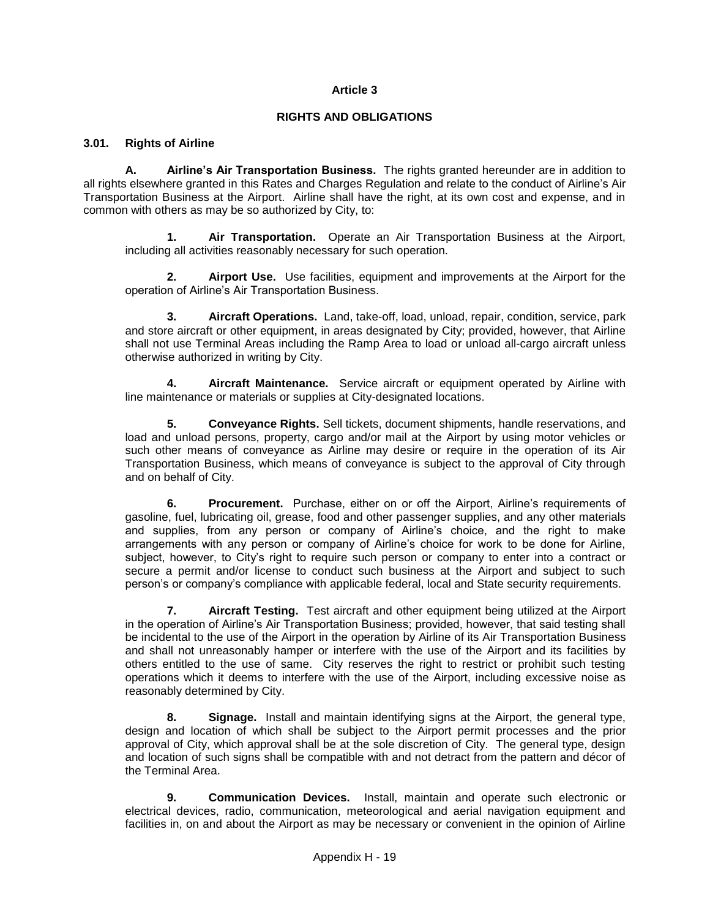#### **Article 3**

#### **RIGHTS AND OBLIGATIONS**

#### **3.01. Rights of Airline**

**A. Airline's Air Transportation Business.** The rights granted hereunder are in addition to all rights elsewhere granted in this Rates and Charges Regulation and relate to the conduct of Airline's Air Transportation Business at the Airport. Airline shall have the right, at its own cost and expense, and in common with others as may be so authorized by City, to:

**1. Air Transportation.** Operate an Air Transportation Business at the Airport, including all activities reasonably necessary for such operation.

**2. Airport Use.** Use facilities, equipment and improvements at the Airport for the operation of Airline's Air Transportation Business.

**3. Aircraft Operations.** Land, take-off, load, unload, repair, condition, service, park and store aircraft or other equipment, in areas designated by City; provided, however, that Airline shall not use Terminal Areas including the Ramp Area to load or unload all-cargo aircraft unless otherwise authorized in writing by City.

**4. Aircraft Maintenance.** Service aircraft or equipment operated by Airline with line maintenance or materials or supplies at City-designated locations.

**5. Conveyance Rights.** Sell tickets, document shipments, handle reservations, and load and unload persons, property, cargo and/or mail at the Airport by using motor vehicles or such other means of conveyance as Airline may desire or require in the operation of its Air Transportation Business, which means of conveyance is subject to the approval of City through and on behalf of City.

**6. Procurement.** Purchase, either on or off the Airport, Airline's requirements of gasoline, fuel, lubricating oil, grease, food and other passenger supplies, and any other materials and supplies, from any person or company of Airline's choice, and the right to make arrangements with any person or company of Airline's choice for work to be done for Airline, subject, however, to City's right to require such person or company to enter into a contract or secure a permit and/or license to conduct such business at the Airport and subject to such person's or company's compliance with applicable federal, local and State security requirements.

**7. Aircraft Testing.** Test aircraft and other equipment being utilized at the Airport in the operation of Airline's Air Transportation Business; provided, however, that said testing shall be incidental to the use of the Airport in the operation by Airline of its Air Transportation Business and shall not unreasonably hamper or interfere with the use of the Airport and its facilities by others entitled to the use of same. City reserves the right to restrict or prohibit such testing operations which it deems to interfere with the use of the Airport, including excessive noise as reasonably determined by City.

**8. Signage.** Install and maintain identifying signs at the Airport, the general type, design and location of which shall be subject to the Airport permit processes and the prior approval of City, which approval shall be at the sole discretion of City. The general type, design and location of such signs shall be compatible with and not detract from the pattern and décor of the Terminal Area.

**9. Communication Devices.** Install, maintain and operate such electronic or electrical devices, radio, communication, meteorological and aerial navigation equipment and facilities in, on and about the Airport as may be necessary or convenient in the opinion of Airline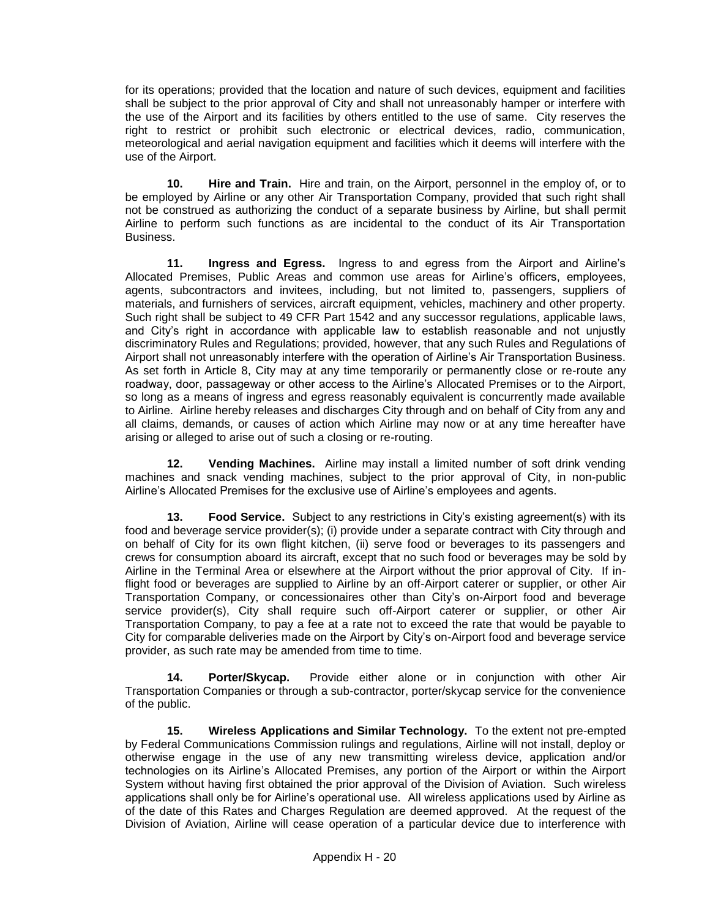for its operations; provided that the location and nature of such devices, equipment and facilities shall be subject to the prior approval of City and shall not unreasonably hamper or interfere with the use of the Airport and its facilities by others entitled to the use of same. City reserves the right to restrict or prohibit such electronic or electrical devices, radio, communication, meteorological and aerial navigation equipment and facilities which it deems will interfere with the use of the Airport.

**10. Hire and Train.** Hire and train, on the Airport, personnel in the employ of, or to be employed by Airline or any other Air Transportation Company, provided that such right shall not be construed as authorizing the conduct of a separate business by Airline, but shall permit Airline to perform such functions as are incidental to the conduct of its Air Transportation Business.

**11. Ingress and Egress.** Ingress to and egress from the Airport and Airline's Allocated Premises, Public Areas and common use areas for Airline's officers, employees, agents, subcontractors and invitees, including, but not limited to, passengers, suppliers of materials, and furnishers of services, aircraft equipment, vehicles, machinery and other property. Such right shall be subject to 49 CFR Part 1542 and any successor regulations, applicable laws, and City's right in accordance with applicable law to establish reasonable and not unjustly discriminatory Rules and Regulations; provided, however, that any such Rules and Regulations of Airport shall not unreasonably interfere with the operation of Airline's Air Transportation Business. As set forth in Article 8, City may at any time temporarily or permanently close or re-route any roadway, door, passageway or other access to the Airline's Allocated Premises or to the Airport, so long as a means of ingress and egress reasonably equivalent is concurrently made available to Airline. Airline hereby releases and discharges City through and on behalf of City from any and all claims, demands, or causes of action which Airline may now or at any time hereafter have arising or alleged to arise out of such a closing or re-routing.

**12. Vending Machines.** Airline may install a limited number of soft drink vending machines and snack vending machines, subject to the prior approval of City, in non-public Airline's Allocated Premises for the exclusive use of Airline's employees and agents.

**13. Food Service.** Subject to any restrictions in City's existing agreement(s) with its food and beverage service provider(s); (i) provide under a separate contract with City through and on behalf of City for its own flight kitchen, (ii) serve food or beverages to its passengers and crews for consumption aboard its aircraft, except that no such food or beverages may be sold by Airline in the Terminal Area or elsewhere at the Airport without the prior approval of City. If inflight food or beverages are supplied to Airline by an off-Airport caterer or supplier, or other Air Transportation Company, or concessionaires other than City's on-Airport food and beverage service provider(s), City shall require such off-Airport caterer or supplier, or other Air Transportation Company, to pay a fee at a rate not to exceed the rate that would be payable to City for comparable deliveries made on the Airport by City's on-Airport food and beverage service provider, as such rate may be amended from time to time.

**14. Porter/Skycap.** Provide either alone or in conjunction with other Air Transportation Companies or through a sub-contractor, porter/skycap service for the convenience of the public.

**15. Wireless Applications and Similar Technology.** To the extent not pre-empted by Federal Communications Commission rulings and regulations, Airline will not install, deploy or otherwise engage in the use of any new transmitting wireless device, application and/or technologies on its Airline's Allocated Premises, any portion of the Airport or within the Airport System without having first obtained the prior approval of the Division of Aviation. Such wireless applications shall only be for Airline's operational use. All wireless applications used by Airline as of the date of this Rates and Charges Regulation are deemed approved. At the request of the Division of Aviation, Airline will cease operation of a particular device due to interference with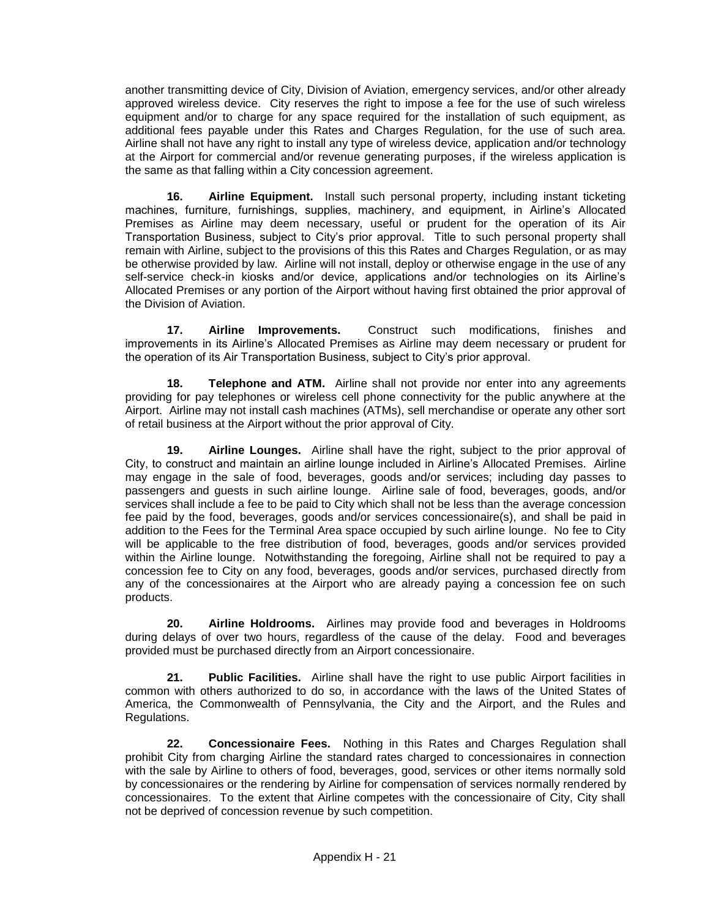another transmitting device of City, Division of Aviation, emergency services, and/or other already approved wireless device. City reserves the right to impose a fee for the use of such wireless equipment and/or to charge for any space required for the installation of such equipment, as additional fees payable under this Rates and Charges Regulation, for the use of such area. Airline shall not have any right to install any type of wireless device, application and/or technology at the Airport for commercial and/or revenue generating purposes, if the wireless application is the same as that falling within a City concession agreement.

**16. Airline Equipment.** Install such personal property, including instant ticketing machines, furniture, furnishings, supplies, machinery, and equipment, in Airline's Allocated Premises as Airline may deem necessary, useful or prudent for the operation of its Air Transportation Business, subject to City's prior approval. Title to such personal property shall remain with Airline, subject to the provisions of this this Rates and Charges Regulation, or as may be otherwise provided by law. Airline will not install, deploy or otherwise engage in the use of any self-service check-in kiosks and/or device, applications and/or technologies on its Airline's Allocated Premises or any portion of the Airport without having first obtained the prior approval of the Division of Aviation.

**17. Airline Improvements.** Construct such modifications, finishes and improvements in its Airline's Allocated Premises as Airline may deem necessary or prudent for the operation of its Air Transportation Business, subject to City's prior approval.

**18. Telephone and ATM.** Airline shall not provide nor enter into any agreements providing for pay telephones or wireless cell phone connectivity for the public anywhere at the Airport. Airline may not install cash machines (ATMs), sell merchandise or operate any other sort of retail business at the Airport without the prior approval of City.

**19. Airline Lounges.** Airline shall have the right, subject to the prior approval of City, to construct and maintain an airline lounge included in Airline's Allocated Premises. Airline may engage in the sale of food, beverages, goods and/or services; including day passes to passengers and guests in such airline lounge. Airline sale of food, beverages, goods, and/or services shall include a fee to be paid to City which shall not be less than the average concession fee paid by the food, beverages, goods and/or services concessionaire(s), and shall be paid in addition to the Fees for the Terminal Area space occupied by such airline lounge. No fee to City will be applicable to the free distribution of food, beverages, goods and/or services provided within the Airline lounge. Notwithstanding the foregoing, Airline shall not be required to pay a concession fee to City on any food, beverages, goods and/or services, purchased directly from any of the concessionaires at the Airport who are already paying a concession fee on such products.

**20. Airline Holdrooms.** Airlines may provide food and beverages in Holdrooms during delays of over two hours, regardless of the cause of the delay. Food and beverages provided must be purchased directly from an Airport concessionaire.

**21. Public Facilities.** Airline shall have the right to use public Airport facilities in common with others authorized to do so, in accordance with the laws of the United States of America, the Commonwealth of Pennsylvania, the City and the Airport, and the Rules and Regulations.

**22. Concessionaire Fees.** Nothing in this Rates and Charges Regulation shall prohibit City from charging Airline the standard rates charged to concessionaires in connection with the sale by Airline to others of food, beverages, good, services or other items normally sold by concessionaires or the rendering by Airline for compensation of services normally rendered by concessionaires. To the extent that Airline competes with the concessionaire of City, City shall not be deprived of concession revenue by such competition.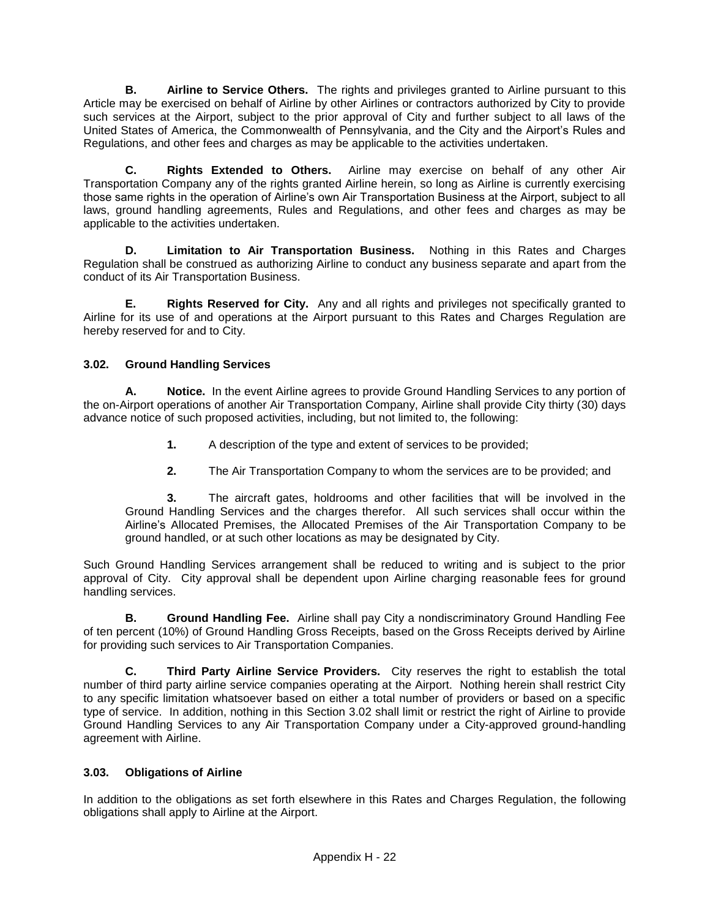**B. Airline to Service Others.** The rights and privileges granted to Airline pursuant to this Article may be exercised on behalf of Airline by other Airlines or contractors authorized by City to provide such services at the Airport, subject to the prior approval of City and further subject to all laws of the United States of America, the Commonwealth of Pennsylvania, and the City and the Airport's Rules and Regulations, and other fees and charges as may be applicable to the activities undertaken.

**C. Rights Extended to Others.** Airline may exercise on behalf of any other Air Transportation Company any of the rights granted Airline herein, so long as Airline is currently exercising those same rights in the operation of Airline's own Air Transportation Business at the Airport, subject to all laws, ground handling agreements, Rules and Regulations, and other fees and charges as may be applicable to the activities undertaken.

**D. Limitation to Air Transportation Business.** Nothing in this Rates and Charges Regulation shall be construed as authorizing Airline to conduct any business separate and apart from the conduct of its Air Transportation Business.

**E. Rights Reserved for City.** Any and all rights and privileges not specifically granted to Airline for its use of and operations at the Airport pursuant to this Rates and Charges Regulation are hereby reserved for and to City.

## **3.02. Ground Handling Services**

**A. Notice.** In the event Airline agrees to provide Ground Handling Services to any portion of the on-Airport operations of another Air Transportation Company, Airline shall provide City thirty (30) days advance notice of such proposed activities, including, but not limited to, the following:

- **1.** A description of the type and extent of services to be provided;
- **2.** The Air Transportation Company to whom the services are to be provided; and

**3.** The aircraft gates, holdrooms and other facilities that will be involved in the Ground Handling Services and the charges therefor. All such services shall occur within the Airline's Allocated Premises, the Allocated Premises of the Air Transportation Company to be ground handled, or at such other locations as may be designated by City.

Such Ground Handling Services arrangement shall be reduced to writing and is subject to the prior approval of City. City approval shall be dependent upon Airline charging reasonable fees for ground handling services.

**B. Ground Handling Fee.** Airline shall pay City a nondiscriminatory Ground Handling Fee of ten percent (10%) of Ground Handling Gross Receipts, based on the Gross Receipts derived by Airline for providing such services to Air Transportation Companies.

**C. Third Party Airline Service Providers.** City reserves the right to establish the total number of third party airline service companies operating at the Airport. Nothing herein shall restrict City to any specific limitation whatsoever based on either a total number of providers or based on a specific type of service. In addition, nothing in this Section 3.02 shall limit or restrict the right of Airline to provide Ground Handling Services to any Air Transportation Company under a City-approved ground-handling agreement with Airline.

## **3.03. Obligations of Airline**

In addition to the obligations as set forth elsewhere in this Rates and Charges Regulation, the following obligations shall apply to Airline at the Airport.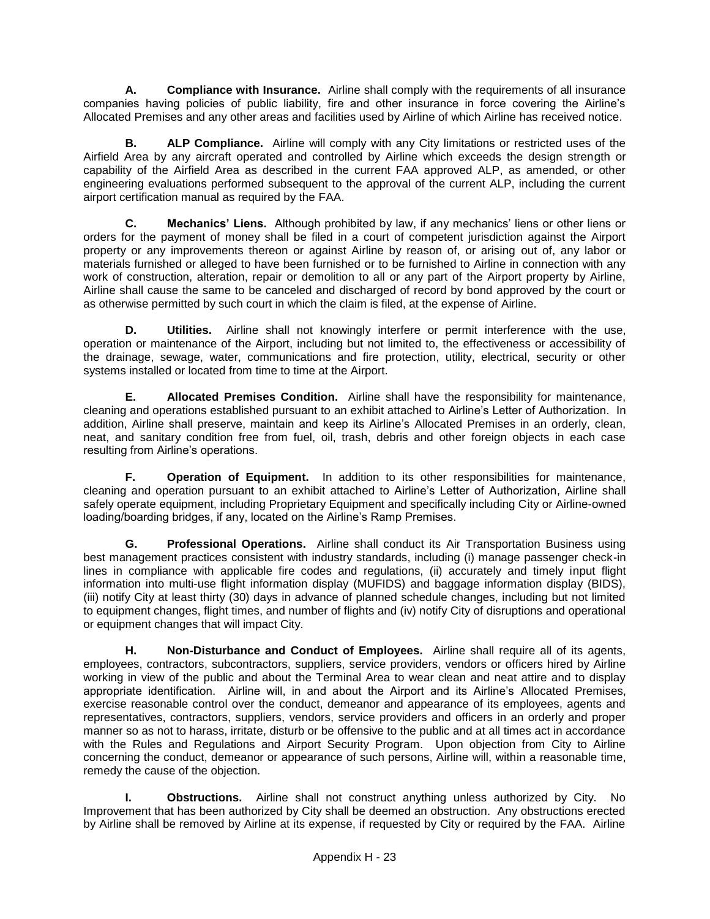**A. Compliance with Insurance.** Airline shall comply with the requirements of all insurance companies having policies of public liability, fire and other insurance in force covering the Airline's Allocated Premises and any other areas and facilities used by Airline of which Airline has received notice.

**B. ALP Compliance.** Airline will comply with any City limitations or restricted uses of the Airfield Area by any aircraft operated and controlled by Airline which exceeds the design strength or capability of the Airfield Area as described in the current FAA approved ALP, as amended, or other engineering evaluations performed subsequent to the approval of the current ALP, including the current airport certification manual as required by the FAA.

**C. Mechanics' Liens.** Although prohibited by law, if any mechanics' liens or other liens or orders for the payment of money shall be filed in a court of competent jurisdiction against the Airport property or any improvements thereon or against Airline by reason of, or arising out of, any labor or materials furnished or alleged to have been furnished or to be furnished to Airline in connection with any work of construction, alteration, repair or demolition to all or any part of the Airport property by Airline, Airline shall cause the same to be canceled and discharged of record by bond approved by the court or as otherwise permitted by such court in which the claim is filed, at the expense of Airline.

**D. Utilities.** Airline shall not knowingly interfere or permit interference with the use, operation or maintenance of the Airport, including but not limited to, the effectiveness or accessibility of the drainage, sewage, water, communications and fire protection, utility, electrical, security or other systems installed or located from time to time at the Airport.

**E. Allocated Premises Condition.** Airline shall have the responsibility for maintenance, cleaning and operations established pursuant to an exhibit attached to Airline's Letter of Authorization. In addition, Airline shall preserve, maintain and keep its Airline's Allocated Premises in an orderly, clean, neat, and sanitary condition free from fuel, oil, trash, debris and other foreign objects in each case resulting from Airline's operations.

**F. Operation of Equipment.** In addition to its other responsibilities for maintenance, cleaning and operation pursuant to an exhibit attached to Airline's Letter of Authorization, Airline shall safely operate equipment, including Proprietary Equipment and specifically including City or Airline-owned loading/boarding bridges, if any, located on the Airline's Ramp Premises.

**G. Professional Operations.** Airline shall conduct its Air Transportation Business using best management practices consistent with industry standards, including (i) manage passenger check-in lines in compliance with applicable fire codes and regulations, (ii) accurately and timely input flight information into multi-use flight information display (MUFIDS) and baggage information display (BIDS), (iii) notify City at least thirty (30) days in advance of planned schedule changes, including but not limited to equipment changes, flight times, and number of flights and (iv) notify City of disruptions and operational or equipment changes that will impact City.

**H. Non-Disturbance and Conduct of Employees.** Airline shall require all of its agents, employees, contractors, subcontractors, suppliers, service providers, vendors or officers hired by Airline working in view of the public and about the Terminal Area to wear clean and neat attire and to display appropriate identification. Airline will, in and about the Airport and its Airline's Allocated Premises, exercise reasonable control over the conduct, demeanor and appearance of its employees, agents and representatives, contractors, suppliers, vendors, service providers and officers in an orderly and proper manner so as not to harass, irritate, disturb or be offensive to the public and at all times act in accordance with the Rules and Regulations and Airport Security Program. Upon objection from City to Airline concerning the conduct, demeanor or appearance of such persons, Airline will, within a reasonable time, remedy the cause of the objection.

**I. Obstructions.** Airline shall not construct anything unless authorized by City. No Improvement that has been authorized by City shall be deemed an obstruction. Any obstructions erected by Airline shall be removed by Airline at its expense, if requested by City or required by the FAA. Airline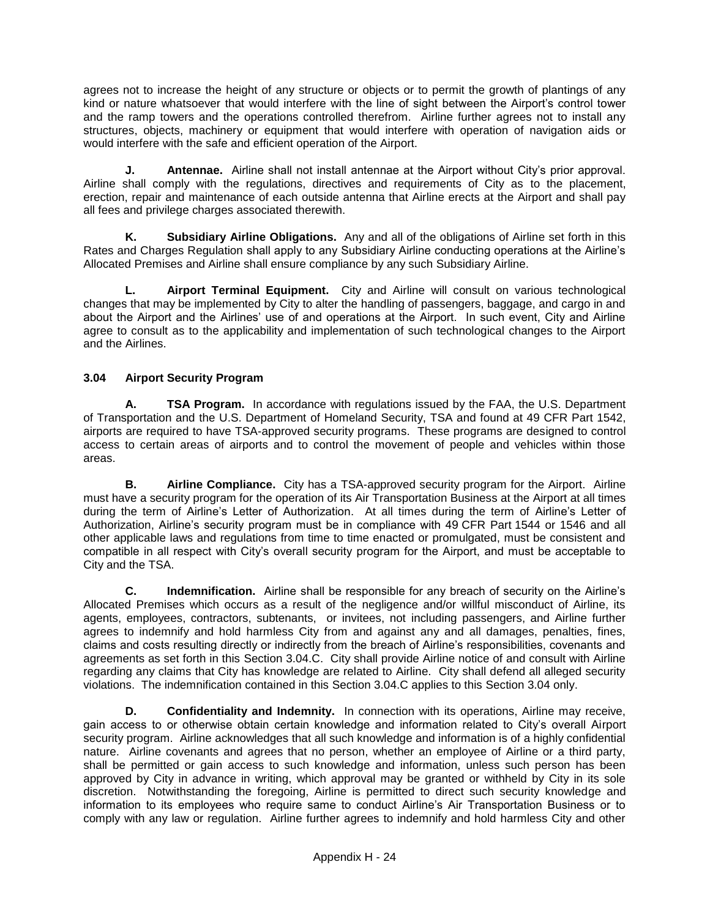agrees not to increase the height of any structure or objects or to permit the growth of plantings of any kind or nature whatsoever that would interfere with the line of sight between the Airport's control tower and the ramp towers and the operations controlled therefrom. Airline further agrees not to install any structures, objects, machinery or equipment that would interfere with operation of navigation aids or would interfere with the safe and efficient operation of the Airport.

**J. Antennae.** Airline shall not install antennae at the Airport without City's prior approval. Airline shall comply with the regulations, directives and requirements of City as to the placement, erection, repair and maintenance of each outside antenna that Airline erects at the Airport and shall pay all fees and privilege charges associated therewith.

**K. Subsidiary Airline Obligations.** Any and all of the obligations of Airline set forth in this Rates and Charges Regulation shall apply to any Subsidiary Airline conducting operations at the Airline's Allocated Premises and Airline shall ensure compliance by any such Subsidiary Airline.

**L. Airport Terminal Equipment.** City and Airline will consult on various technological changes that may be implemented by City to alter the handling of passengers, baggage, and cargo in and about the Airport and the Airlines' use of and operations at the Airport. In such event, City and Airline agree to consult as to the applicability and implementation of such technological changes to the Airport and the Airlines.

## **3.04 Airport Security Program**

**A. TSA Program.** In accordance with regulations issued by the FAA, the U.S. Department of Transportation and the U.S. Department of Homeland Security, TSA and found at 49 CFR Part 1542, airports are required to have TSA-approved security programs. These programs are designed to control access to certain areas of airports and to control the movement of people and vehicles within those areas.

**B. Airline Compliance.** City has a TSA-approved security program for the Airport. Airline must have a security program for the operation of its Air Transportation Business at the Airport at all times during the term of Airline's Letter of Authorization. At all times during the term of Airline's Letter of Authorization, Airline's security program must be in compliance with 49 CFR Part 1544 or 1546 and all other applicable laws and regulations from time to time enacted or promulgated, must be consistent and compatible in all respect with City's overall security program for the Airport, and must be acceptable to City and the TSA.

**C. Indemnification.** Airline shall be responsible for any breach of security on the Airline's Allocated Premises which occurs as a result of the negligence and/or willful misconduct of Airline, its agents, employees, contractors, subtenants, or invitees, not including passengers, and Airline further agence, employeer, connectedly, capturisme, examples, the measure paramigned, and a measurement and hold harmless City from and against any and all damages, penalties, fines, claims and costs resulting directly or indirectly from the breach of Airline's responsibilities, covenants and agreements as set forth in this Section 3.04.C. City shall provide Airline notice of and consult with Airline regarding any claims that City has knowledge are related to Airline. City shall defend all alleged security violations. The indemnification contained in this Section 3.04.C applies to this Section 3.04 only.

**D. Confidentiality and Indemnity.** In connection with its operations, Airline may receive, gain access to or otherwise obtain certain knowledge and information related to City's overall Airport security program. Airline acknowledges that all such knowledge and information is of a highly confidential nature. Airline covenants and agrees that no person, whether an employee of Airline or a third party, shall be permitted or gain access to such knowledge and information, unless such person has been approved by City in advance in writing, which approval may be granted or withheld by City in its sole discretion. Notwithstanding the foregoing, Airline is permitted to direct such security knowledge and information to its employees who require same to conduct Airline's Air Transportation Business or to comply with any law or regulation. Airline further agrees to indemnify and hold harmless City and other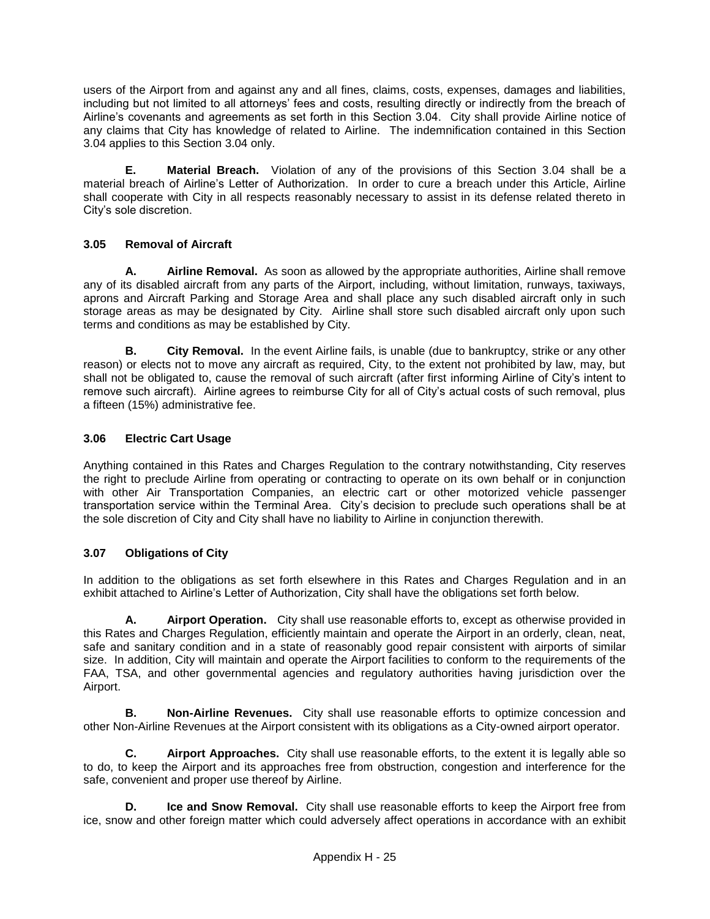users of the Airport from and against any and all fines, claims, costs, expenses, damages and liabilities, including but not limited to all attorneys' fees and costs, resulting directly or indirectly from the breach of Airline's covenants and agreements as set forth in this Section 3.04. City shall provide Airline notice of any claims that City has knowledge of related to Airline. The indemnification contained in this Section 3.04 applies to this Section 3.04 only.

**E. Material Breach.** Violation of any of the provisions of this Section 3.04 shall be a material breach of Airline's Letter of Authorization. In order to cure a breach under this Article, Airline shall cooperate with City in all respects reasonably necessary to assist in its defense related thereto in City's sole discretion.

## **3.05 Removal of Aircraft**

**A. Airline Removal.** As soon as allowed by the appropriate authorities, Airline shall remove any of its disabled aircraft from any parts of the Airport, including, without limitation, runways, taxiways, aprons and Aircraft Parking and Storage Area and shall place any such disabled aircraft only in such storage areas as may be designated by City. Airline shall store such disabled aircraft only upon such terms and conditions as may be established by City.

**B. City Removal.** In the event Airline fails, is unable (due to bankruptcy, strike or any other reason) or elects not to move any aircraft as required, City, to the extent not prohibited by law, may, but shall not be obligated to, cause the removal of such aircraft (after first informing Airline of City's intent to remove such aircraft). Airline agrees to reimburse City for all of City's actual costs of such removal, plus a fifteen (15%) administrative fee.

## **3.06 Electric Cart Usage**

Anything contained in this Rates and Charges Regulation to the contrary notwithstanding, City reserves the right to preclude Airline from operating or contracting to operate on its own behalf or in conjunction with other Air Transportation Companies, an electric cart or other motorized vehicle passenger transportation service within the Terminal Area. City's decision to preclude such operations shall be at the sole discretion of City and City shall have no liability to Airline in conjunction therewith.

## **3.07 Obligations of City**

In addition to the obligations as set forth elsewhere in this Rates and Charges Regulation and in an exhibit attached to Airline's Letter of Authorization, City shall have the obligations set forth below.

**A. Airport Operation.** City shall use reasonable efforts to, except as otherwise provided in this Rates and Charges Regulation, efficiently maintain and operate the Airport in an orderly, clean, neat, safe and sanitary condition and in a state of reasonably good repair consistent with airports of similar size. In addition, City will maintain and operate the Airport facilities to conform to the requirements of the FAA, TSA, and other governmental agencies and regulatory authorities having jurisdiction over the Airport.

**B. Non-Airline Revenues.** City shall use reasonable efforts to optimize concession and other Non-Airline Revenues at the Airport consistent with its obligations as a City-owned airport operator.

**C. Airport Approaches.** City shall use reasonable efforts, to the extent it is legally able so to do, to keep the Airport and its approaches free from obstruction, congestion and interference for the safe, convenient and proper use thereof by Airline.

**D. Ice and Snow Removal.** City shall use reasonable efforts to keep the Airport free from ice, snow and other foreign matter which could adversely affect operations in accordance with an exhibit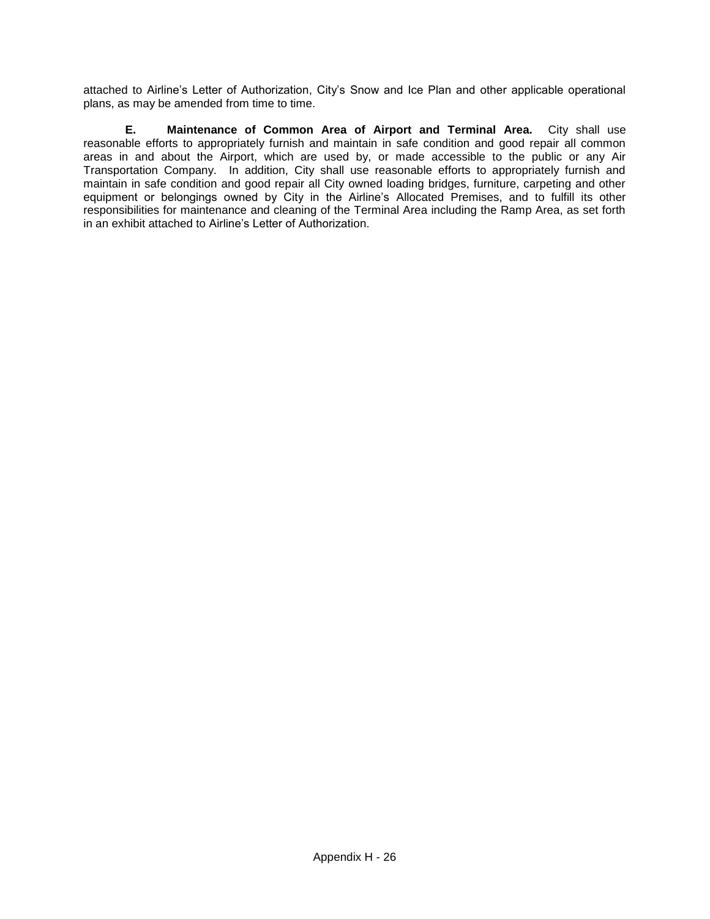attached to Airline's Letter of Authorization, City's Snow and Ice Plan and other applicable operational plans, as may be amended from time to time.

**E. Maintenance of Common Area of Airport and Terminal Area.** City shall use reasonable efforts to appropriately furnish and maintain in safe condition and good repair all common areas in and about the Airport, which are used by, or made accessible to the public or any Air Transportation Company. In addition, City shall use reasonable efforts to appropriately furnish and maintain in safe condition and good repair all City owned loading bridges, furniture, carpeting and other equipment or belongings owned by City in the Airline's Allocated Premises, and to fulfill its other responsibilities for maintenance and cleaning of the Terminal Area including the Ramp Area, as set forth in an exhibit attached to Airline's Letter of Authorization.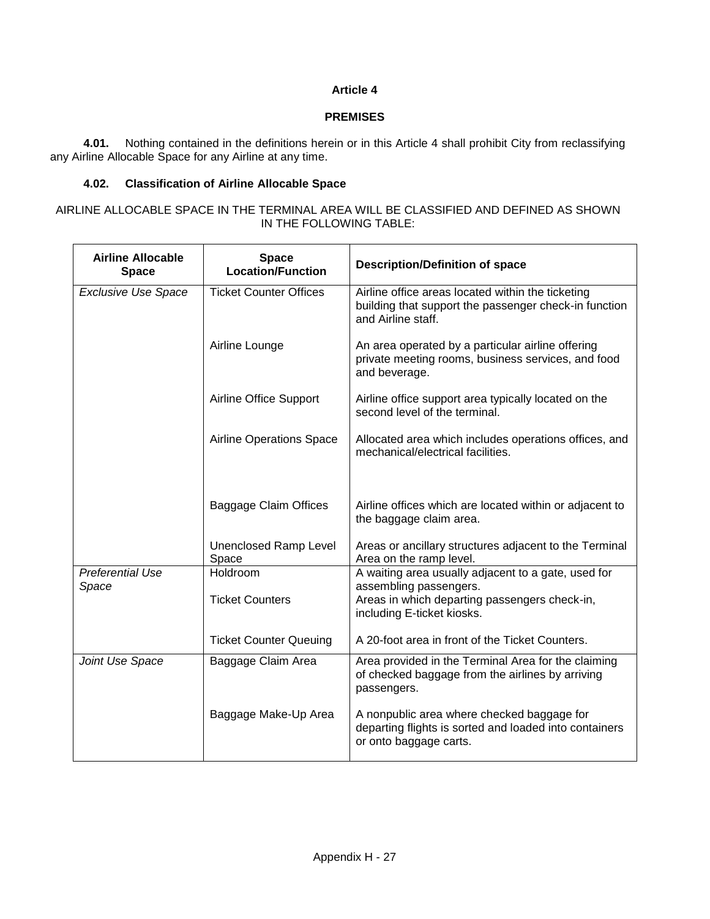## **Article 4**

#### **PREMISES**

**4.01.** Nothing contained in the definitions herein or in this Article 4 shall prohibit City from reclassifying any Airline Allocable Space for any Airline at any time.

#### **4.02. Classification of Airline Allocable Space**

#### AIRLINE ALLOCABLE SPACE IN THE TERMINAL AREA WILL BE CLASSIFIED AND DEFINED AS SHOWN IN THE FOLLOWING TABLE:

| <b>Airline Allocable</b><br><b>Space</b>                    | <b>Space</b><br><b>Location/Function</b> | <b>Description/Definition of space</b>                                                                                                                       |  |
|-------------------------------------------------------------|------------------------------------------|--------------------------------------------------------------------------------------------------------------------------------------------------------------|--|
| <b>Exclusive Use Space</b><br><b>Ticket Counter Offices</b> |                                          | Airline office areas located within the ticketing<br>building that support the passenger check-in function<br>and Airline staff.                             |  |
|                                                             | Airline Lounge                           | An area operated by a particular airline offering<br>private meeting rooms, business services, and food<br>and beverage.                                     |  |
|                                                             | Airline Office Support                   | Airline office support area typically located on the<br>second level of the terminal.                                                                        |  |
|                                                             | <b>Airline Operations Space</b>          | Allocated area which includes operations offices, and<br>mechanical/electrical facilities.                                                                   |  |
|                                                             | Baggage Claim Offices                    | Airline offices which are located within or adjacent to<br>the baggage claim area.                                                                           |  |
|                                                             | <b>Unenclosed Ramp Level</b><br>Space    | Areas or ancillary structures adjacent to the Terminal<br>Area on the ramp level.                                                                            |  |
| <b>Preferential Use</b><br>Space                            | Holdroom<br><b>Ticket Counters</b>       | A waiting area usually adjacent to a gate, used for<br>assembling passengers.<br>Areas in which departing passengers check-in,<br>including E-ticket kiosks. |  |
|                                                             | <b>Ticket Counter Queuing</b>            | A 20-foot area in front of the Ticket Counters.                                                                                                              |  |
| Joint Use Space                                             | Baggage Claim Area                       | Area provided in the Terminal Area for the claiming<br>of checked baggage from the airlines by arriving<br>passengers.                                       |  |
|                                                             | Baggage Make-Up Area                     | A nonpublic area where checked baggage for<br>departing flights is sorted and loaded into containers<br>or onto baggage carts.                               |  |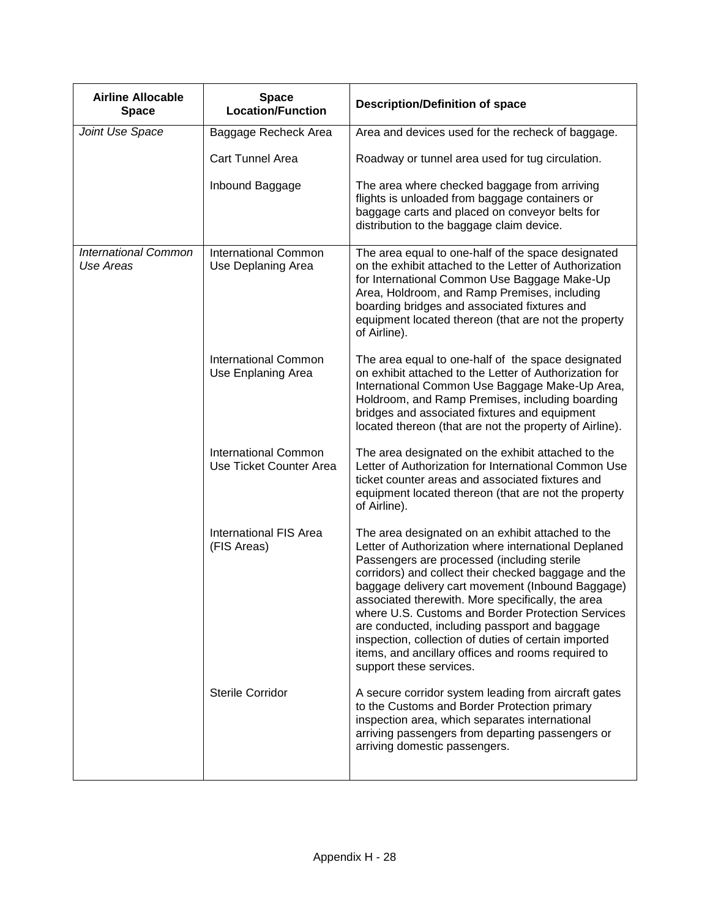| <b>Airline Allocable</b><br><b>Space</b> | <b>Space</b><br><b>Location/Function</b>               | <b>Description/Definition of space</b>                                                                                                                                                                                                                                                                                                                                                                                                                                                                                                                                   |
|------------------------------------------|--------------------------------------------------------|--------------------------------------------------------------------------------------------------------------------------------------------------------------------------------------------------------------------------------------------------------------------------------------------------------------------------------------------------------------------------------------------------------------------------------------------------------------------------------------------------------------------------------------------------------------------------|
| Joint Use Space                          | Baggage Recheck Area                                   | Area and devices used for the recheck of baggage.                                                                                                                                                                                                                                                                                                                                                                                                                                                                                                                        |
|                                          | <b>Cart Tunnel Area</b>                                | Roadway or tunnel area used for tug circulation.                                                                                                                                                                                                                                                                                                                                                                                                                                                                                                                         |
|                                          | Inbound Baggage                                        | The area where checked baggage from arriving<br>flights is unloaded from baggage containers or<br>baggage carts and placed on conveyor belts for<br>distribution to the baggage claim device.                                                                                                                                                                                                                                                                                                                                                                            |
| <b>International Common</b><br>Use Areas | <b>International Common</b><br>Use Deplaning Area      | The area equal to one-half of the space designated<br>on the exhibit attached to the Letter of Authorization<br>for International Common Use Baggage Make-Up<br>Area, Holdroom, and Ramp Premises, including<br>boarding bridges and associated fixtures and<br>equipment located thereon (that are not the property<br>of Airline).                                                                                                                                                                                                                                     |
|                                          | <b>International Common</b><br>Use Enplaning Area      | The area equal to one-half of the space designated<br>on exhibit attached to the Letter of Authorization for<br>International Common Use Baggage Make-Up Area,<br>Holdroom, and Ramp Premises, including boarding<br>bridges and associated fixtures and equipment<br>located thereon (that are not the property of Airline).                                                                                                                                                                                                                                            |
|                                          | <b>International Common</b><br>Use Ticket Counter Area | The area designated on the exhibit attached to the<br>Letter of Authorization for International Common Use<br>ticket counter areas and associated fixtures and<br>equipment located thereon (that are not the property<br>of Airline).                                                                                                                                                                                                                                                                                                                                   |
|                                          | <b>International FIS Area</b><br>(FIS Areas)           | The area designated on an exhibit attached to the<br>Letter of Authorization where international Deplaned<br>Passengers are processed (including sterile<br>corridors) and collect their checked baggage and the<br>baggage delivery cart movement (Inbound Baggage)<br>associated therewith. More specifically, the area<br>where U.S. Customs and Border Protection Services<br>are conducted, including passport and baggage<br>inspection, collection of duties of certain imported<br>items, and ancillary offices and rooms required to<br>support these services. |
|                                          | <b>Sterile Corridor</b>                                | A secure corridor system leading from aircraft gates<br>to the Customs and Border Protection primary<br>inspection area, which separates international<br>arriving passengers from departing passengers or<br>arriving domestic passengers.                                                                                                                                                                                                                                                                                                                              |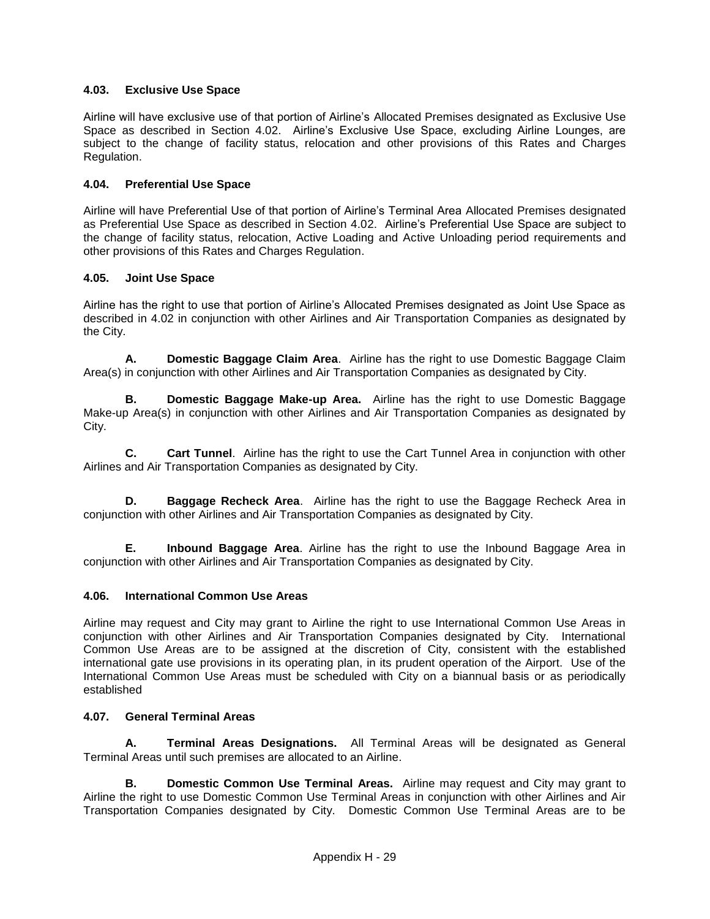## **4.03. Exclusive Use Space**

Airline will have exclusive use of that portion of Airline's Allocated Premises designated as Exclusive Use Space as described in Section 4.02. Airline's Exclusive Use Space, excluding Airline Lounges, are subject to the change of facility status, relocation and other provisions of this Rates and Charges Regulation.

## **4.04. Preferential Use Space**

Airline will have Preferential Use of that portion of Airline's Terminal Area Allocated Premises designated as Preferential Use Space as described in Section 4.02. Airline's Preferential Use Space are subject to the change of facility status, relocation, Active Loading and Active Unloading period requirements and other provisions of this Rates and Charges Regulation.

#### **4.05. Joint Use Space**

Airline has the right to use that portion of Airline's Allocated Premises designated as Joint Use Space as described in 4.02 in conjunction with other Airlines and Air Transportation Companies as designated by the City.

**A. Domestic Baggage Claim Area**. Airline has the right to use Domestic Baggage Claim Area(s) in conjunction with other Airlines and Air Transportation Companies as designated by City.

**B. Domestic Baggage Make-up Area.** Airline has the right to use Domestic Baggage Make-up Area(s) in conjunction with other Airlines and Air Transportation Companies as designated by City.

**C. Cart Tunnel**. Airline has the right to use the Cart Tunnel Area in conjunction with other Airlines and Air Transportation Companies as designated by City.

**D. Baggage Recheck Area**. Airline has the right to use the Baggage Recheck Area in conjunction with other Airlines and Air Transportation Companies as designated by City.

**E. Inbound Baggage Area**. Airline has the right to use the Inbound Baggage Area in conjunction with other Airlines and Air Transportation Companies as designated by City.

#### **4.06. International Common Use Areas**

Airline may request and City may grant to Airline the right to use International Common Use Areas in conjunction with other Airlines and Air Transportation Companies designated by City. International Common Use Areas are to be assigned at the discretion of City, consistent with the established international gate use provisions in its operating plan, in its prudent operation of the Airport. Use of the International Common Use Areas must be scheduled with City on a biannual basis or as periodically established

## **4.07. General Terminal Areas**

**A. Terminal Areas Designations.** All Terminal Areas will be designated as General Terminal Areas until such premises are allocated to an Airline.

**B. Domestic Common Use Terminal Areas.** Airline may request and City may grant to Airline the right to use Domestic Common Use Terminal Areas in conjunction with other Airlines and Air Transportation Companies designated by City. Domestic Common Use Terminal Areas are to be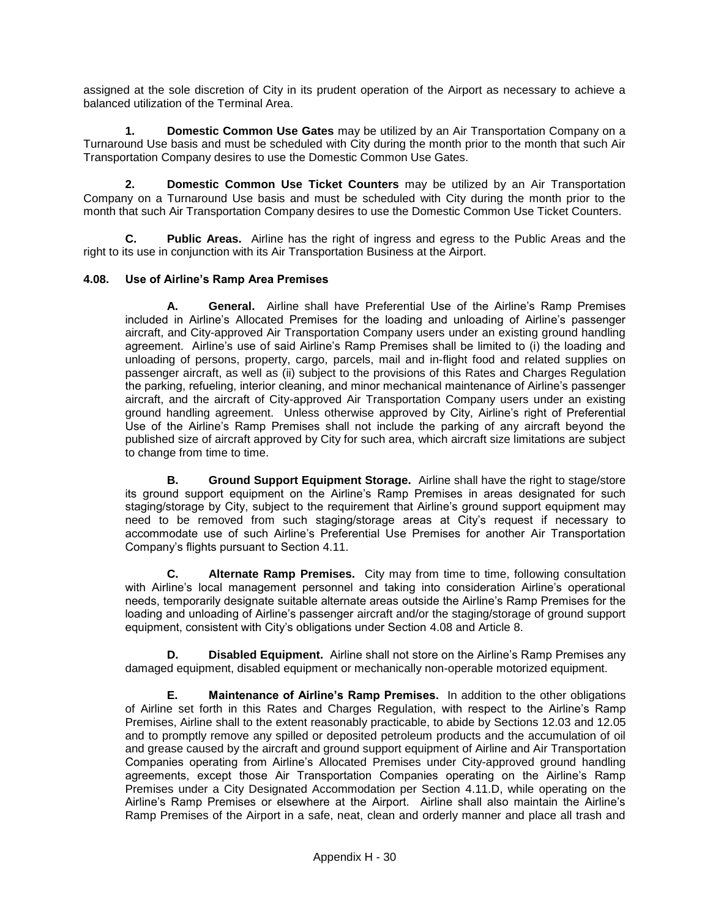assigned at the sole discretion of City in its prudent operation of the Airport as necessary to achieve a balanced utilization of the Terminal Area.

**1. Domestic Common Use Gates** may be utilized by an Air Transportation Company on a Turnaround Use basis and must be scheduled with City during the month prior to the month that such Air Transportation Company desires to use the Domestic Common Use Gates.

**2. Domestic Common Use Ticket Counters** may be utilized by an Air Transportation Company on a Turnaround Use basis and must be scheduled with City during the month prior to the month that such Air Transportation Company desires to use the Domestic Common Use Ticket Counters.

**C. Public Areas.** Airline has the right of ingress and egress to the Public Areas and the right to its use in conjunction with its Air Transportation Business at the Airport.

#### **4.08. Use of Airline's Ramp Area Premises**

**A. General.** Airline shall have Preferential Use of the Airline's Ramp Premises included in Airline's Allocated Premises for the loading and unloading of Airline's passenger aircraft, and City-approved Air Transportation Company users under an existing ground handling agreement. Airline's use of said Airline's Ramp Premises shall be limited to (i) the loading and unloading of persons, property, cargo, parcels, mail and in-flight food and related supplies on passenger aircraft, as well as (ii) subject to the provisions of this Rates and Charges Regulation the parking, refueling, interior cleaning, and minor mechanical maintenance of Airline's passenger aircraft, and the aircraft of City-approved Air Transportation Company users under an existing ground handling agreement. Unless otherwise approved by City, Airline's right of Preferential Use of the Airline's Ramp Premises shall not include the parking of any aircraft beyond the published size of aircraft approved by City for such area, which aircraft size limitations are subject to change from time to time.

**B. Ground Support Equipment Storage.** Airline shall have the right to stage/store its ground support equipment on the Airline's Ramp Premises in areas designated for such staging/storage by City, subject to the requirement that Airline's ground support equipment may need to be removed from such staging/storage areas at City's request if necessary to accommodate use of such Airline's Preferential Use Premises for another Air Transportation Company's flights pursuant to Section 4.11.

**C. Alternate Ramp Premises.** City may from time to time, following consultation with Airline's local management personnel and taking into consideration Airline's operational needs, temporarily designate suitable alternate areas outside the Airline's Ramp Premises for the loading and unloading of Airline's passenger aircraft and/or the staging/storage of ground support equipment, consistent with City's obligations under Section 4.08 and Article 8.

**D. Disabled Equipment.** Airline shall not store on the Airline's Ramp Premises any damaged equipment, disabled equipment or mechanically non-operable motorized equipment.

**E. Maintenance of Airline's Ramp Premises.** In addition to the other obligations of Airline set forth in this Rates and Charges Regulation, with respect to the Airline's Ramp Premises, Airline shall to the extent reasonably practicable, to abide by Sections 12.03 and 12.05 and to promptly remove any spilled or deposited petroleum products and the accumulation of oil and grease caused by the aircraft and ground support equipment of Airline and Air Transportation Companies operating from Airline's Allocated Premises under City-approved ground handling agreements, except those Air Transportation Companies operating on the Airline's Ramp Premises under a City Designated Accommodation per Section 4.11.D, while operating on the Airline's Ramp Premises or elsewhere at the Airport. Airline shall also maintain the Airline's Ramp Premises of the Airport in a safe, neat, clean and orderly manner and place all trash and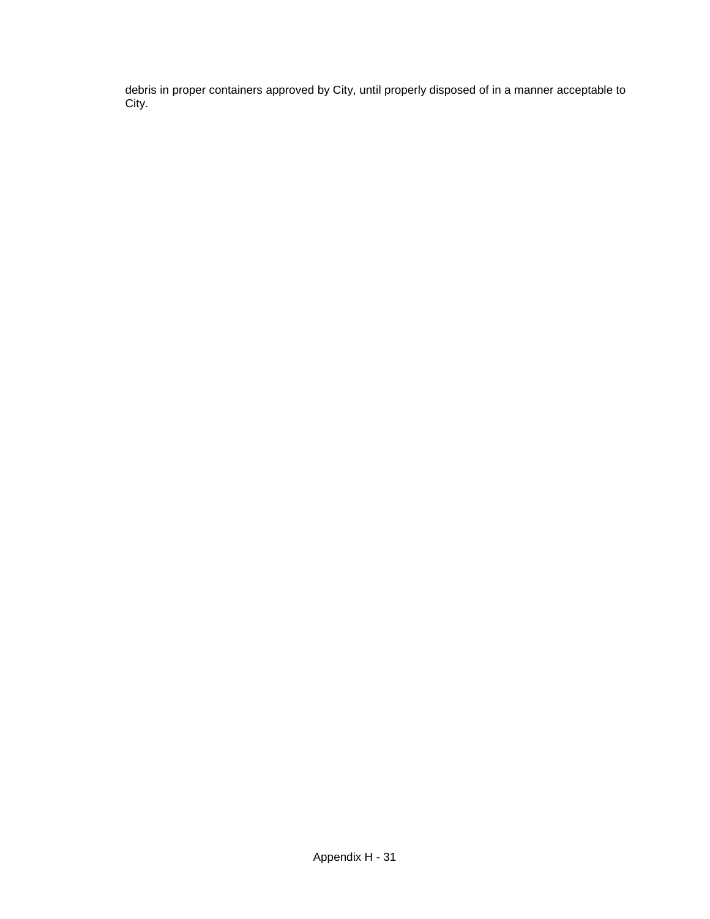debris in proper containers approved by City, until properly disposed of in a manner acceptable to City.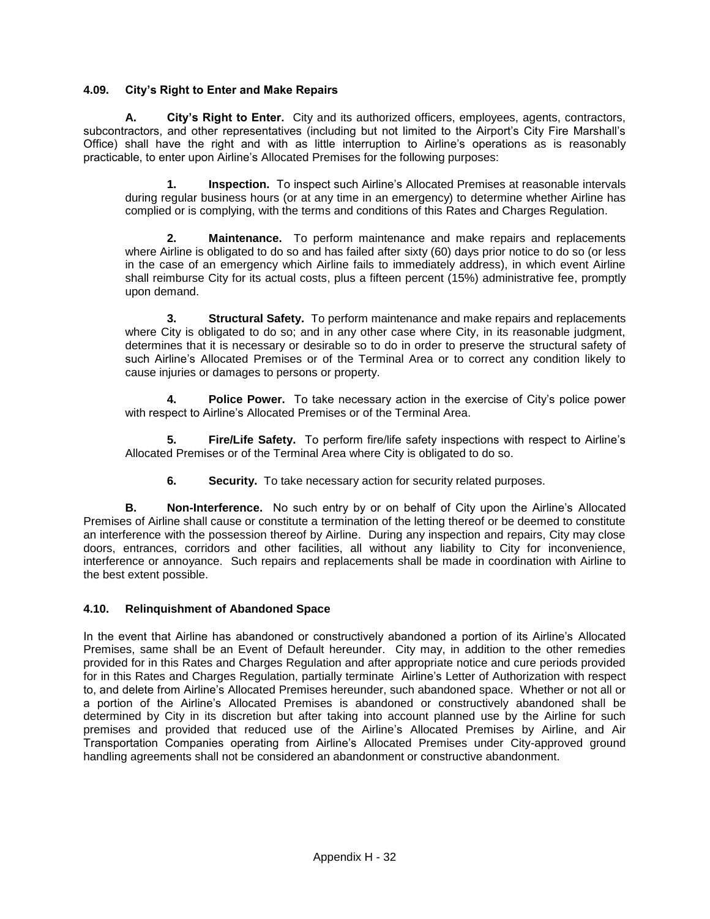### **4.09. City's Right to Enter and Make Repairs**

**A. City's Right to Enter.** City and its authorized officers, employees, agents, contractors, subcontractors, and other representatives (including but not limited to the Airport's City Fire Marshall's Office) shall have the right and with as little interruption to Airline's operations as is reasonably practicable, to enter upon Airline's Allocated Premises for the following purposes:

**1. Inspection.** To inspect such Airline's Allocated Premises at reasonable intervals during regular business hours (or at any time in an emergency) to determine whether Airline has complied or is complying, with the terms and conditions of this Rates and Charges Regulation.

**2. Maintenance.** To perform maintenance and make repairs and replacements where Airline is obligated to do so and has failed after sixty (60) days prior notice to do so (or less in the case of an emergency which Airline fails to immediately address), in which event Airline shall reimburse City for its actual costs, plus a fifteen percent (15%) administrative fee, promptly upon demand.

**3. Structural Safety.** To perform maintenance and make repairs and replacements where City is obligated to do so; and in any other case where City, in its reasonable judgment, determines that it is necessary or desirable so to do in order to preserve the structural safety of such Airline's Allocated Premises or of the Terminal Area or to correct any condition likely to cause injuries or damages to persons or property.

**4. Police Power.** To take necessary action in the exercise of City's police power with respect to Airline's Allocated Premises or of the Terminal Area.

**5. Fire/Life Safety.** To perform fire/life safety inspections with respect to Airline's Allocated Premises or of the Terminal Area where City is obligated to do so.

**6. Security.** To take necessary action for security related purposes.

**B. Non-Interference.** No such entry by or on behalf of City upon the Airline's Allocated Premises of Airline shall cause or constitute a termination of the letting thereof or be deemed to constitute an interference with the possession thereof by Airline. During any inspection and repairs, City may close doors, entrances, corridors and other facilities, all without any liability to City for inconvenience, interference or annoyance. Such repairs and replacements shall be made in coordination with Airline to the best extent possible.

#### **4.10. Relinquishment of Abandoned Space**

In the event that Airline has abandoned or constructively abandoned a portion of its Airline's Allocated Premises, same shall be an Event of Default hereunder. City may, in addition to the other remedies provided for in this Rates and Charges Regulation and after appropriate notice and cure periods provided for in this Rates and Charges Regulation, partially terminate Airline's Letter of Authorization with respect to, and delete from Airline's Allocated Premises hereunder, such abandoned space. Whether or not all or a portion of the Airline's Allocated Premises is abandoned or constructively abandoned shall be determined by City in its discretion but after taking into account planned use by the Airline for such premises and provided that reduced use of the Airline's Allocated Premises by Airline, and Air Transportation Companies operating from Airline's Allocated Premises under City-approved ground handling agreements shall not be considered an abandonment or constructive abandonment.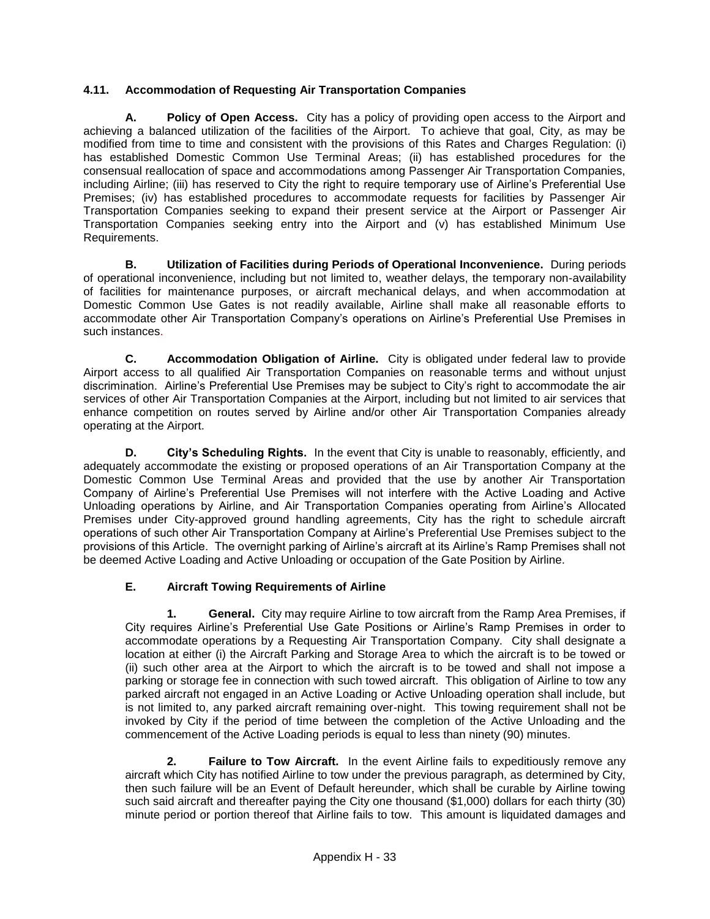## **4.11. Accommodation of Requesting Air Transportation Companies**

**A. Policy of Open Access.** City has a policy of providing open access to the Airport and achieving a balanced utilization of the facilities of the Airport. To achieve that goal, City, as may be modified from time to time and consistent with the provisions of this Rates and Charges Regulation: (i) has established Domestic Common Use Terminal Areas; (ii) has established procedures for the consensual reallocation of space and accommodations among Passenger Air Transportation Companies, including Airline; (iii) has reserved to City the right to require temporary use of Airline's Preferential Use Premises; (iv) has established procedures to accommodate requests for facilities by Passenger Air Transportation Companies seeking to expand their present service at the Airport or Passenger Air Transportation Companies seeking entry into the Airport and (v) has established Minimum Use Requirements.

**B. Utilization of Facilities during Periods of Operational Inconvenience.** During periods of operational inconvenience, including but not limited to, weather delays, the temporary non-availability of facilities for maintenance purposes, or aircraft mechanical delays, and when accommodation at Domestic Common Use Gates is not readily available, Airline shall make all reasonable efforts to accommodate other Air Transportation Company's operations on Airline's Preferential Use Premises in such instances.

**C. Accommodation Obligation of Airline.** City is obligated under federal law to provide Airport access to all qualified Air Transportation Companies on reasonable terms and without unjust discrimination. Airline's Preferential Use Premises may be subject to City's right to accommodate the air services of other Air Transportation Companies at the Airport, including but not limited to air services that enhance competition on routes served by Airline and/or other Air Transportation Companies already operating at the Airport.

**D. City's Scheduling Rights.** In the event that City is unable to reasonably, efficiently, and adequately accommodate the existing or proposed operations of an Air Transportation Company at the Domestic Common Use Terminal Areas and provided that the use by another Air Transportation Company of Airline's Preferential Use Premises will not interfere with the Active Loading and Active Unloading operations by Airline, and Air Transportation Companies operating from Airline's Allocated Premises under City-approved ground handling agreements, City has the right to schedule aircraft operations of such other Air Transportation Company at Airline's Preferential Use Premises subject to the provisions of this Article. The overnight parking of Airline's aircraft at its Airline's Ramp Premises shall not be deemed Active Loading and Active Unloading or occupation of the Gate Position by Airline.

## **E. Aircraft Towing Requirements of Airline**

**1. General.** City may require Airline to tow aircraft from the Ramp Area Premises, if City requires Airline's Preferential Use Gate Positions or Airline's Ramp Premises in order to accommodate operations by a Requesting Air Transportation Company. City shall designate a location at either (i) the Aircraft Parking and Storage Area to which the aircraft is to be towed or (ii) such other area at the Airport to which the aircraft is to be towed and shall not impose a parking or storage fee in connection with such towed aircraft. This obligation of Airline to tow any parked aircraft not engaged in an Active Loading or Active Unloading operation shall include, but is not limited to, any parked aircraft remaining over-night. This towing requirement shall not be invoked by City if the period of time between the completion of the Active Unloading and the commencement of the Active Loading periods is equal to less than ninety (90) minutes.

**2. Failure to Tow Aircraft.** In the event Airline fails to expeditiously remove any aircraft which City has notified Airline to tow under the previous paragraph, as determined by City, then such failure will be an Event of Default hereunder, which shall be curable by Airline towing such said aircraft and thereafter paying the City one thousand (\$1,000) dollars for each thirty (30) minute period or portion thereof that Airline fails to tow. This amount is liquidated damages and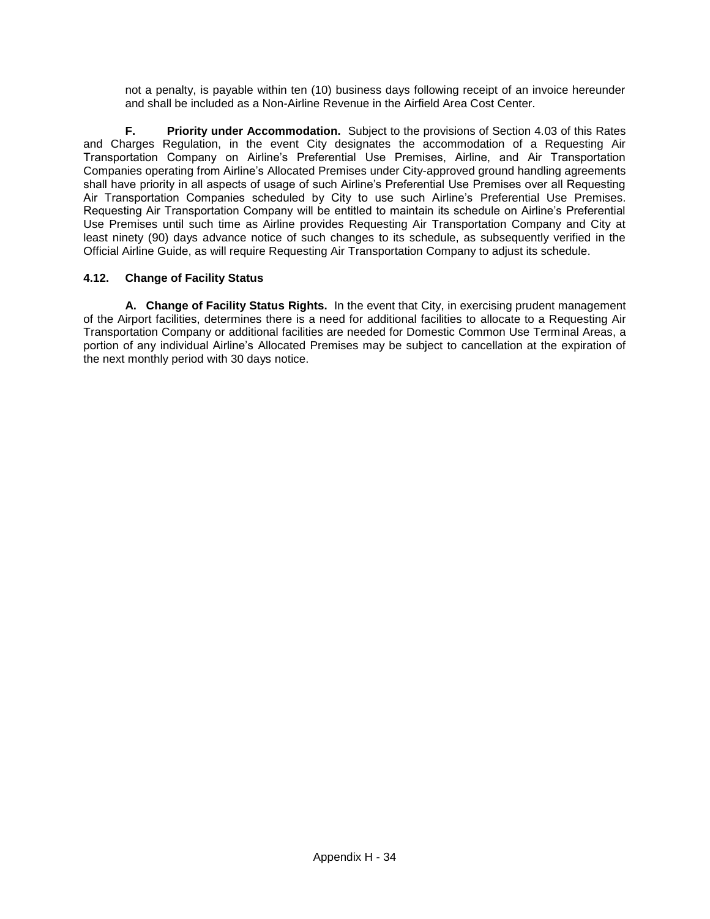not a penalty, is payable within ten (10) business days following receipt of an invoice hereunder and shall be included as a Non-Airline Revenue in the Airfield Area Cost Center.

**F. Priority under Accommodation.** Subject to the provisions of Section 4.03 of this Rates and Charges Regulation, in the event City designates the accommodation of a Requesting Air Transportation Company on Airline's Preferential Use Premises, Airline, and Air Transportation Companies operating from Airline's Allocated Premises under City-approved ground handling agreements shall have priority in all aspects of usage of such Airline's Preferential Use Premises over all Requesting Air Transportation Companies scheduled by City to use such Airline's Preferential Use Premises. Requesting Air Transportation Company will be entitled to maintain its schedule on Airline's Preferential Use Premises until such time as Airline provides Requesting Air Transportation Company and City at least ninety (90) days advance notice of such changes to its schedule, as subsequently verified in the Official Airline Guide, as will require Requesting Air Transportation Company to adjust its schedule.

## **4.12. Change of Facility Status**

**A. Change of Facility Status Rights.** In the event that City, in exercising prudent management of the Airport facilities, determines there is a need for additional facilities to allocate to a Requesting Air Transportation Company or additional facilities are needed for Domestic Common Use Terminal Areas, a portion of any individual Airline's Allocated Premises may be subject to cancellation at the expiration of the next monthly period with 30 days notice.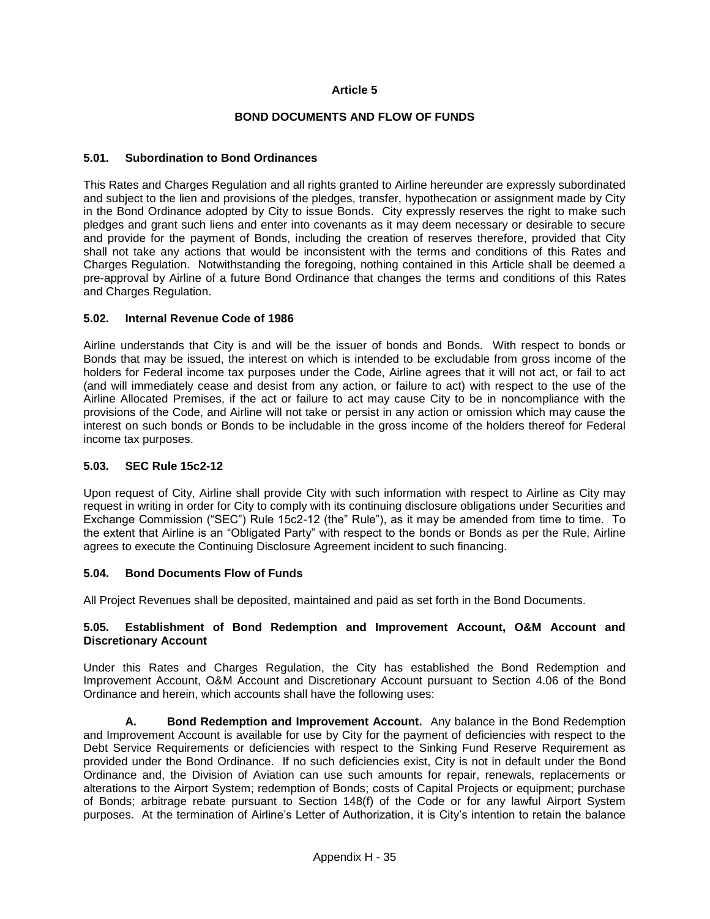#### **Article 5**

#### **BOND DOCUMENTS AND FLOW OF FUNDS**

#### **5.01. Subordination to Bond Ordinances**

This Rates and Charges Regulation and all rights granted to Airline hereunder are expressly subordinated and subject to the lien and provisions of the pledges, transfer, hypothecation or assignment made by City in the Bond Ordinance adopted by City to issue Bonds. City expressly reserves the right to make such pledges and grant such liens and enter into covenants as it may deem necessary or desirable to secure and provide for the payment of Bonds, including the creation of reserves therefore, provided that City shall not take any actions that would be inconsistent with the terms and conditions of this Rates and Charges Regulation. Notwithstanding the foregoing, nothing contained in this Article shall be deemed a pre-approval by Airline of a future Bond Ordinance that changes the terms and conditions of this Rates and Charges Regulation.

#### **5.02. Internal Revenue Code of 1986**

Airline understands that City is and will be the issuer of bonds and Bonds. With respect to bonds or Bonds that may be issued, the interest on which is intended to be excludable from gross income of the holders for Federal income tax purposes under the Code, Airline agrees that it will not act, or fail to act (and will immediately cease and desist from any action, or failure to act) with respect to the use of the Airline Allocated Premises, if the act or failure to act may cause City to be in noncompliance with the provisions of the Code, and Airline will not take or persist in any action or omission which may cause the interest on such bonds or Bonds to be includable in the gross income of the holders thereof for Federal income tax purposes.

#### **5.03. SEC Rule 15c2-12**

Upon request of City, Airline shall provide City with such information with respect to Airline as City may request in writing in order for City to comply with its continuing disclosure obligations under Securities and Exchange Commission ("SEC") Rule 15c2-12 (the" Rule"), as it may be amended from time to time. To the extent that Airline is an "Obligated Party" with respect to the bonds or Bonds as per the Rule, Airline agrees to execute the Continuing Disclosure Agreement incident to such financing.

#### **5.04. Bond Documents Flow of Funds**

All Project Revenues shall be deposited, maintained and paid as set forth in the Bond Documents.

#### **5.05. Establishment of Bond Redemption and Improvement Account, O&M Account and Discretionary Account**

Under this Rates and Charges Regulation, the City has established the Bond Redemption and Improvement Account, O&M Account and Discretionary Account pursuant to Section 4.06 of the Bond Ordinance and herein, which accounts shall have the following uses:

**A. Bond Redemption and Improvement Account.** Any balance in the Bond Redemption and Improvement Account is available for use by City for the payment of deficiencies with respect to the Debt Service Requirements or deficiencies with respect to the Sinking Fund Reserve Requirement as provided under the Bond Ordinance. If no such deficiencies exist, City is not in default under the Bond Ordinance and, the Division of Aviation can use such amounts for repair, renewals, replacements or alterations to the Airport System; redemption of Bonds; costs of Capital Projects or equipment; purchase of Bonds; arbitrage rebate pursuant to Section 148(f) of the Code or for any lawful Airport System purposes. At the termination of Airline's Letter of Authorization, it is City's intention to retain the balance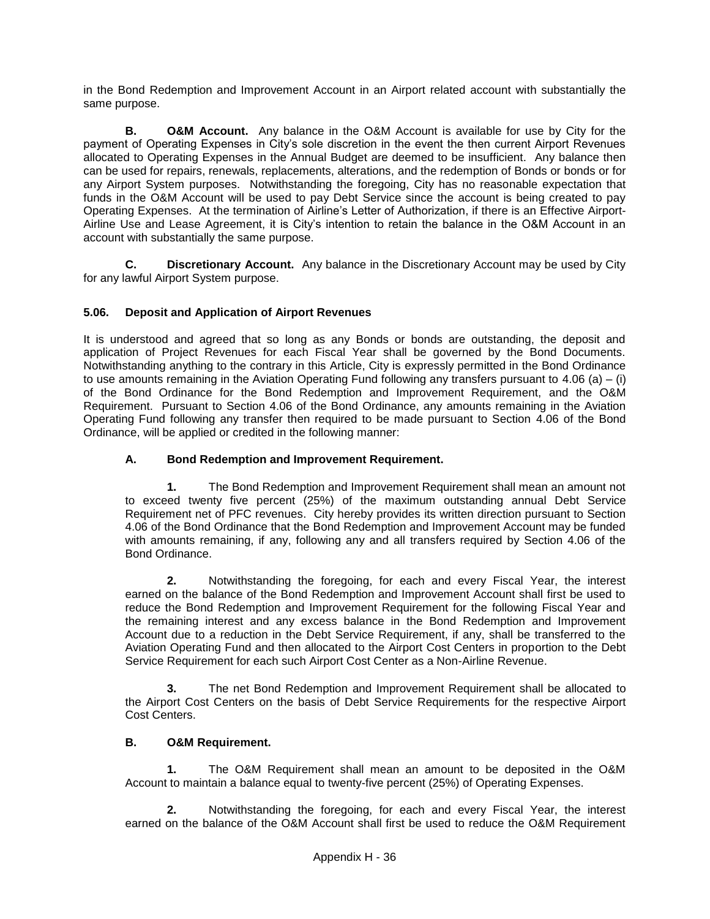in the Bond Redemption and Improvement Account in an Airport related account with substantially the same purpose.

**B. O&M Account.** Any balance in the O&M Account is available for use by City for the payment of Operating Expenses in City's sole discretion in the event the then current Airport Revenues allocated to Operating Expenses in the Annual Budget are deemed to be insufficient. Any balance then can be used for repairs, renewals, replacements, alterations, and the redemption of Bonds or bonds or for any Airport System purposes. Notwithstanding the foregoing, City has no reasonable expectation that funds in the O&M Account will be used to pay Debt Service since the account is being created to pay Operating Expenses. At the termination of Airline's Letter of Authorization, if there is an Effective Airport-Airline Use and Lease Agreement, it is City's intention to retain the balance in the O&M Account in an account with substantially the same purpose.

**C. Discretionary Account.** Any balance in the Discretionary Account may be used by City for any lawful Airport System purpose.

## **5.06. Deposit and Application of Airport Revenues**

It is understood and agreed that so long as any Bonds or bonds are outstanding, the deposit and application of Project Revenues for each Fiscal Year shall be governed by the Bond Documents. Notwithstanding anything to the contrary in this Article, City is expressly permitted in the Bond Ordinance to use amounts remaining in the Aviation Operating Fund following any transfers pursuant to 4.06 (a) – (i) of the Bond Ordinance for the Bond Redemption and Improvement Requirement, and the O&M Requirement. Pursuant to Section 4.06 of the Bond Ordinance, any amounts remaining in the Aviation Operating Fund following any transfer then required to be made pursuant to Section 4.06 of the Bond Ordinance, will be applied or credited in the following manner:

## **A. Bond Redemption and Improvement Requirement.**

**1.** The Bond Redemption and Improvement Requirement shall mean an amount not to exceed twenty five percent (25%) of the maximum outstanding annual Debt Service Requirement net of PFC revenues. City hereby provides its written direction pursuant to Section 4.06 of the Bond Ordinance that the Bond Redemption and Improvement Account may be funded with amounts remaining, if any, following any and all transfers required by Section 4.06 of the Bond Ordinance.

**2.** Notwithstanding the foregoing, for each and every Fiscal Year, the interest earned on the balance of the Bond Redemption and Improvement Account shall first be used to reduce the Bond Redemption and Improvement Requirement for the following Fiscal Year and the remaining interest and any excess balance in the Bond Redemption and Improvement Account due to a reduction in the Debt Service Requirement, if any, shall be transferred to the Aviation Operating Fund and then allocated to the Airport Cost Centers in proportion to the Debt Service Requirement for each such Airport Cost Center as a Non-Airline Revenue.

**3.** The net Bond Redemption and Improvement Requirement shall be allocated to the Airport Cost Centers on the basis of Debt Service Requirements for the respective Airport Cost Centers.

#### **B. O&M Requirement.**

**1.** The O&M Requirement shall mean an amount to be deposited in the O&M Account to maintain a balance equal to twenty-five percent (25%) of Operating Expenses.

**2.** Notwithstanding the foregoing, for each and every Fiscal Year, the interest earned on the balance of the O&M Account shall first be used to reduce the O&M Requirement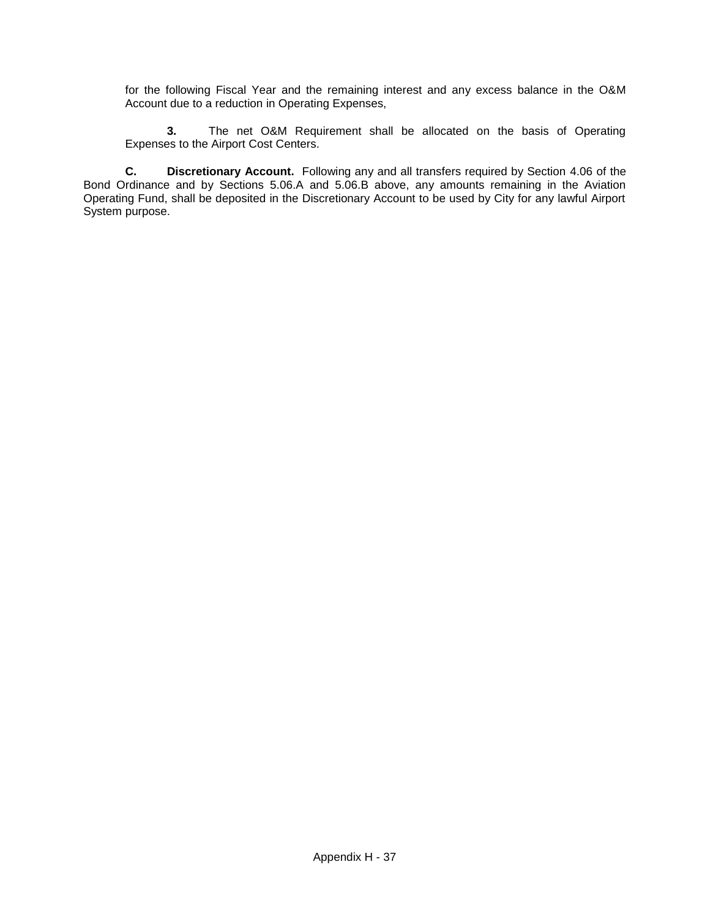for the following Fiscal Year and the remaining interest and any excess balance in the O&M Account due to a reduction in Operating Expenses,

**3.** The net O&M Requirement shall be allocated on the basis of Operating Expenses to the Airport Cost Centers.

**C. Discretionary Account.** Following any and all transfers required by Section 4.06 of the Bond Ordinance and by Sections 5.06.A and 5.06.B above, any amounts remaining in the Aviation Operating Fund, shall be deposited in the Discretionary Account to be used by City for any lawful Airport System purpose.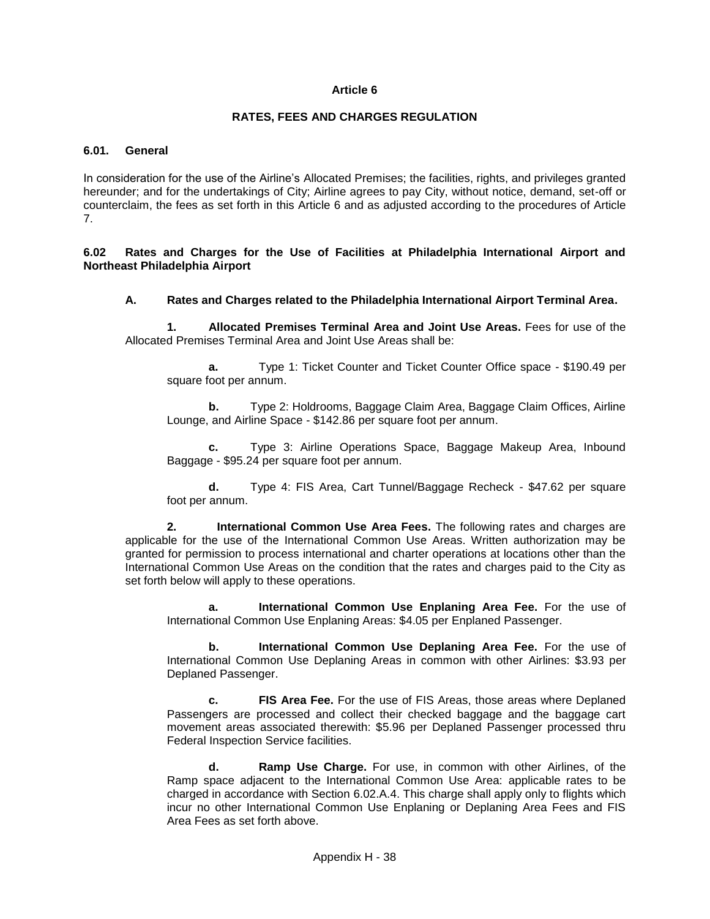### **RATES, FEES AND CHARGES REGULATION**

### **6.01. General**

In consideration for the use of the Airline's Allocated Premises; the facilities, rights, and privileges granted hereunder; and for the undertakings of City; Airline agrees to pay City, without notice, demand, set-off or counterclaim, the fees as set forth in this Article 6 and as adjusted according to the procedures of Article 7.

**6.02 Rates and Charges for the Use of Facilities at Philadelphia International Airport and Northeast Philadelphia Airport**

### **A. Rates and Charges related to the Philadelphia International Airport Terminal Area.**

**1. Allocated Premises Terminal Area and Joint Use Areas.** Fees for use of the Allocated Premises Terminal Area and Joint Use Areas shall be:

**a.** Type 1: Ticket Counter and Ticket Counter Office space - \$190.49 per square foot per annum.

**b.** Type 2: Holdrooms, Baggage Claim Area, Baggage Claim Offices, Airline Lounge, and Airline Space - \$142.86 per square foot per annum.

**c.** Type 3: Airline Operations Space, Baggage Makeup Area, Inbound Baggage - \$95.24 per square foot per annum.

**d.** Type 4: FIS Area, Cart Tunnel/Baggage Recheck - \$47.62 per square foot per annum.

**2. International Common Use Area Fees.** The following rates and charges are applicable for the use of the International Common Use Areas. Written authorization may be granted for permission to process international and charter operations at locations other than the International Common Use Areas on the condition that the rates and charges paid to the City as set forth below will apply to these operations.

**a. International Common Use Enplaning Area Fee.** For the use of International Common Use Enplaning Areas: \$4.05 per Enplaned Passenger.

**b. International Common Use Deplaning Area Fee.** For the use of International Common Use Deplaning Areas in common with other Airlines: \$3.93 per Deplaned Passenger.

**c. FIS Area Fee.** For the use of FIS Areas, those areas where Deplaned Passengers are processed and collect their checked baggage and the baggage cart movement areas associated therewith: \$5.96 per Deplaned Passenger processed thru Federal Inspection Service facilities.

**d. Ramp Use Charge.** For use, in common with other Airlines, of the Ramp space adjacent to the International Common Use Area: applicable rates to be charged in accordance with Section 6.02.A.4. This charge shall apply only to flights which incur no other International Common Use Enplaning or Deplaning Area Fees and FIS Area Fees as set forth above.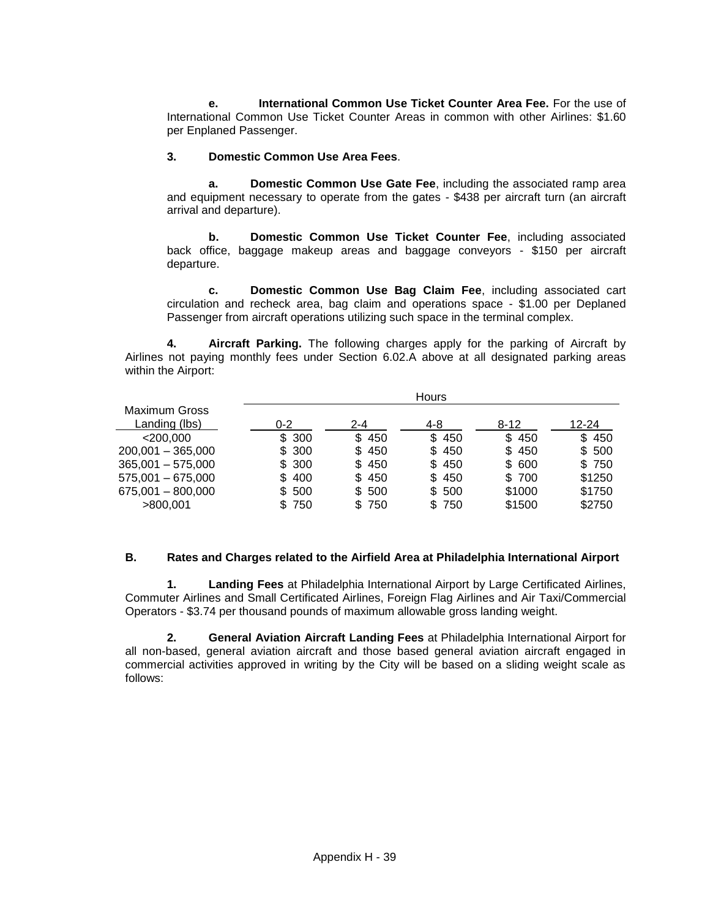**e. International Common Use Ticket Counter Area Fee.** For the use of International Common Use Ticket Counter Areas in common with other Airlines: \$1.60 per Enplaned Passenger.

## **3. Domestic Common Use Area Fees**.

**a. Domestic Common Use Gate Fee**, including the associated ramp area and equipment necessary to operate from the gates - \$438 per aircraft turn (an aircraft arrival and departure).

**b. Domestic Common Use Ticket Counter Fee**, including associated back office, baggage makeup areas and baggage conveyors - \$150 per aircraft departure.

**c. Domestic Common Use Bag Claim Fee**, including associated cart circulation and recheck area, bag claim and operations space - \$1.00 per Deplaned Passenger from aircraft operations utilizing such space in the terminal complex.

**4. Aircraft Parking.** The following charges apply for the parking of Aircraft by Airlines not paying monthly fees under Section 6.02.A above at all designated parking areas within the Airport:

|                                       | <b>Hours</b> |         |       |          |        |
|---------------------------------------|--------------|---------|-------|----------|--------|
| <b>Maximum Gross</b><br>Landing (lbs) | $0 - 2$      | $2 - 4$ | 4-8   | $8 - 12$ | 12-24  |
| $<$ 200,000                           | \$300        | \$450   | \$450 | \$450    | \$450  |
| $200,001 - 365,000$                   | \$300        | \$450   | \$450 | \$450    | \$500  |
| $365,001 - 575,000$                   | \$300        | \$450   | \$450 | \$ 600   | \$750  |
| $575,001 - 675,000$                   | \$400        | \$450   | \$450 | \$700    | \$1250 |
| $675,001 - 800,000$                   | \$500        | \$ 500  | \$500 | \$1000   | \$1750 |
| >800.001                              | 750          | \$750   | \$750 | \$1500   | \$2750 |

## **B. Rates and Charges related to the Airfield Area at Philadelphia International Airport**

**1. Landing Fees** at Philadelphia International Airport by Large Certificated Airlines, Commuter Airlines and Small Certificated Airlines, Foreign Flag Airlines and Air Taxi/Commercial Operators - \$3.74 per thousand pounds of maximum allowable gross landing weight.

**2. General Aviation Aircraft Landing Fees** at Philadelphia International Airport for all non-based, general aviation aircraft and those based general aviation aircraft engaged in commercial activities approved in writing by the City will be based on a sliding weight scale as follows: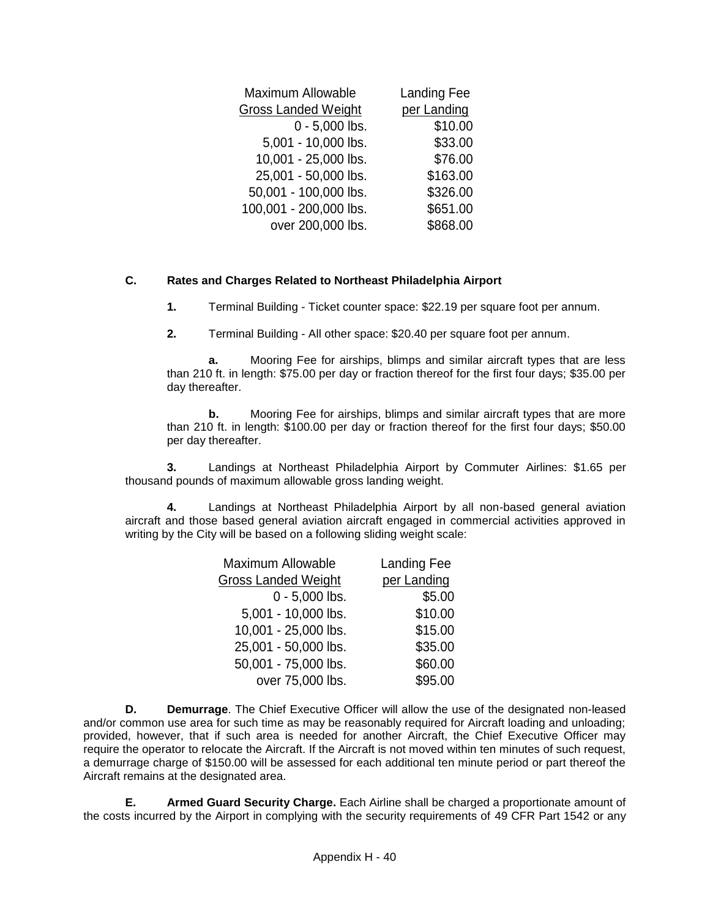| Maximum Allowable          | <b>Landing Fee</b> |
|----------------------------|--------------------|
| <b>Gross Landed Weight</b> | per Landing        |
| $0 - 5,000$ lbs.           | \$10.00            |
| 5,001 - 10,000 lbs.        | \$33.00            |
| 10,001 - 25,000 lbs.       | \$76.00            |
| 25,001 - 50,000 lbs.       | \$163.00           |
| 50,001 - 100,000 lbs.      | \$326.00           |
| 100,001 - 200,000 lbs.     | \$651.00           |
| over 200,000 lbs.          | \$868.00           |

## **C. Rates and Charges Related to Northeast Philadelphia Airport**

**1.** Terminal Building - Ticket counter space: \$22.19 per square foot per annum.

**2.** Terminal Building - All other space: \$20.40 per square foot per annum.

**a.** Mooring Fee for airships, blimps and similar aircraft types that are less than 210 ft. in length: \$75.00 per day or fraction thereof for the first four days; \$35.00 per day thereafter.

**b.** Mooring Fee for airships, blimps and similar aircraft types that are more than 210 ft. in length: \$100.00 per day or fraction thereof for the first four days; \$50.00 per day thereafter.

**3.** Landings at Northeast Philadelphia Airport by Commuter Airlines: \$1.65 per thousand pounds of maximum allowable gross landing weight.

**4.** Landings at Northeast Philadelphia Airport by all non-based general aviation aircraft and those based general aviation aircraft engaged in commercial activities approved in writing by the City will be based on a following sliding weight scale:

| Maximum Allowable          | <b>Landing Fee</b> |
|----------------------------|--------------------|
| <b>Gross Landed Weight</b> | per Landing        |
| $0 - 5,000$ lbs.           | \$5.00             |
| 5,001 - 10,000 lbs.        | \$10.00            |
| 10,001 - 25,000 lbs.       | \$15.00            |
| 25,001 - 50,000 lbs.       | \$35.00            |
| 50,001 - 75,000 lbs.       | \$60.00            |
| over 75,000 lbs.           | \$95.00            |

**D. Demurrage**. The Chief Executive Officer will allow the use of the designated non-leased and/or common use area for such time as may be reasonably required for Aircraft loading and unloading; provided, however, that if such area is needed for another Aircraft, the Chief Executive Officer may require the operator to relocate the Aircraft. If the Aircraft is not moved within ten minutes of such request, a demurrage charge of \$150.00 will be assessed for each additional ten minute period or part thereof the Aircraft remains at the designated area.

**E. Armed Guard Security Charge.** Each Airline shall be charged a proportionate amount of the costs incurred by the Airport in complying with the security requirements of 49 CFR Part 1542 or any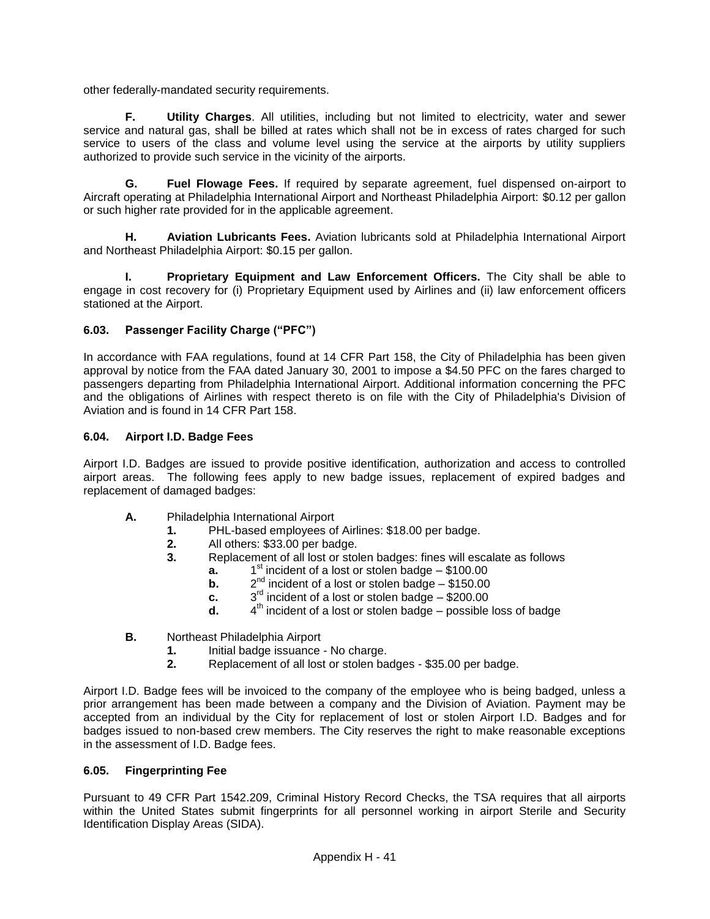other federally-mandated security requirements.

**F. Utility Charges**. All utilities, including but not limited to electricity, water and sewer service and natural gas, shall be billed at rates which shall not be in excess of rates charged for such service to users of the class and volume level using the service at the airports by utility suppliers authorized to provide such service in the vicinity of the airports.

**G. Fuel Flowage Fees.** If required by separate agreement, fuel dispensed on-airport to Aircraft operating at Philadelphia International Airport and Northeast Philadelphia Airport: \$0.12 per gallon or such higher rate provided for in the applicable agreement.

**H. Aviation Lubricants Fees.** Aviation lubricants sold at Philadelphia International Airport and Northeast Philadelphia Airport: \$0.15 per gallon.

**I. Proprietary Equipment and Law Enforcement Officers.** The City shall be able to engage in cost recovery for (i) Proprietary Equipment used by Airlines and (ii) law enforcement officers stationed at the Airport.

# **6.03. Passenger Facility Charge ("PFC")**

In accordance with FAA regulations, found at 14 CFR Part 158, the City of Philadelphia has been given approval by notice from the FAA dated January 30, 2001 to impose a \$4.50 PFC on the fares charged to passengers departing from Philadelphia International Airport. Additional information concerning the PFC and the obligations of Airlines with respect thereto is on file with the City of Philadelphia's Division of Aviation and is found in 14 CFR Part 158.

## **6.04. Airport I.D. Badge Fees**

Airport I.D. Badges are issued to provide positive identification, authorization and access to controlled airport areas. The following fees apply to new badge issues, replacement of expired badges and replacement of damaged badges:

- **A.** Philadelphia International Airport
	- **1.** PHL-based employees of Airlines: \$18.00 per badge.
	- **2.** All others: \$33.00 per badge.<br>**3.** Replacement of all lost or stol
	- **3.** Replacement of all lost or stolen badges: fines will escalate as follows
		- **a.** 1  $1<sup>st</sup>$  incident of a lost or stolen badge – \$100.00
		- **b.** 2  $2^{nd}$  incident of a lost or stolen badge – \$150.00
		- **c.** 3  $3<sup>rd</sup>$  incident of a lost or stolen badge – \$200.00
		- **d.** 4  $4<sup>th</sup>$  incident of a lost or stolen badge – possible loss of badge
- **B.** Northeast Philadelphia Airport
	- **1.** Initial badge issuance No charge.<br>**2.** Replacement of all lost or stolen ba
	- **2.** Replacement of all lost or stolen badges \$35.00 per badge.

Airport I.D. Badge fees will be invoiced to the company of the employee who is being badged, unless a prior arrangement has been made between a company and the Division of Aviation. Payment may be accepted from an individual by the City for replacement of lost or stolen Airport I.D. Badges and for badges issued to non-based crew members. The City reserves the right to make reasonable exceptions in the assessment of I.D. Badge fees.

## **6.05. Fingerprinting Fee**

Pursuant to 49 CFR Part 1542.209, Criminal History Record Checks, the TSA requires that all airports within the United States submit fingerprints for all personnel working in airport Sterile and Security Identification Display Areas (SIDA).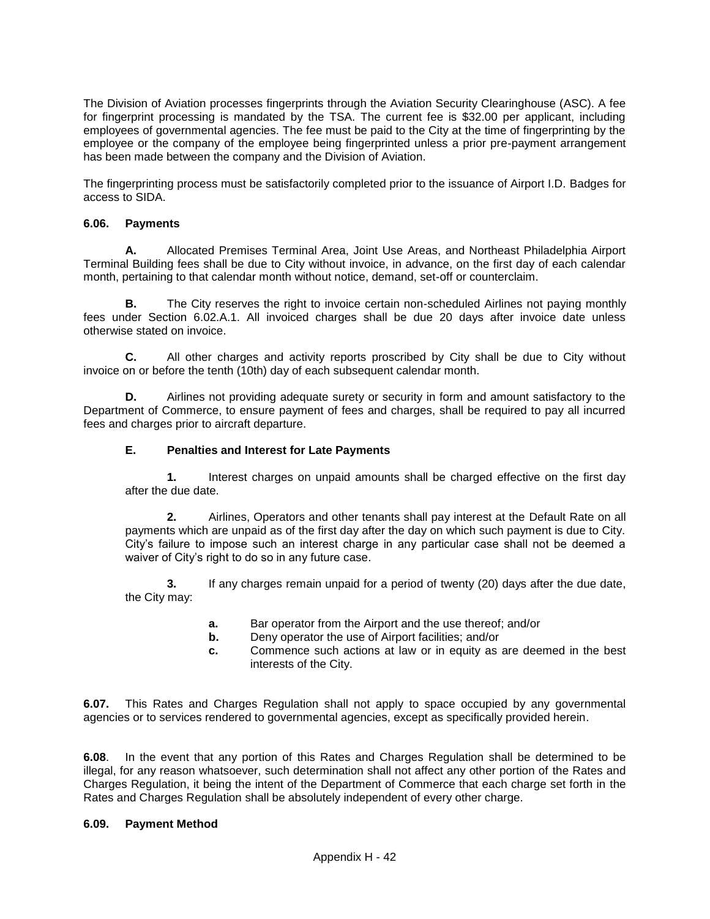The Division of Aviation processes fingerprints through the Aviation Security Clearinghouse (ASC). A fee for fingerprint processing is mandated by the TSA. The current fee is \$32.00 per applicant, including employees of governmental agencies. The fee must be paid to the City at the time of fingerprinting by the employee or the company of the employee being fingerprinted unless a prior pre-payment arrangement has been made between the company and the Division of Aviation.

The fingerprinting process must be satisfactorily completed prior to the issuance of Airport I.D. Badges for access to SIDA.

## **6.06. Payments**

**A.** Allocated Premises Terminal Area, Joint Use Areas, and Northeast Philadelphia Airport Terminal Building fees shall be due to City without invoice, in advance, on the first day of each calendar month, pertaining to that calendar month without notice, demand, set-off or counterclaim.

**B.** The City reserves the right to invoice certain non-scheduled Airlines not paying monthly fees under Section 6.02.A.1. All invoiced charges shall be due 20 days after invoice date unless otherwise stated on invoice.

**C.** All other charges and activity reports proscribed by City shall be due to City without invoice on or before the tenth (10th) day of each subsequent calendar month.

**D.** Airlines not providing adequate surety or security in form and amount satisfactory to the Department of Commerce, to ensure payment of fees and charges, shall be required to pay all incurred fees and charges prior to aircraft departure.

### **E. Penalties and Interest for Late Payments**

**1.** Interest charges on unpaid amounts shall be charged effective on the first day after the due date.

**2.** Airlines, Operators and other tenants shall pay interest at the Default Rate on all payments which are unpaid as of the first day after the day on which such payment is due to City. City's failure to impose such an interest charge in any particular case shall not be deemed a waiver of City's right to do so in any future case.

**3.** If any charges remain unpaid for a period of twenty (20) days after the due date, the City may:

- **a.** Bar operator from the Airport and the use thereof; and/or
- **b.** Deny operator the use of Airport facilities; and/or
- **c.** Commence such actions at law or in equity as are deemed in the best interests of the City.

**6.07.** This Rates and Charges Regulation shall not apply to space occupied by any governmental agencies or to services rendered to governmental agencies, except as specifically provided herein.

**6.08**. In the event that any portion of this Rates and Charges Regulation shall be determined to be illegal, for any reason whatsoever, such determination shall not affect any other portion of the Rates and Charges Regulation, it being the intent of the Department of Commerce that each charge set forth in the Rates and Charges Regulation shall be absolutely independent of every other charge.

#### **6.09. Payment Method**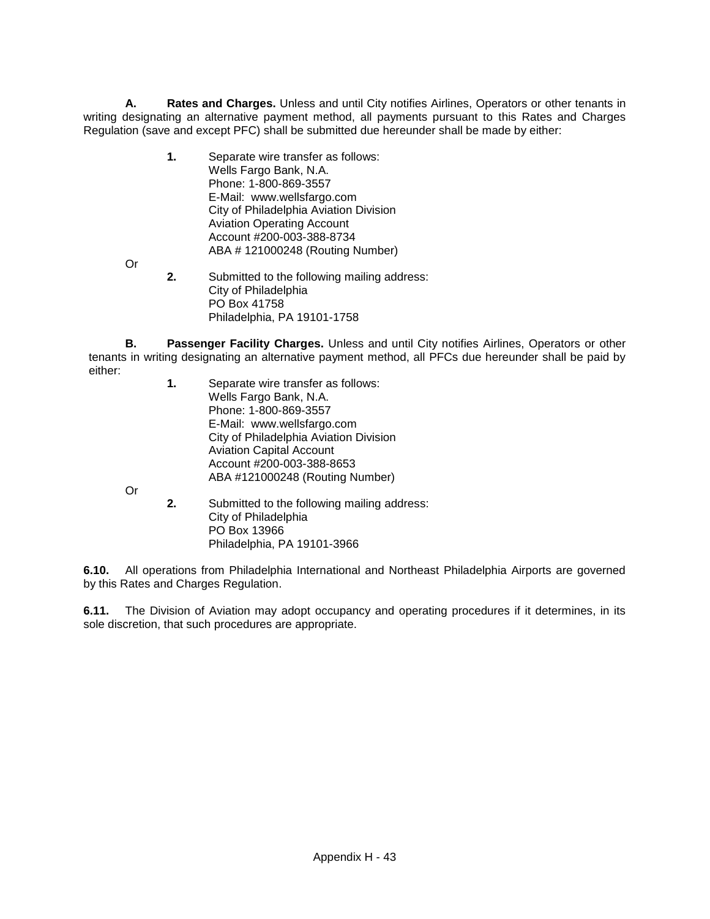**A. Rates and Charges.** Unless and until City notifies Airlines, Operators or other tenants in writing designating an alternative payment method, all payments pursuant to this Rates and Charges Regulation (save and except PFC) shall be submitted due hereunder shall be made by either:

- **1.** Separate wire transfer as follows: Wells Fargo Bank, N.A. Phone: 1-800-869-3557 E-Mail: www.wellsfargo.com City of Philadelphia Aviation Division Aviation Operating Account Account #200-003-388-8734 ABA # 121000248 (Routing Number)
- Or
	- **2.** Submitted to the following mailing address: City of Philadelphia PO Box 41758 Philadelphia, PA 19101-1758

**B. Passenger Facility Charges.** Unless and until City notifies Airlines, Operators or other tenants in writing designating an alternative payment method, all PFCs due hereunder shall be paid by either:

**1.** Separate wire transfer as follows: Wells Fargo Bank, N.A. Phone: 1-800-869-3557 E-Mail: www.wellsfargo.com City of Philadelphia Aviation Division Aviation Capital Account Account #200-003-388-8653 ABA #121000248 (Routing Number)

Or

**2.** Submitted to the following mailing address: City of Philadelphia PO Box 13966 Philadelphia, PA 19101-3966

**6.10.** All operations from Philadelphia International and Northeast Philadelphia Airports are governed by this Rates and Charges Regulation.

**6.11.** The Division of Aviation may adopt occupancy and operating procedures if it determines, in its sole discretion, that such procedures are appropriate.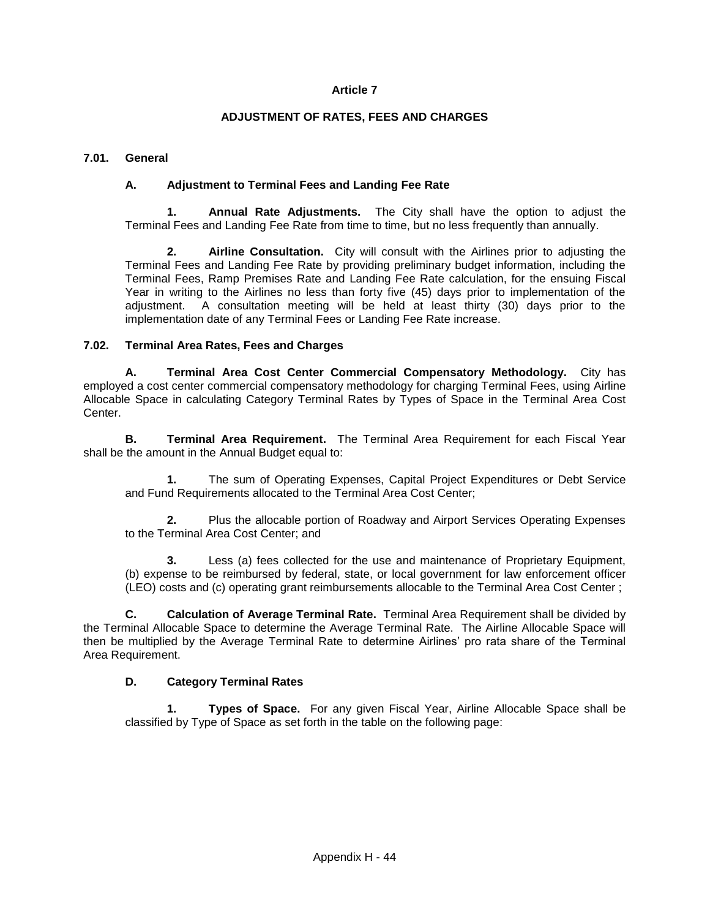### **ADJUSTMENT OF RATES, FEES AND CHARGES**

### **7.01. General**

### **A. Adjustment to Terminal Fees and Landing Fee Rate**

**1. Annual Rate Adjustments.** The City shall have the option to adjust the Terminal Fees and Landing Fee Rate from time to time, but no less frequently than annually.

**2. Airline Consultation.** City will consult with the Airlines prior to adjusting the Terminal Fees and Landing Fee Rate by providing preliminary budget information, including the Terminal Fees, Ramp Premises Rate and Landing Fee Rate calculation, for the ensuing Fiscal Year in writing to the Airlines no less than forty five (45) days prior to implementation of the adjustment. A consultation meeting will be held at least thirty (30) days prior to the implementation date of any Terminal Fees or Landing Fee Rate increase.

### **7.02. Terminal Area Rates, Fees and Charges**

**A. Terminal Area Cost Center Commercial Compensatory Methodology.** City has employed a cost center commercial compensatory methodology for charging Terminal Fees, using Airline Allocable Space in calculating Category Terminal Rates by Types of Space in the Terminal Area Cost Center.

**B. Terminal Area Requirement.** The Terminal Area Requirement for each Fiscal Year shall be the amount in the Annual Budget equal to:

**1.** The sum of Operating Expenses, Capital Project Expenditures or Debt Service and Fund Requirements allocated to the Terminal Area Cost Center;

**2.** Plus the allocable portion of Roadway and Airport Services Operating Expenses to the Terminal Area Cost Center; and

Less (a) fees collected for the use and maintenance of Proprietary Equipment, (b) expense to be reimbursed by federal, state, or local government for law enforcement officer (LEO) costs and (c) operating grant reimbursements allocable to the Terminal Area Cost Center ;

**C. Calculation of Average Terminal Rate.** Terminal Area Requirement shall be divided by the Terminal Allocable Space to determine the Average Terminal Rate. The Airline Allocable Space will then be multiplied by the Average Terminal Rate to determine Airlines' pro rata share of the Terminal Area Requirement.

## **D. Category Terminal Rates**

**1. Types of Space.** For any given Fiscal Year, Airline Allocable Space shall be classified by Type of Space as set forth in the table on the following page: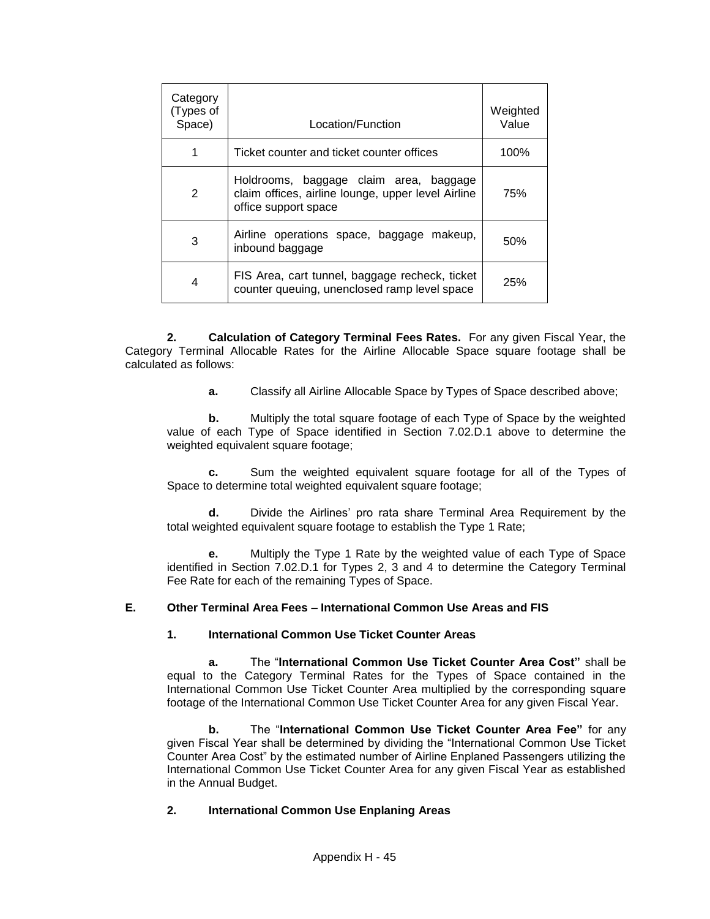| Category<br>(Types of<br>Space) | Location/Function                                                                                                    | Weighted<br>Value |
|---------------------------------|----------------------------------------------------------------------------------------------------------------------|-------------------|
| 1                               | Ticket counter and ticket counter offices                                                                            | 100%              |
| 2                               | Holdrooms, baggage claim area, baggage<br>claim offices, airline lounge, upper level Airline<br>office support space | 75%               |
| 3                               | Airline operations space, baggage makeup,<br>inbound baggage                                                         | 50%               |
| 4                               | FIS Area, cart tunnel, baggage recheck, ticket<br>counter queuing, unenclosed ramp level space                       | 25%               |

**2. Calculation of Category Terminal Fees Rates.** For any given Fiscal Year, the Category Terminal Allocable Rates for the Airline Allocable Space square footage shall be calculated as follows:

**a.** Classify all Airline Allocable Space by Types of Space described above;

**b.** Multiply the total square footage of each Type of Space by the weighted value of each Type of Space identified in Section 7.02.D.1 above to determine the weighted equivalent square footage;

**c.** Sum the weighted equivalent square footage for all of the Types of Space to determine total weighted equivalent square footage;

**d.** Divide the Airlines' pro rata share Terminal Area Requirement by the total weighted equivalent square footage to establish the Type 1 Rate;

**e.** Multiply the Type 1 Rate by the weighted value of each Type of Space identified in Section 7.02.D.1 for Types 2, 3 and 4 to determine the Category Terminal Fee Rate for each of the remaining Types of Space.

## **E. Other Terminal Area Fees – International Common Use Areas and FIS**

## **1. International Common Use Ticket Counter Areas**

**a.** The "**International Common Use Ticket Counter Area Cost"** shall be equal to the Category Terminal Rates for the Types of Space contained in the International Common Use Ticket Counter Area multiplied by the corresponding square footage of the International Common Use Ticket Counter Area for any given Fiscal Year.

**b.** The "**International Common Use Ticket Counter Area Fee"** for any given Fiscal Year shall be determined by dividing the "International Common Use Ticket Counter Area Cost" by the estimated number of Airline Enplaned Passengers utilizing the International Common Use Ticket Counter Area for any given Fiscal Year as established in the Annual Budget.

## **2. International Common Use Enplaning Areas**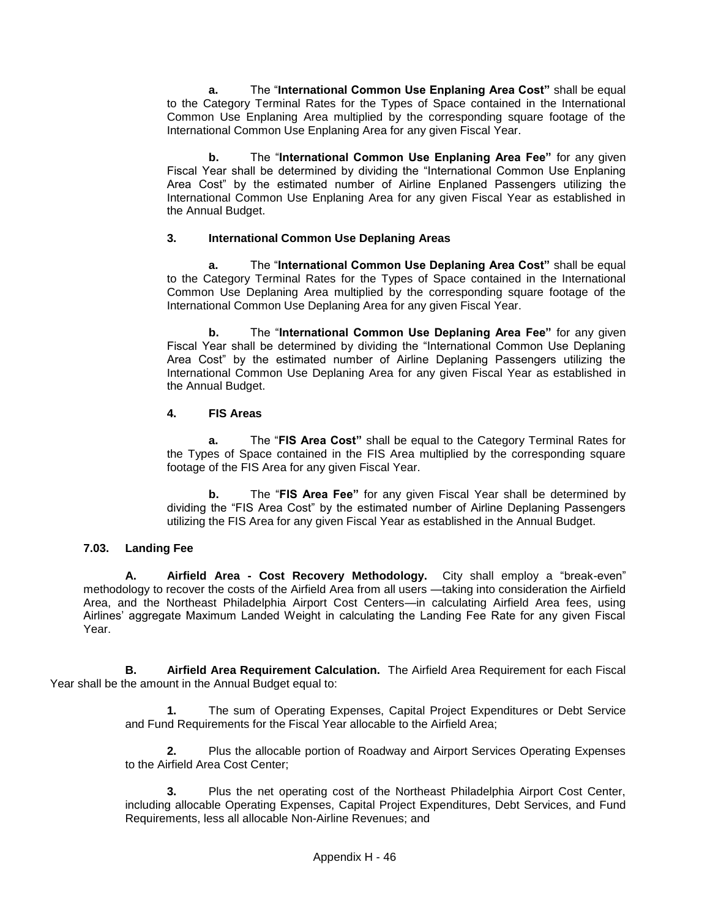**a.** The "**International Common Use Enplaning Area Cost"** shall be equal to the Category Terminal Rates for the Types of Space contained in the International Common Use Enplaning Area multiplied by the corresponding square footage of the International Common Use Enplaning Area for any given Fiscal Year.

**b.** The "**International Common Use Enplaning Area Fee"** for any given Fiscal Year shall be determined by dividing the "International Common Use Enplaning Area Cost" by the estimated number of Airline Enplaned Passengers utilizing the International Common Use Enplaning Area for any given Fiscal Year as established in the Annual Budget.

## **3. International Common Use Deplaning Areas**

**a.** The "**International Common Use Deplaning Area Cost"** shall be equal to the Category Terminal Rates for the Types of Space contained in the International Common Use Deplaning Area multiplied by the corresponding square footage of the International Common Use Deplaning Area for any given Fiscal Year.

**b.** The "**International Common Use Deplaning Area Fee"** for any given Fiscal Year shall be determined by dividing the "International Common Use Deplaning Area Cost" by the estimated number of Airline Deplaning Passengers utilizing the International Common Use Deplaning Area for any given Fiscal Year as established in the Annual Budget.

### **4. FIS Areas**

**a.** The "**FIS Area Cost"** shall be equal to the Category Terminal Rates for the Types of Space contained in the FIS Area multiplied by the corresponding square footage of the FIS Area for any given Fiscal Year.

**b.** The "**FIS Area Fee"** for any given Fiscal Year shall be determined by dividing the "FIS Area Cost" by the estimated number of Airline Deplaning Passengers utilizing the FIS Area for any given Fiscal Year as established in the Annual Budget.

## **7.03. Landing Fee**

**A. Airfield Area - Cost Recovery Methodology.** City shall employ a "break-even" methodology to recover the costs of the Airfield Area from all users —taking into consideration the Airfield Area, and the Northeast Philadelphia Airport Cost Centers—in calculating Airfield Area fees, using Airlines' aggregate Maximum Landed Weight in calculating the Landing Fee Rate for any given Fiscal Year.

**B. Airfield Area Requirement Calculation.** The Airfield Area Requirement for each Fiscal Year shall be the amount in the Annual Budget equal to:

> **1.** The sum of Operating Expenses, Capital Project Expenditures or Debt Service and Fund Requirements for the Fiscal Year allocable to the Airfield Area;

> **2.** Plus the allocable portion of Roadway and Airport Services Operating Expenses to the Airfield Area Cost Center;

> **3.** Plus the net operating cost of the Northeast Philadelphia Airport Cost Center, including allocable Operating Expenses, Capital Project Expenditures, Debt Services, and Fund Requirements, less all allocable Non-Airline Revenues; and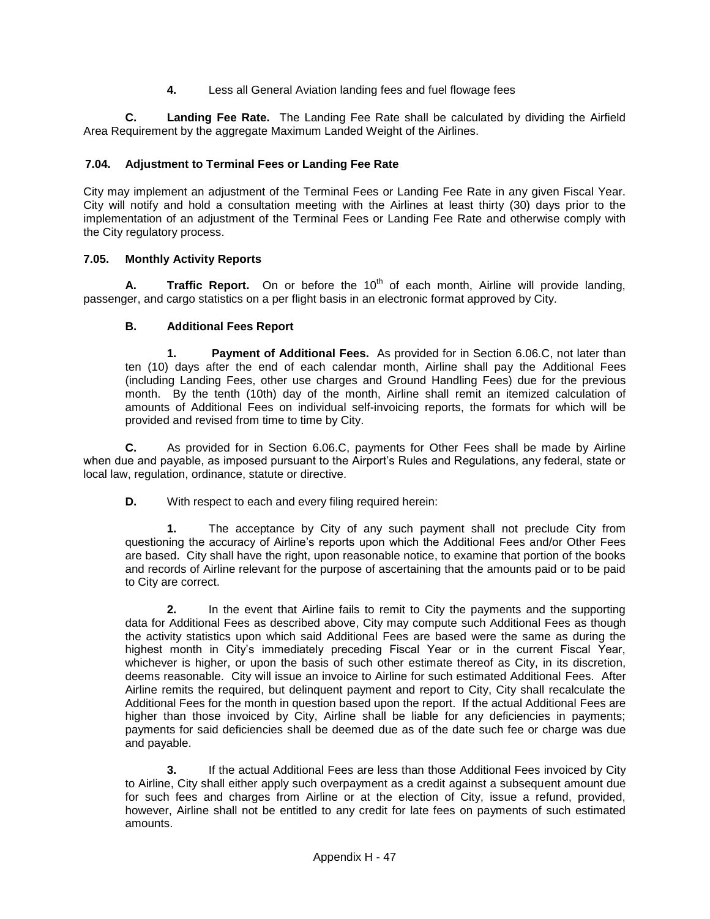**4.** Less all General Aviation landing fees and fuel flowage fees

**C. Landing Fee Rate.** The Landing Fee Rate shall be calculated by dividing the Airfield Area Requirement by the aggregate Maximum Landed Weight of the Airlines.

# **7.04. Adjustment to Terminal Fees or Landing Fee Rate**

City may implement an adjustment of the Terminal Fees or Landing Fee Rate in any given Fiscal Year. City will notify and hold a consultation meeting with the Airlines at least thirty (30) days prior to the implementation of an adjustment of the Terminal Fees or Landing Fee Rate and otherwise comply with the City regulatory process.

## **7.05. Monthly Activity Reports**

A. **Traffic Report.** On or before the 10<sup>th</sup> of each month, Airline will provide landing, passenger, and cargo statistics on a per flight basis in an electronic format approved by City.

# **B. Additional Fees Report**

**1. Payment of Additional Fees.** As provided for in Section 6.06.C, not later than ten (10) days after the end of each calendar month, Airline shall pay the Additional Fees (including Landing Fees, other use charges and Ground Handling Fees) due for the previous month. By the tenth (10th) day of the month, Airline shall remit an itemized calculation of amounts of Additional Fees on individual self-invoicing reports, the formats for which will be provided and revised from time to time by City.

**C.** As provided for in Section 6.06.C, payments for Other Fees shall be made by Airline when due and payable, as imposed pursuant to the Airport's Rules and Regulations, any federal, state or local law, regulation, ordinance, statute or directive.

**D.** With respect to each and every filing required herein:

**1.** The acceptance by City of any such payment shall not preclude City from questioning the accuracy of Airline's reports upon which the Additional Fees and/or Other Fees are based. City shall have the right, upon reasonable notice, to examine that portion of the books and records of Airline relevant for the purpose of ascertaining that the amounts paid or to be paid to City are correct.

**2.** In the event that Airline fails to remit to City the payments and the supporting data for Additional Fees as described above, City may compute such Additional Fees as though the activity statistics upon which said Additional Fees are based were the same as during the highest month in City's immediately preceding Fiscal Year or in the current Fiscal Year, whichever is higher, or upon the basis of such other estimate thereof as City, in its discretion, deems reasonable. City will issue an invoice to Airline for such estimated Additional Fees. After Airline remits the required, but delinquent payment and report to City, City shall recalculate the Additional Fees for the month in question based upon the report. If the actual Additional Fees are higher than those invoiced by City, Airline shall be liable for any deficiencies in payments; payments for said deficiencies shall be deemed due as of the date such fee or charge was due and payable.

**3.** If the actual Additional Fees are less than those Additional Fees invoiced by City to Airline, City shall either apply such overpayment as a credit against a subsequent amount due for such fees and charges from Airline or at the election of City, issue a refund, provided, however, Airline shall not be entitled to any credit for late fees on payments of such estimated amounts.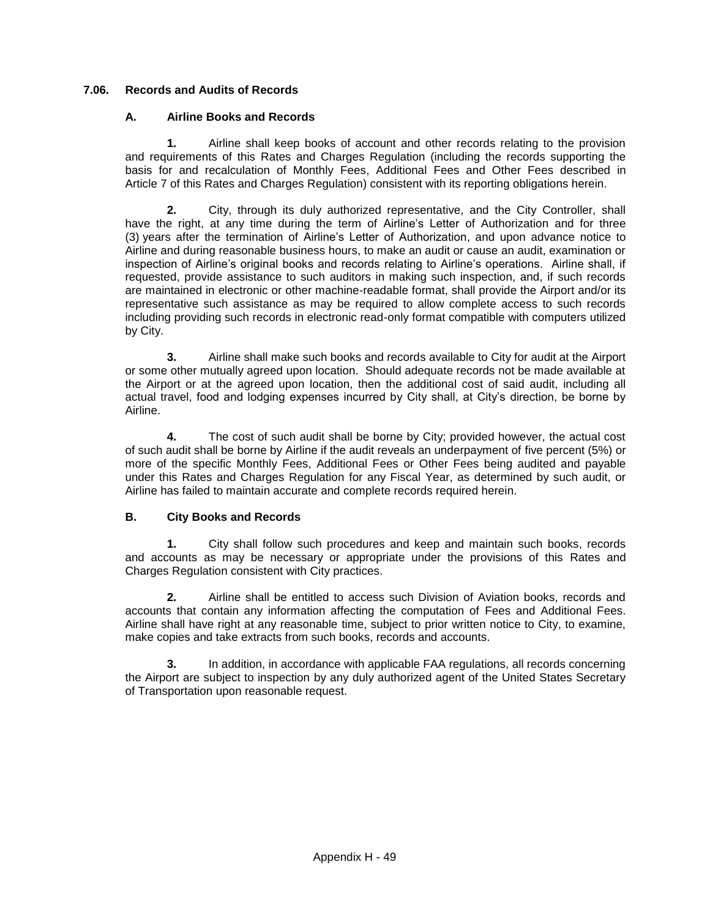# **7.06. Records and Audits of Records**

## **A. Airline Books and Records**

**1.** Airline shall keep books of account and other records relating to the provision and requirements of this Rates and Charges Regulation (including the records supporting the basis for and recalculation of Monthly Fees, Additional Fees and Other Fees described in Article 7 of this Rates and Charges Regulation) consistent with its reporting obligations herein.

**2.** City, through its duly authorized representative, and the City Controller, shall have the right, at any time during the term of Airline's Letter of Authorization and for three (3) years after the termination of Airline's Letter of Authorization, and upon advance notice to Airline and during reasonable business hours, to make an audit or cause an audit, examination or inspection of Airline's original books and records relating to Airline's operations. Airline shall, if requested, provide assistance to such auditors in making such inspection, and, if such records are maintained in electronic or other machine-readable format, shall provide the Airport and/or its representative such assistance as may be required to allow complete access to such records including providing such records in electronic read-only format compatible with computers utilized by City.

**3.** Airline shall make such books and records available to City for audit at the Airport or some other mutually agreed upon location. Should adequate records not be made available at the Airport or at the agreed upon location, then the additional cost of said audit, including all actual travel, food and lodging expenses incurred by City shall, at City's direction, be borne by Airline.

**4.** The cost of such audit shall be borne by City; provided however, the actual cost of such audit shall be borne by Airline if the audit reveals an underpayment of five percent (5%) or more of the specific Monthly Fees, Additional Fees or Other Fees being audited and payable under this Rates and Charges Regulation for any Fiscal Year, as determined by such audit, or Airline has failed to maintain accurate and complete records required herein.

## **B. City Books and Records**

**1.** City shall follow such procedures and keep and maintain such books, records and accounts as may be necessary or appropriate under the provisions of this Rates and Charges Regulation consistent with City practices.

**2.** Airline shall be entitled to access such Division of Aviation books, records and accounts that contain any information affecting the computation of Fees and Additional Fees. Airline shall have right at any reasonable time, subject to prior written notice to City, to examine, make copies and take extracts from such books, records and accounts.

**3.** In addition, in accordance with applicable FAA regulations, all records concerning the Airport are subject to inspection by any duly authorized agent of the United States Secretary of Transportation upon reasonable request.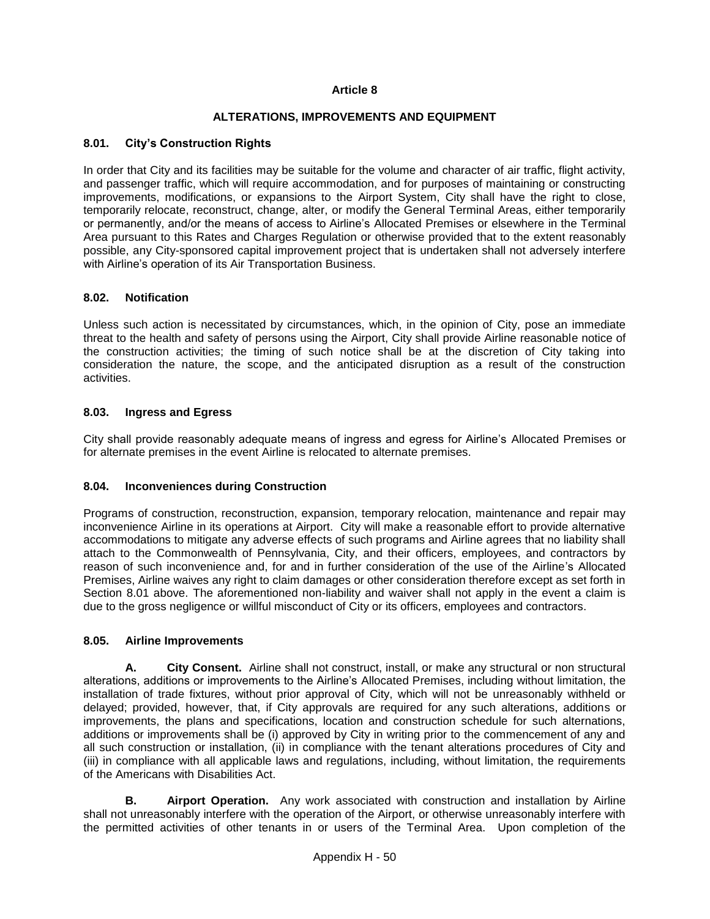### **ALTERATIONS, IMPROVEMENTS AND EQUIPMENT**

### **8.01. City's Construction Rights**

In order that City and its facilities may be suitable for the volume and character of air traffic, flight activity, and passenger traffic, which will require accommodation, and for purposes of maintaining or constructing improvements, modifications, or expansions to the Airport System, City shall have the right to close, temporarily relocate, reconstruct, change, alter, or modify the General Terminal Areas, either temporarily or permanently, and/or the means of access to Airline's Allocated Premises or elsewhere in the Terminal Area pursuant to this Rates and Charges Regulation or otherwise provided that to the extent reasonably possible, any City-sponsored capital improvement project that is undertaken shall not adversely interfere with Airline's operation of its Air Transportation Business.

### **8.02. Notification**

Unless such action is necessitated by circumstances, which, in the opinion of City, pose an immediate threat to the health and safety of persons using the Airport, City shall provide Airline reasonable notice of the construction activities; the timing of such notice shall be at the discretion of City taking into consideration the nature, the scope, and the anticipated disruption as a result of the construction activities.

### **8.03. Ingress and Egress**

City shall provide reasonably adequate means of ingress and egress for Airline's Allocated Premises or for alternate premises in the event Airline is relocated to alternate premises.

#### **8.04. Inconveniences during Construction**

Programs of construction, reconstruction, expansion, temporary relocation, maintenance and repair may inconvenience Airline in its operations at Airport. City will make a reasonable effort to provide alternative accommodations to mitigate any adverse effects of such programs and Airline agrees that no liability shall attach to the Commonwealth of Pennsylvania, City, and their officers, employees, and contractors by reason of such inconvenience and, for and in further consideration of the use of the Airline's Allocated Premises, Airline waives any right to claim damages or other consideration therefore except as set forth in Section 8.01 above. The aforementioned non-liability and waiver shall not apply in the event a claim is due to the gross negligence or willful misconduct of City or its officers, employees and contractors.

#### **8.05. Airline Improvements**

**A. City Consent.** Airline shall not construct, install, or make any structural or non structural alterations, additions or improvements to the Airline's Allocated Premises, including without limitation, the installation of trade fixtures, without prior approval of City, which will not be unreasonably withheld or delayed; provided, however, that, if City approvals are required for any such alterations, additions or improvements, the plans and specifications, location and construction schedule for such alternations, additions or improvements shall be (i) approved by City in writing prior to the commencement of any and all such construction or installation, (ii) in compliance with the tenant alterations procedures of City and (iii) in compliance with all applicable laws and regulations, including, without limitation, the requirements of the Americans with Disabilities Act.

**B. Airport Operation.** Any work associated with construction and installation by Airline shall not unreasonably interfere with the operation of the Airport, or otherwise unreasonably interfere with the permitted activities of other tenants in or users of the Terminal Area. Upon completion of the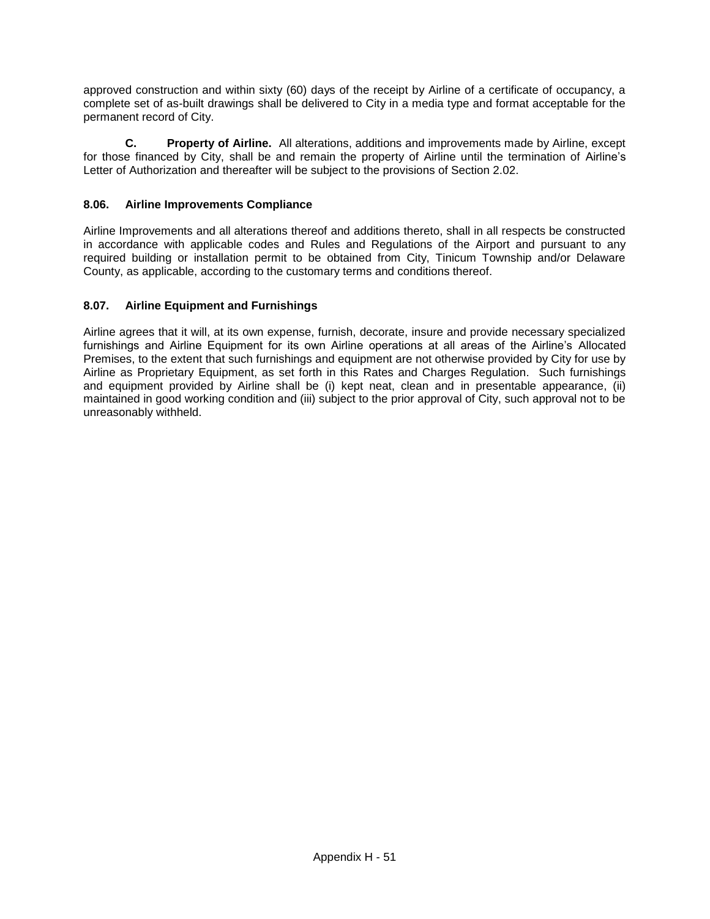approved construction and within sixty (60) days of the receipt by Airline of a certificate of occupancy, a complete set of as-built drawings shall be delivered to City in a media type and format acceptable for the permanent record of City.

**C. Property of Airline.** All alterations, additions and improvements made by Airline, except for those financed by City, shall be and remain the property of Airline until the termination of Airline's Letter of Authorization and thereafter will be subject to the provisions of Section 2.02.

# **8.06. Airline Improvements Compliance**

Airline Improvements and all alterations thereof and additions thereto, shall in all respects be constructed in accordance with applicable codes and Rules and Regulations of the Airport and pursuant to any required building or installation permit to be obtained from City, Tinicum Township and/or Delaware County, as applicable, according to the customary terms and conditions thereof.

## **8.07. Airline Equipment and Furnishings**

Airline agrees that it will, at its own expense, furnish, decorate, insure and provide necessary specialized furnishings and Airline Equipment for its own Airline operations at all areas of the Airline's Allocated Premises, to the extent that such furnishings and equipment are not otherwise provided by City for use by Airline as Proprietary Equipment, as set forth in this Rates and Charges Regulation. Such furnishings and equipment provided by Airline shall be (i) kept neat, clean and in presentable appearance, (ii) maintained in good working condition and (iii) subject to the prior approval of City, such approval not to be unreasonably withheld.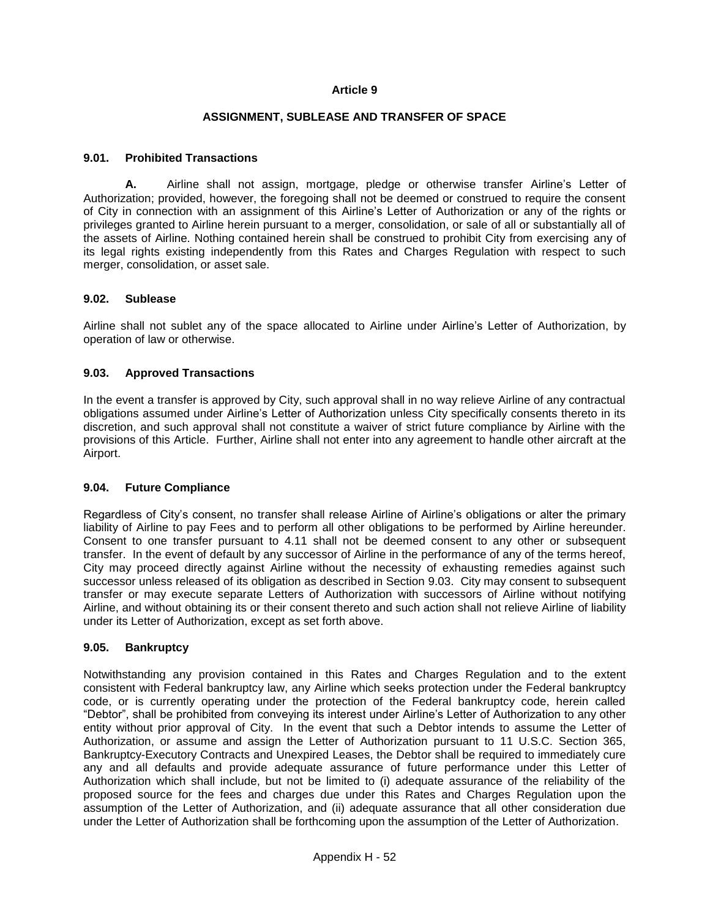### **ASSIGNMENT, SUBLEASE AND TRANSFER OF SPACE**

### **9.01. Prohibited Transactions**

**A.** Airline shall not assign, mortgage, pledge or otherwise transfer Airline's Letter of Authorization; provided, however, the foregoing shall not be deemed or construed to require the consent of City in connection with an assignment of this Airline's Letter of Authorization or any of the rights or privileges granted to Airline herein pursuant to a merger, consolidation, or sale of all or substantially all of the assets of Airline. Nothing contained herein shall be construed to prohibit City from exercising any of its legal rights existing independently from this Rates and Charges Regulation with respect to such merger, consolidation, or asset sale.

#### **9.02. Sublease**

Airline shall not sublet any of the space allocated to Airline under Airline's Letter of Authorization, by operation of law or otherwise.

### **9.03. Approved Transactions**

In the event a transfer is approved by City, such approval shall in no way relieve Airline of any contractual obligations assumed under Airline's Letter of Authorization unless City specifically consents thereto in its discretion, and such approval shall not constitute a waiver of strict future compliance by Airline with the provisions of this Article. Further, Airline shall not enter into any agreement to handle other aircraft at the Airport.

#### **9.04. Future Compliance**

Regardless of City's consent, no transfer shall release Airline of Airline's obligations or alter the primary liability of Airline to pay Fees and to perform all other obligations to be performed by Airline hereunder. Consent to one transfer pursuant to 4.11 shall not be deemed consent to any other or subsequent transfer. In the event of default by any successor of Airline in the performance of any of the terms hereof, City may proceed directly against Airline without the necessity of exhausting remedies against such successor unless released of its obligation as described in Section 9.03. City may consent to subsequent transfer or may execute separate Letters of Authorization with successors of Airline without notifying Airline, and without obtaining its or their consent thereto and such action shall not relieve Airline of liability under its Letter of Authorization, except as set forth above.

#### **9.05. Bankruptcy**

Notwithstanding any provision contained in this Rates and Charges Regulation and to the extent consistent with Federal bankruptcy law, any Airline which seeks protection under the Federal bankruptcy code, or is currently operating under the protection of the Federal bankruptcy code, herein called "Debtor", shall be prohibited from conveying its interest under Airline's Letter of Authorization to any other entity without prior approval of City. In the event that such a Debtor intends to assume the Letter of Authorization, or assume and assign the Letter of Authorization pursuant to 11 U.S.C. Section 365, Bankruptcy-Executory Contracts and Unexpired Leases, the Debtor shall be required to immediately cure any and all defaults and provide adequate assurance of future performance under this Letter of Authorization which shall include, but not be limited to (i) adequate assurance of the reliability of the proposed source for the fees and charges due under this Rates and Charges Regulation upon the assumption of the Letter of Authorization, and (ii) adequate assurance that all other consideration due under the Letter of Authorization shall be forthcoming upon the assumption of the Letter of Authorization.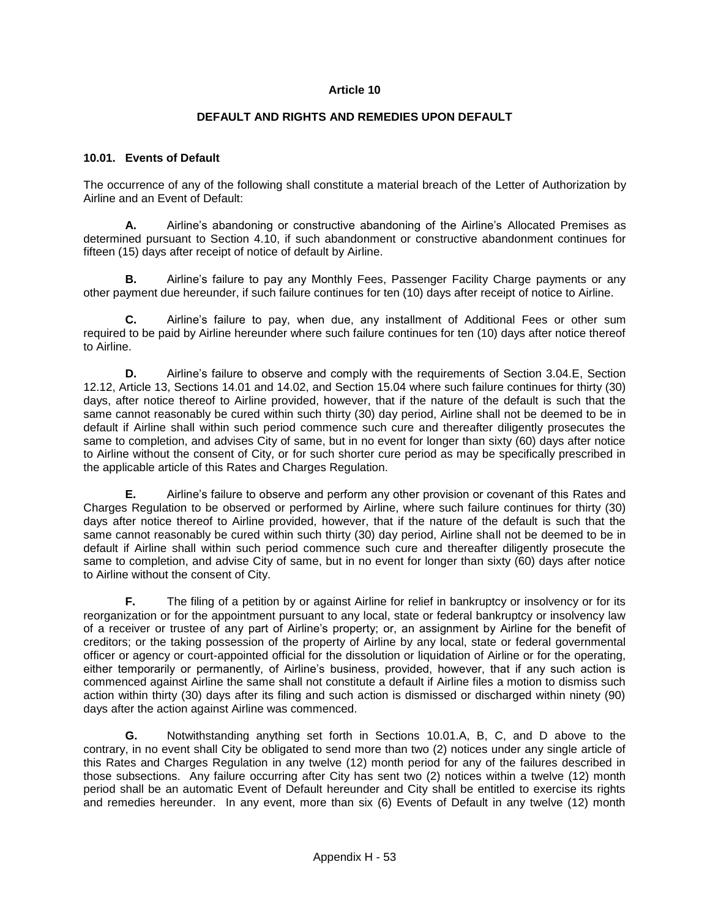### **DEFAULT AND RIGHTS AND REMEDIES UPON DEFAULT**

#### **10.01. Events of Default**

The occurrence of any of the following shall constitute a material breach of the Letter of Authorization by Airline and an Event of Default:

**A.** Airline's abandoning or constructive abandoning of the Airline's Allocated Premises as determined pursuant to Section 4.10, if such abandonment or constructive abandonment continues for fifteen (15) days after receipt of notice of default by Airline.

**B.** Airline's failure to pay any Monthly Fees, Passenger Facility Charge payments or any other payment due hereunder, if such failure continues for ten (10) days after receipt of notice to Airline.

**C.** Airline's failure to pay, when due, any installment of Additional Fees or other sum required to be paid by Airline hereunder where such failure continues for ten (10) days after notice thereof to Airline.

**D.** Airline's failure to observe and comply with the requirements of Section 3.04.E, Section 12.12, Article 13, Sections 14.01 and 14.02, and Section 15.04 where such failure continues for thirty (30) days, after notice thereof to Airline provided, however, that if the nature of the default is such that the same cannot reasonably be cured within such thirty (30) day period, Airline shall not be deemed to be in default if Airline shall within such period commence such cure and thereafter diligently prosecutes the same to completion, and advises City of same, but in no event for longer than sixty (60) days after notice to Airline without the consent of City, or for such shorter cure period as may be specifically prescribed in the applicable article of this Rates and Charges Regulation.

**E.** Airline's failure to observe and perform any other provision or covenant of this Rates and Charges Regulation to be observed or performed by Airline, where such failure continues for thirty (30) days after notice thereof to Airline provided, however, that if the nature of the default is such that the same cannot reasonably be cured within such thirty (30) day period, Airline shall not be deemed to be in default if Airline shall within such period commence such cure and thereafter diligently prosecute the same to completion, and advise City of same, but in no event for longer than sixty (60) days after notice to Airline without the consent of City.

**F.** The filing of a petition by or against Airline for relief in bankruptcy or insolvency or for its reorganization or for the appointment pursuant to any local, state or federal bankruptcy or insolvency law of a receiver or trustee of any part of Airline's property; or, an assignment by Airline for the benefit of creditors; or the taking possession of the property of Airline by any local, state or federal governmental officer or agency or court-appointed official for the dissolution or liquidation of Airline or for the operating, either temporarily or permanently, of Airline's business, provided, however, that if any such action is commenced against Airline the same shall not constitute a default if Airline files a motion to dismiss such action within thirty (30) days after its filing and such action is dismissed or discharged within ninety (90) days after the action against Airline was commenced.

**G.** Notwithstanding anything set forth in Sections 10.01.A, B, C, and D above to the contrary, in no event shall City be obligated to send more than two (2) notices under any single article of this Rates and Charges Regulation in any twelve (12) month period for any of the failures described in those subsections. Any failure occurring after City has sent two (2) notices within a twelve (12) month period shall be an automatic Event of Default hereunder and City shall be entitled to exercise its rights and remedies hereunder. In any event, more than six (6) Events of Default in any twelve (12) month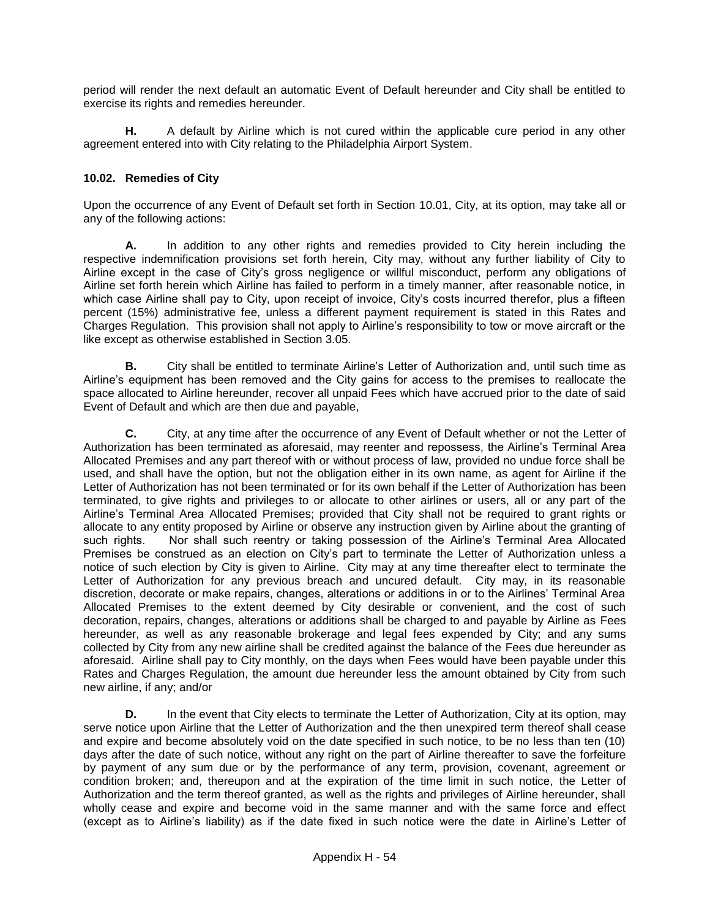period will render the next default an automatic Event of Default hereunder and City shall be entitled to exercise its rights and remedies hereunder.

**H.** A default by Airline which is not cured within the applicable cure period in any other agreement entered into with City relating to the Philadelphia Airport System.

## **10.02. Remedies of City**

Upon the occurrence of any Event of Default set forth in Section 10.01, City, at its option, may take all or any of the following actions:

**A.** In addition to any other rights and remedies provided to City herein including the respective indemnification provisions set forth herein, City may, without any further liability of City to Airline except in the case of City's gross negligence or willful misconduct, perform any obligations of Airline set forth herein which Airline has failed to perform in a timely manner, after reasonable notice, in which case Airline shall pay to City, upon receipt of invoice, City's costs incurred therefor, plus a fifteen percent (15%) administrative fee, unless a different payment requirement is stated in this Rates and Charges Regulation. This provision shall not apply to Airline's responsibility to tow or move aircraft or the like except as otherwise established in Section 3.05.

**B.** City shall be entitled to terminate Airline's Letter of Authorization and, until such time as Airline's equipment has been removed and the City gains for access to the premises to reallocate the space allocated to Airline hereunder, recover all unpaid Fees which have accrued prior to the date of said Event of Default and which are then due and payable,

**C.** City, at any time after the occurrence of any Event of Default whether or not the Letter of Authorization has been terminated as aforesaid, may reenter and repossess, the Airline's Terminal Area Allocated Premises and any part thereof with or without process of law, provided no undue force shall be used, and shall have the option, but not the obligation either in its own name, as agent for Airline if the Letter of Authorization has not been terminated or for its own behalf if the Letter of Authorization has been terminated, to give rights and privileges to or allocate to other airlines or users, all or any part of the Airline's Terminal Area Allocated Premises; provided that City shall not be required to grant rights or allocate to any entity proposed by Airline or observe any instruction given by Airline about the granting of such rights. Nor shall such reentry or taking possession of the Airline's Terminal Area Allocated Premises be construed as an election on City's part to terminate the Letter of Authorization unless a notice of such election by City is given to Airline. City may at any time thereafter elect to terminate the Letter of Authorization for any previous breach and uncured default. City may, in its reasonable discretion, decorate or make repairs, changes, alterations or additions in or to the Airlines' Terminal Area Allocated Premises to the extent deemed by City desirable or convenient, and the cost of such decoration, repairs, changes, alterations or additions shall be charged to and payable by Airline as Fees hereunder, as well as any reasonable brokerage and legal fees expended by City; and any sums collected by City from any new airline shall be credited against the balance of the Fees due hereunder as aforesaid. Airline shall pay to City monthly, on the days when Fees would have been payable under this Rates and Charges Regulation, the amount due hereunder less the amount obtained by City from such new airline, if any; and/or

**D.** In the event that City elects to terminate the Letter of Authorization, City at its option, may serve notice upon Airline that the Letter of Authorization and the then unexpired term thereof shall cease and expire and become absolutely void on the date specified in such notice, to be no less than ten (10) days after the date of such notice, without any right on the part of Airline thereafter to save the forfeiture by payment of any sum due or by the performance of any term, provision, covenant, agreement or condition broken; and, thereupon and at the expiration of the time limit in such notice, the Letter of Authorization and the term thereof granted, as well as the rights and privileges of Airline hereunder, shall wholly cease and expire and become void in the same manner and with the same force and effect (except as to Airline's liability) as if the date fixed in such notice were the date in Airline's Letter of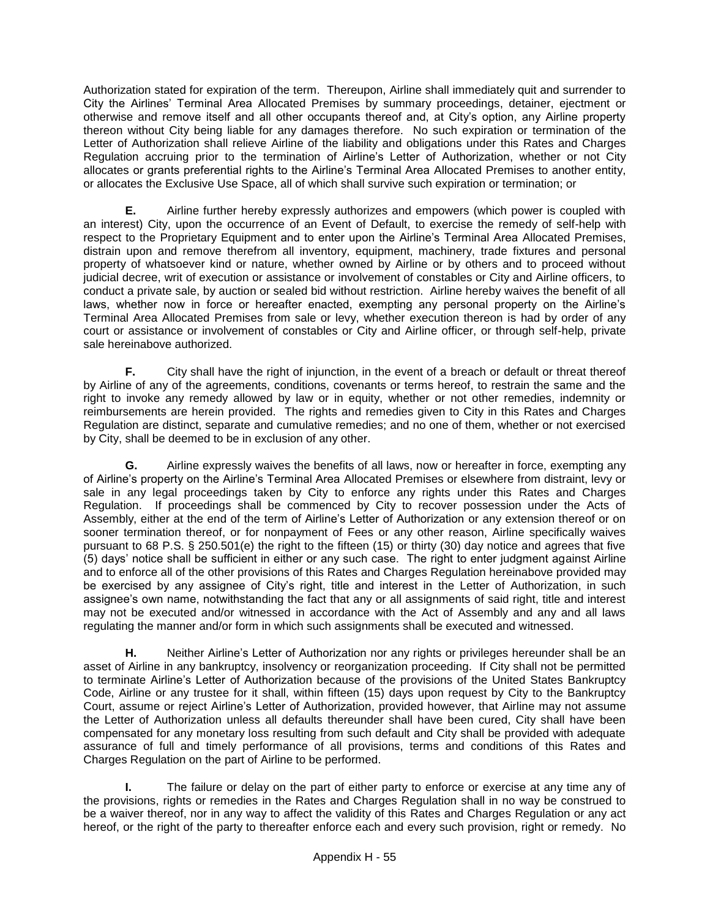Authorization stated for expiration of the term. Thereupon, Airline shall immediately quit and surrender to City the Airlines' Terminal Area Allocated Premises by summary proceedings, detainer, ejectment or otherwise and remove itself and all other occupants thereof and, at City's option, any Airline property thereon without City being liable for any damages therefore. No such expiration or termination of the Letter of Authorization shall relieve Airline of the liability and obligations under this Rates and Charges Regulation accruing prior to the termination of Airline's Letter of Authorization, whether or not City allocates or grants preferential rights to the Airline's Terminal Area Allocated Premises to another entity, or allocates the Exclusive Use Space, all of which shall survive such expiration or termination; or

**E.** Airline further hereby expressly authorizes and empowers (which power is coupled with an interest) City, upon the occurrence of an Event of Default, to exercise the remedy of self-help with respect to the Proprietary Equipment and to enter upon the Airline's Terminal Area Allocated Premises, distrain upon and remove therefrom all inventory, equipment, machinery, trade fixtures and personal property of whatsoever kind or nature, whether owned by Airline or by others and to proceed without judicial decree, writ of execution or assistance or involvement of constables or City and Airline officers, to conduct a private sale, by auction or sealed bid without restriction. Airline hereby waives the benefit of all laws, whether now in force or hereafter enacted, exempting any personal property on the Airline's Terminal Area Allocated Premises from sale or levy, whether execution thereon is had by order of any court or assistance or involvement of constables or City and Airline officer, or through self-help, private sale hereinabove authorized.

**F.** City shall have the right of injunction, in the event of a breach or default or threat thereof by Airline of any of the agreements, conditions, covenants or terms hereof, to restrain the same and the right to invoke any remedy allowed by law or in equity, whether or not other remedies, indemnity or reimbursements are herein provided. The rights and remedies given to City in this Rates and Charges Regulation are distinct, separate and cumulative remedies; and no one of them, whether or not exercised by City, shall be deemed to be in exclusion of any other.

**G.** Airline expressly waives the benefits of all laws, now or hereafter in force, exempting any of Airline's property on the Airline's Terminal Area Allocated Premises or elsewhere from distraint, levy or sale in any legal proceedings taken by City to enforce any rights under this Rates and Charges Regulation. If proceedings shall be commenced by City to recover possession under the Acts of Assembly, either at the end of the term of Airline's Letter of Authorization or any extension thereof or on sooner termination thereof, or for nonpayment of Fees or any other reason, Airline specifically waives pursuant to 68 P.S. § 250.501(e) the right to the fifteen (15) or thirty (30) day notice and agrees that five (5) days' notice shall be sufficient in either or any such case. The right to enter judgment against Airline and to enforce all of the other provisions of this Rates and Charges Regulation hereinabove provided may be exercised by any assignee of City's right, title and interest in the Letter of Authorization, in such assignee's own name, notwithstanding the fact that any or all assignments of said right, title and interest may not be executed and/or witnessed in accordance with the Act of Assembly and any and all laws regulating the manner and/or form in which such assignments shall be executed and witnessed.

**H.** Neither Airline's Letter of Authorization nor any rights or privileges hereunder shall be an asset of Airline in any bankruptcy, insolvency or reorganization proceeding. If City shall not be permitted to terminate Airline's Letter of Authorization because of the provisions of the United States Bankruptcy Code, Airline or any trustee for it shall, within fifteen (15) days upon request by City to the Bankruptcy Court, assume or reject Airline's Letter of Authorization, provided however, that Airline may not assume the Letter of Authorization unless all defaults thereunder shall have been cured, City shall have been compensated for any monetary loss resulting from such default and City shall be provided with adequate assurance of full and timely performance of all provisions, terms and conditions of this Rates and Charges Regulation on the part of Airline to be performed.

**I.** The failure or delay on the part of either party to enforce or exercise at any time any of the provisions, rights or remedies in the Rates and Charges Regulation shall in no way be construed to be a waiver thereof, nor in any way to affect the validity of this Rates and Charges Regulation or any act hereof, or the right of the party to thereafter enforce each and every such provision, right or remedy. No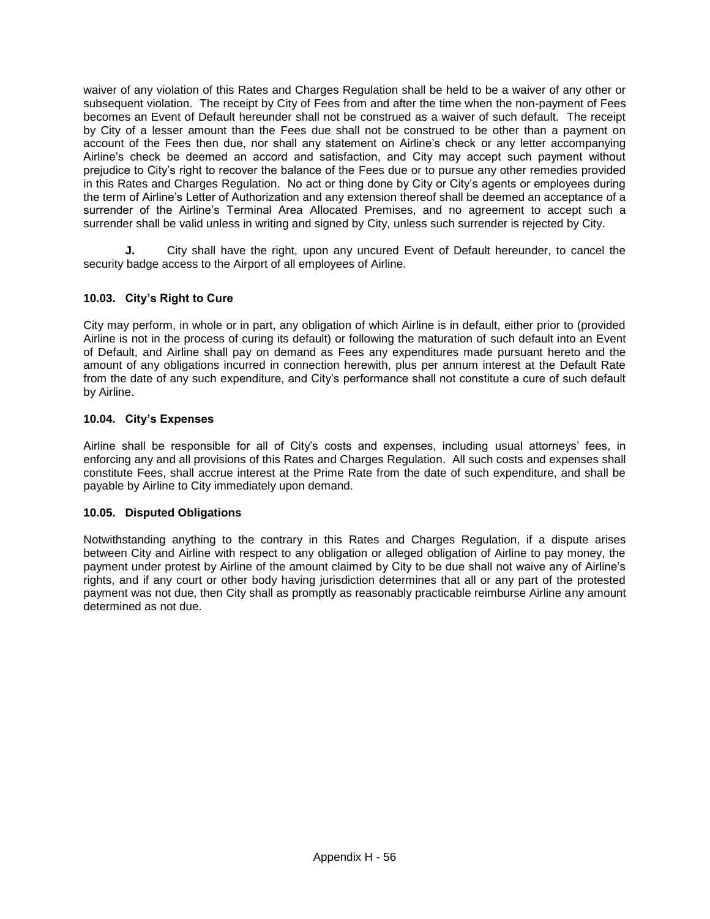waiver of any violation of this Rates and Charges Regulation shall be held to be a waiver of any other or subsequent violation. The receipt by City of Fees from and after the time when the non-payment of Fees becomes an Event of Default hereunder shall not be construed as a waiver of such default. The receipt by City of a lesser amount than the Fees due shall not be construed to be other than a payment on account of the Fees then due, nor shall any statement on Airline's check or any letter accompanying Airline's check be deemed an accord and satisfaction, and City may accept such payment without prejudice to City's right to recover the balance of the Fees due or to pursue any other remedies provided in this Rates and Charges Regulation. No act or thing done by City or City's agents or employees during the term of Airline's Letter of Authorization and any extension thereof shall be deemed an acceptance of a surrender of the Airline's Terminal Area Allocated Premises, and no agreement to accept such a surrender shall be valid unless in writing and signed by City, unless such surrender is rejected by City.

**J.** City shall have the right, upon any uncured Event of Default hereunder, to cancel the security badge access to the Airport of all employees of Airline.

# **10.03. City's Right to Cure**

City may perform, in whole or in part, any obligation of which Airline is in default, either prior to (provided Airline is not in the process of curing its default) or following the maturation of such default into an Event of Default, and Airline shall pay on demand as Fees any expenditures made pursuant hereto and the amount of any obligations incurred in connection herewith, plus per annum interest at the Default Rate from the date of any such expenditure, and City's performance shall not constitute a cure of such default by Airline.

## **10.04. City's Expenses**

Airline shall be responsible for all of City's costs and expenses, including usual attorneys' fees, in enforcing any and all provisions of this Rates and Charges Regulation. All such costs and expenses shall constitute Fees, shall accrue interest at the Prime Rate from the date of such expenditure, and shall be payable by Airline to City immediately upon demand.

## **10.05. Disputed Obligations**

Notwithstanding anything to the contrary in this Rates and Charges Regulation, if a dispute arises between City and Airline with respect to any obligation or alleged obligation of Airline to pay money, the payment under protest by Airline of the amount claimed by City to be due shall not waive any of Airline's rights, and if any court or other body having jurisdiction determines that all or any part of the protested payment was not due, then City shall as promptly as reasonably practicable reimburse Airline any amount determined as not due.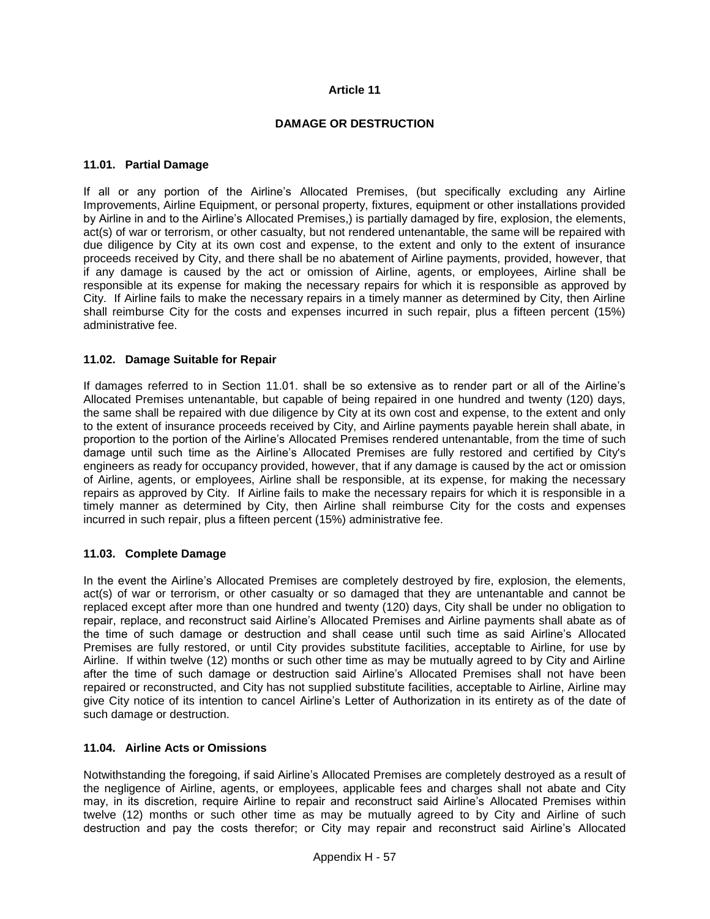### **DAMAGE OR DESTRUCTION**

#### **11.01. Partial Damage**

If all or any portion of the Airline's Allocated Premises, (but specifically excluding any Airline Improvements, Airline Equipment, or personal property, fixtures, equipment or other installations provided by Airline in and to the Airline's Allocated Premises,) is partially damaged by fire, explosion, the elements, act(s) of war or terrorism, or other casualty, but not rendered untenantable, the same will be repaired with due diligence by City at its own cost and expense, to the extent and only to the extent of insurance proceeds received by City, and there shall be no abatement of Airline payments, provided, however, that if any damage is caused by the act or omission of Airline, agents, or employees, Airline shall be responsible at its expense for making the necessary repairs for which it is responsible as approved by City. If Airline fails to make the necessary repairs in a timely manner as determined by City, then Airline shall reimburse City for the costs and expenses incurred in such repair, plus a fifteen percent (15%) administrative fee.

#### **11.02. Damage Suitable for Repair**

If damages referred to in Section 11.01. shall be so extensive as to render part or all of the Airline's Allocated Premises untenantable, but capable of being repaired in one hundred and twenty (120) days, the same shall be repaired with due diligence by City at its own cost and expense, to the extent and only to the extent of insurance proceeds received by City, and Airline payments payable herein shall abate, in proportion to the portion of the Airline's Allocated Premises rendered untenantable, from the time of such damage until such time as the Airline's Allocated Premises are fully restored and certified by City's engineers as ready for occupancy provided, however, that if any damage is caused by the act or omission of Airline, agents, or employees, Airline shall be responsible, at its expense, for making the necessary repairs as approved by City. If Airline fails to make the necessary repairs for which it is responsible in a timely manner as determined by City, then Airline shall reimburse City for the costs and expenses incurred in such repair, plus a fifteen percent (15%) administrative fee.

#### **11.03. Complete Damage**

In the event the Airline's Allocated Premises are completely destroyed by fire, explosion, the elements, act(s) of war or terrorism, or other casualty or so damaged that they are untenantable and cannot be replaced except after more than one hundred and twenty (120) days, City shall be under no obligation to repair, replace, and reconstruct said Airline's Allocated Premises and Airline payments shall abate as of the time of such damage or destruction and shall cease until such time as said Airline's Allocated Premises are fully restored, or until City provides substitute facilities, acceptable to Airline, for use by Airline. If within twelve (12) months or such other time as may be mutually agreed to by City and Airline after the time of such damage or destruction said Airline's Allocated Premises shall not have been repaired or reconstructed, and City has not supplied substitute facilities, acceptable to Airline, Airline may give City notice of its intention to cancel Airline's Letter of Authorization in its entirety as of the date of such damage or destruction.

#### **11.04. Airline Acts or Omissions**

Notwithstanding the foregoing, if said Airline's Allocated Premises are completely destroyed as a result of the negligence of Airline, agents, or employees, applicable fees and charges shall not abate and City may, in its discretion, require Airline to repair and reconstruct said Airline's Allocated Premises within twelve (12) months or such other time as may be mutually agreed to by City and Airline of such destruction and pay the costs therefor; or City may repair and reconstruct said Airline's Allocated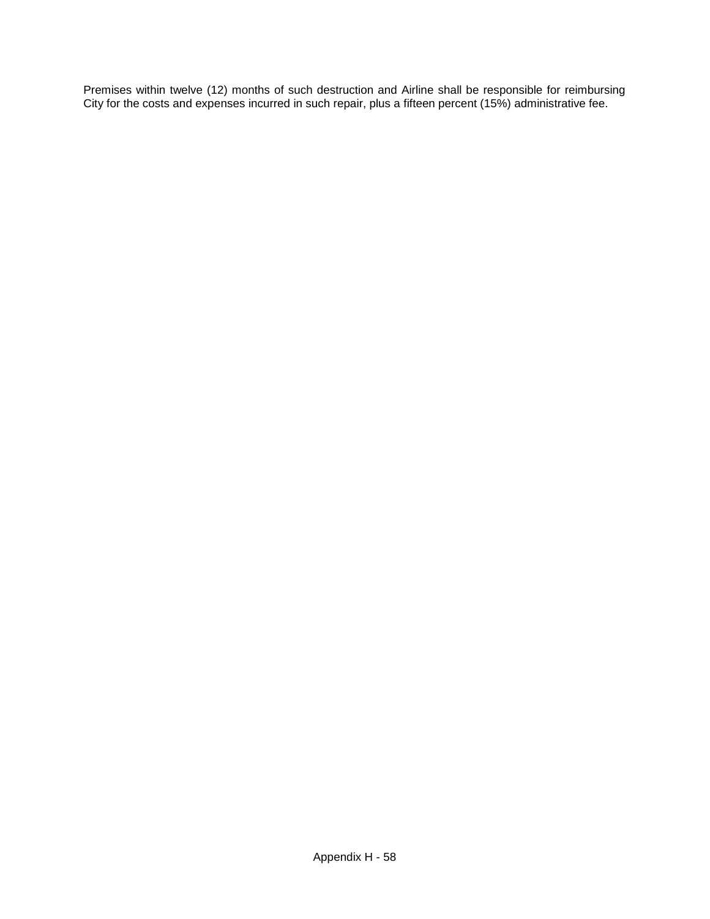Premises within twelve (12) months of such destruction and Airline shall be responsible for reimbursing City for the costs and expenses incurred in such repair, plus a fifteen percent (15%) administrative fee.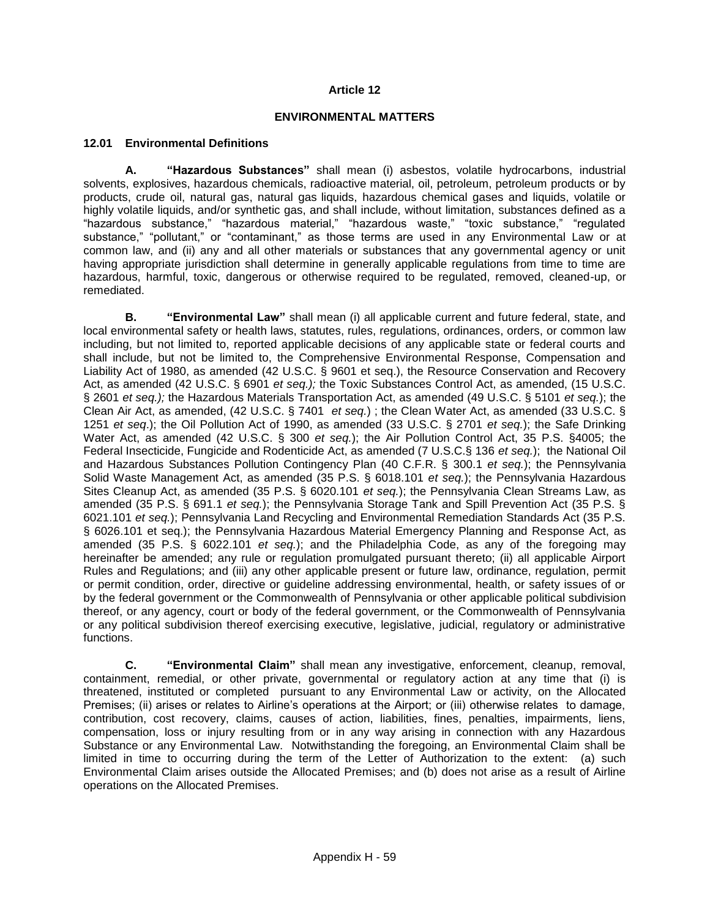#### **ENVIRONMENTAL MATTERS**

### **12.01 Environmental Definitions**

**A. "Hazardous Substances"** shall mean (i) asbestos, volatile hydrocarbons, industrial solvents, explosives, hazardous chemicals, radioactive material, oil, petroleum, petroleum products or by products, crude oil, natural gas, natural gas liquids, hazardous chemical gases and liquids, volatile or highly volatile liquids, and/or synthetic gas, and shall include, without limitation, substances defined as a "hazardous substance," "hazardous material," "hazardous waste," "toxic substance," "regulated substance," "pollutant," or "contaminant," as those terms are used in any Environmental Law or at common law, and (ii) any and all other materials or substances that any governmental agency or unit having appropriate jurisdiction shall determine in generally applicable regulations from time to time are hazardous, harmful, toxic, dangerous or otherwise required to be regulated, removed, cleaned-up, or remediated.

**B. "Environmental Law"** shall mean (i) all applicable current and future federal, state, and local environmental safety or health laws, statutes, rules, regulations, ordinances, orders, or common law including, but not limited to, reported applicable decisions of any applicable state or federal courts and shall include, but not be limited to, the Comprehensive Environmental Response, Compensation and Liability Act of 1980, as amended (42 U.S.C. § 9601 et seq.), the Resource Conservation and Recovery Act, as amended (42 U.S.C. § 6901 *et seq.);* the Toxic Substances Control Act, as amended, (15 U.S.C. § 2601 *et seq.);* the Hazardous Materials Transportation Act, as amended (49 U.S.C. § 5101 *et seq.*); the Clean Air Act, as amended, (42 U.S.C. § 7401 *et seq.*) ; the Clean Water Act, as amended (33 U.S.C. § 1251 *et seq*.); the Oil Pollution Act of 1990, as amended (33 U.S.C. § 2701 *et seq.*); the Safe Drinking Water Act, as amended (42 U.S.C. § 300 *et seq.*); the Air Pollution Control Act, 35 P.S. §4005; the Federal Insecticide, Fungicide and Rodenticide Act, as amended (7 U.S.C.§ 136 *et seq.*); the National Oil and Hazardous Substances Pollution Contingency Plan (40 C.F.R. § 300.1 *et seq.*); the Pennsylvania Solid Waste Management Act, as amended (35 P.S. § 6018.101 *et seq.*); the Pennsylvania Hazardous Sites Cleanup Act, as amended (35 P.S. § 6020.101 *et seq.*); the Pennsylvania Clean Streams Law, as amended (35 P.S. § 691.1 *et seq.*); the Pennsylvania Storage Tank and Spill Prevention Act (35 P.S. § 6021.101 *et seq.*); Pennsylvania Land Recycling and Environmental Remediation Standards Act (35 P.S. § 6026.101 et seq.); the Pennsylvania Hazardous Material Emergency Planning and Response Act, as amended (35 P.S. § 6022.101 *et seq.*); and the Philadelphia Code, as any of the foregoing may hereinafter be amended; any rule or regulation promulgated pursuant thereto; (ii) all applicable Airport Rules and Regulations; and (iii) any other applicable present or future law, ordinance, regulation, permit or permit condition, order, directive or guideline addressing environmental, health, or safety issues of or by the federal government or the Commonwealth of Pennsylvania or other applicable political subdivision thereof, or any agency, court or body of the federal government, or the Commonwealth of Pennsylvania or any political subdivision thereof exercising executive, legislative, judicial, regulatory or administrative functions.

**C. "Environmental Claim"** shall mean any investigative, enforcement, cleanup, removal, containment, remedial, or other private, governmental or regulatory action at any time that (i) is threatened, instituted or completed pursuant to any Environmental Law or activity, on the Allocated Premises; (ii) arises or relates to Airline's operations at the Airport; or (iii) otherwise relates to damage, contribution, cost recovery, claims, causes of action, liabilities, fines, penalties, impairments, liens, compensation, loss or injury resulting from or in any way arising in connection with any Hazardous Substance or any Environmental Law. Notwithstanding the foregoing, an Environmental Claim shall be limited in time to occurring during the term of the Letter of Authorization to the extent: (a) such Environmental Claim arises outside the Allocated Premises; and (b) does not arise as a result of Airline operations on the Allocated Premises.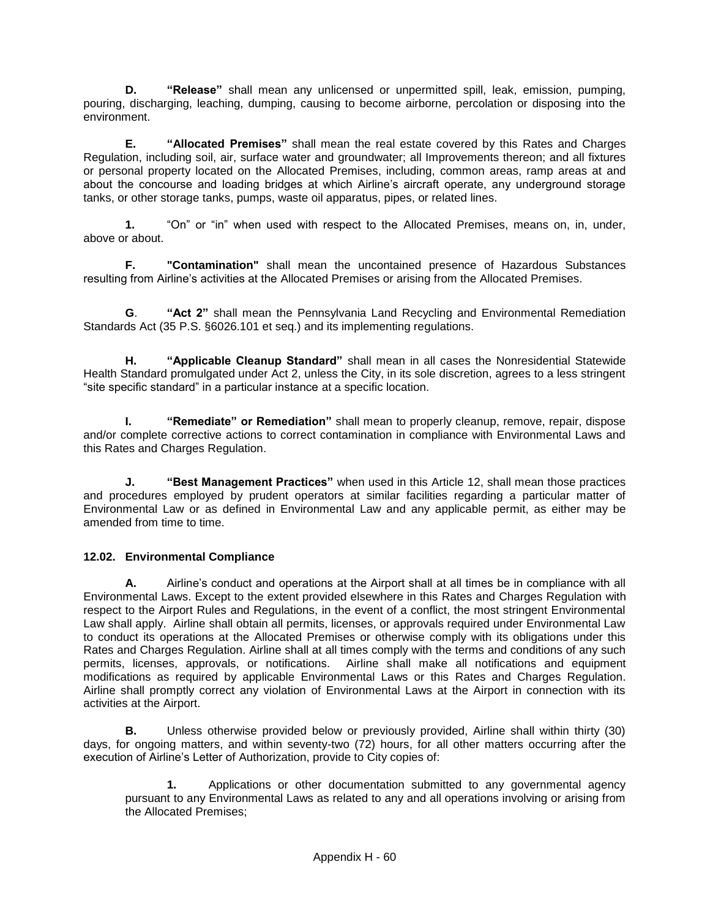**D. "Release"** shall mean any unlicensed or unpermitted spill, leak, emission, pumping, pouring, discharging, leaching, dumping, causing to become airborne, percolation or disposing into the environment.

**E. "Allocated Premises"** shall mean the real estate covered by this Rates and Charges Regulation, including soil, air, surface water and groundwater; all Improvements thereon; and all fixtures or personal property located on the Allocated Premises, including, common areas, ramp areas at and about the concourse and loading bridges at which Airline's aircraft operate, any underground storage tanks, or other storage tanks, pumps, waste oil apparatus, pipes, or related lines.

**1.** "On" or "in" when used with respect to the Allocated Premises, means on, in, under, above or about.

**F. "Contamination"** shall mean the uncontained presence of Hazardous Substances resulting from Airline's activities at the Allocated Premises or arising from the Allocated Premises.

**G**. **"Act 2"** shall mean the Pennsylvania Land Recycling and Environmental Remediation Standards Act (35 P.S. §6026.101 et seq.) and its implementing regulations.

**H. "Applicable Cleanup Standard"** shall mean in all cases the Nonresidential Statewide Health Standard promulgated under Act 2, unless the City, in its sole discretion, agrees to a less stringent "site specific standard" in a particular instance at a specific location.

**I. "Remediate" or Remediation"** shall mean to properly cleanup, remove, repair, dispose and/or complete corrective actions to correct contamination in compliance with Environmental Laws and this Rates and Charges Regulation.

**J. "Best Management Practices"** when used in this Article 12, shall mean those practices and procedures employed by prudent operators at similar facilities regarding a particular matter of Environmental Law or as defined in Environmental Law and any applicable permit, as either may be amended from time to time.

## **12.02. Environmental Compliance**

**A.** Airline's conduct and operations at the Airport shall at all times be in compliance with all Environmental Laws. Except to the extent provided elsewhere in this Rates and Charges Regulation with respect to the Airport Rules and Regulations, in the event of a conflict, the most stringent Environmental Law shall apply. Airline shall obtain all permits, licenses, or approvals required under Environmental Law to conduct its operations at the Allocated Premises or otherwise comply with its obligations under this Rates and Charges Regulation. Airline shall at all times comply with the terms and conditions of any such permits, licenses, approvals, or notifications. Airline shall make all notifications and equipment modifications as required by applicable Environmental Laws or this Rates and Charges Regulation. Airline shall promptly correct any violation of Environmental Laws at the Airport in connection with its activities at the Airport.

**B.** Unless otherwise provided below or previously provided, Airline shall within thirty (30) days, for ongoing matters, and within seventy-two (72) hours, for all other matters occurring after the execution of Airline's Letter of Authorization, provide to City copies of:

**1.** Applications or other documentation submitted to any governmental agency pursuant to any Environmental Laws as related to any and all operations involving or arising from the Allocated Premises;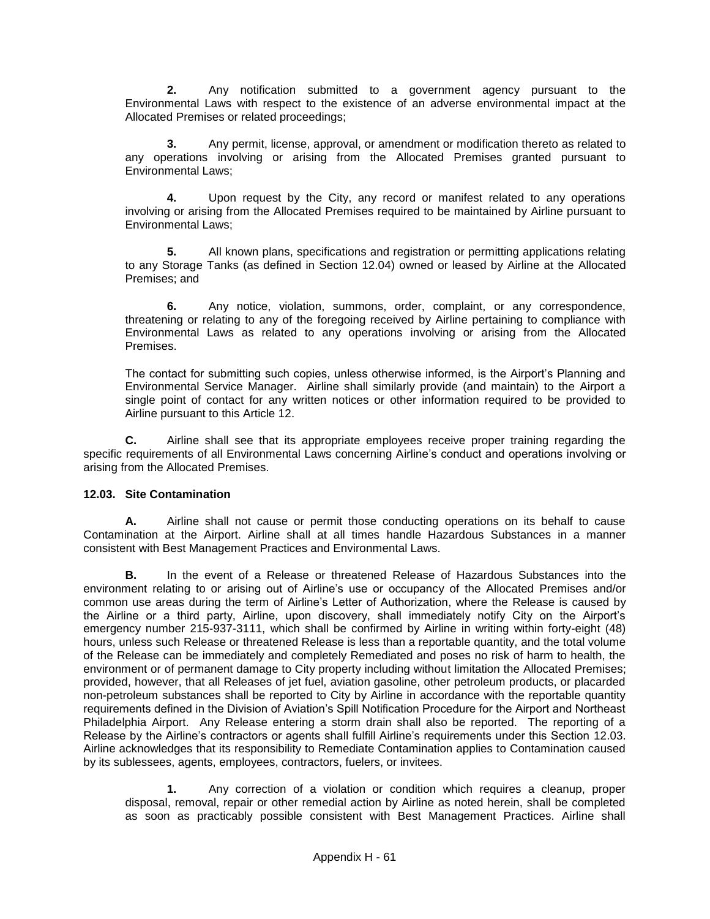**2.** Any notification submitted to a government agency pursuant to the Environmental Laws with respect to the existence of an adverse environmental impact at the Allocated Premises or related proceedings;

**3.** Any permit, license, approval, or amendment or modification thereto as related to any operations involving or arising from the Allocated Premises granted pursuant to Environmental Laws;

**4.** Upon request by the City, any record or manifest related to any operations involving or arising from the Allocated Premises required to be maintained by Airline pursuant to Environmental Laws;

**5.** All known plans, specifications and registration or permitting applications relating to any Storage Tanks (as defined in Section 12.04) owned or leased by Airline at the Allocated Premises; and

**6.** Any notice, violation, summons, order, complaint, or any correspondence, threatening or relating to any of the foregoing received by Airline pertaining to compliance with Environmental Laws as related to any operations involving or arising from the Allocated Premises.

The contact for submitting such copies, unless otherwise informed, is the Airport's Planning and Environmental Service Manager. Airline shall similarly provide (and maintain) to the Airport a single point of contact for any written notices or other information required to be provided to Airline pursuant to this Article 12.

**C.** Airline shall see that its appropriate employees receive proper training regarding the specific requirements of all Environmental Laws concerning Airline's conduct and operations involving or arising from the Allocated Premises.

## **12.03. Site Contamination**

**A.** Airline shall not cause or permit those conducting operations on its behalf to cause Contamination at the Airport. Airline shall at all times handle Hazardous Substances in a manner consistent with Best Management Practices and Environmental Laws.

**B.** In the event of a Release or threatened Release of Hazardous Substances into the environment relating to or arising out of Airline's use or occupancy of the Allocated Premises and/or common use areas during the term of Airline's Letter of Authorization, where the Release is caused by the Airline or a third party, Airline, upon discovery, shall immediately notify City on the Airport's emergency number 215-937-3111, which shall be confirmed by Airline in writing within forty-eight (48) hours, unless such Release or threatened Release is less than a reportable quantity, and the total volume of the Release can be immediately and completely Remediated and poses no risk of harm to health, the environment or of permanent damage to City property including without limitation the Allocated Premises; provided, however, that all Releases of jet fuel, aviation gasoline, other petroleum products, or placarded non-petroleum substances shall be reported to City by Airline in accordance with the reportable quantity requirements defined in the Division of Aviation's Spill Notification Procedure for the Airport and Northeast Philadelphia Airport. Any Release entering a storm drain shall also be reported. The reporting of a Release by the Airline's contractors or agents shall fulfill Airline's requirements under this Section 12.03. Airline acknowledges that its responsibility to Remediate Contamination applies to Contamination caused by its sublessees, agents, employees, contractors, fuelers, or invitees.

**1.** Any correction of a violation or condition which requires a cleanup, proper disposal, removal, repair or other remedial action by Airline as noted herein, shall be completed as soon as practicably possible consistent with Best Management Practices. Airline shall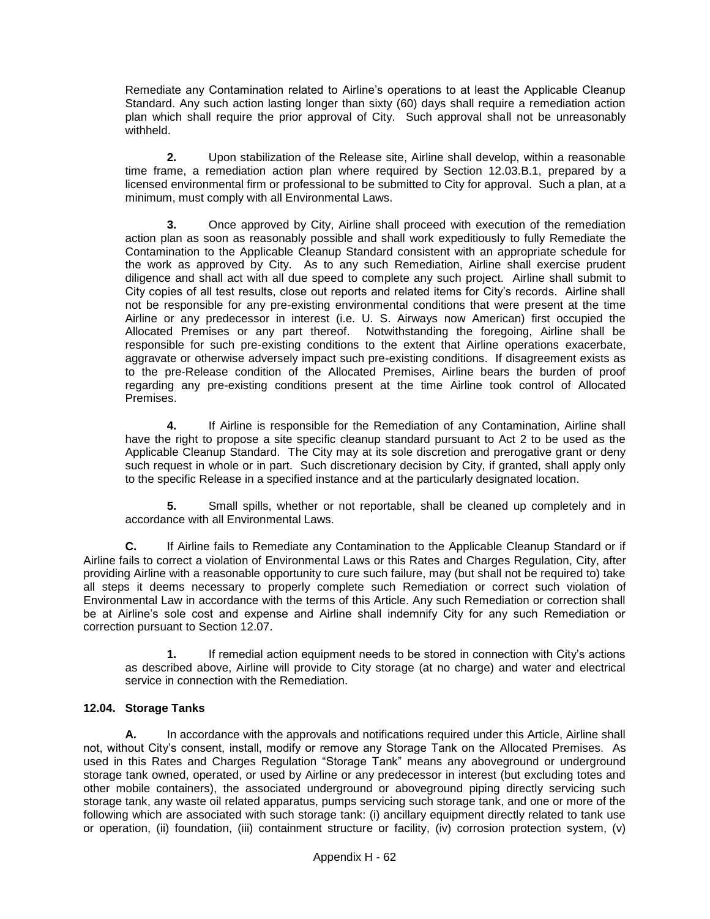Remediate any Contamination related to Airline's operations to at least the Applicable Cleanup Standard. Any such action lasting longer than sixty (60) days shall require a remediation action plan which shall require the prior approval of City. Such approval shall not be unreasonably withheld.

**2.** Upon stabilization of the Release site, Airline shall develop, within a reasonable time frame, a remediation action plan where required by Section 12.03.B.1, prepared by a licensed environmental firm or professional to be submitted to City for approval. Such a plan, at a minimum, must comply with all Environmental Laws.

**3.** Once approved by City, Airline shall proceed with execution of the remediation action plan as soon as reasonably possible and shall work expeditiously to fully Remediate the Contamination to the Applicable Cleanup Standard consistent with an appropriate schedule for the work as approved by City. As to any such Remediation, Airline shall exercise prudent diligence and shall act with all due speed to complete any such project. Airline shall submit to City copies of all test results, close out reports and related items for City's records. Airline shall not be responsible for any pre-existing environmental conditions that were present at the time Airline or any predecessor in interest (i.e. U. S. Airways now American) first occupied the Allocated Premises or any part thereof. Notwithstanding the foregoing, Airline shall be responsible for such pre-existing conditions to the extent that Airline operations exacerbate, aggravate or otherwise adversely impact such pre-existing conditions. If disagreement exists as to the pre-Release condition of the Allocated Premises, Airline bears the burden of proof regarding any pre-existing conditions present at the time Airline took control of Allocated Premises.

**4.** If Airline is responsible for the Remediation of any Contamination, Airline shall have the right to propose a site specific cleanup standard pursuant to Act 2 to be used as the Applicable Cleanup Standard. The City may at its sole discretion and prerogative grant or deny such request in whole or in part. Such discretionary decision by City, if granted, shall apply only to the specific Release in a specified instance and at the particularly designated location.

**5.** Small spills, whether or not reportable, shall be cleaned up completely and in accordance with all Environmental Laws.

**C.** If Airline fails to Remediate any Contamination to the Applicable Cleanup Standard or if Airline fails to correct a violation of Environmental Laws or this Rates and Charges Regulation, City, after providing Airline with a reasonable opportunity to cure such failure, may (but shall not be required to) take all steps it deems necessary to properly complete such Remediation or correct such violation of Environmental Law in accordance with the terms of this Article. Any such Remediation or correction shall be at Airline's sole cost and expense and Airline shall indemnify City for any such Remediation or correction pursuant to Section 12.07.

**1.** If remedial action equipment needs to be stored in connection with City's actions as described above, Airline will provide to City storage (at no charge) and water and electrical service in connection with the Remediation.

## **12.04. Storage Tanks**

**A.** In accordance with the approvals and notifications required under this Article, Airline shall not, without City's consent, install, modify or remove any Storage Tank on the Allocated Premises. As used in this Rates and Charges Regulation "Storage Tank" means any aboveground or underground storage tank owned, operated, or used by Airline or any predecessor in interest (but excluding totes and other mobile containers), the associated underground or aboveground piping directly servicing such storage tank, any waste oil related apparatus, pumps servicing such storage tank, and one or more of the following which are associated with such storage tank: (i) ancillary equipment directly related to tank use or operation, (ii) foundation, (iii) containment structure or facility, (iv) corrosion protection system, (v)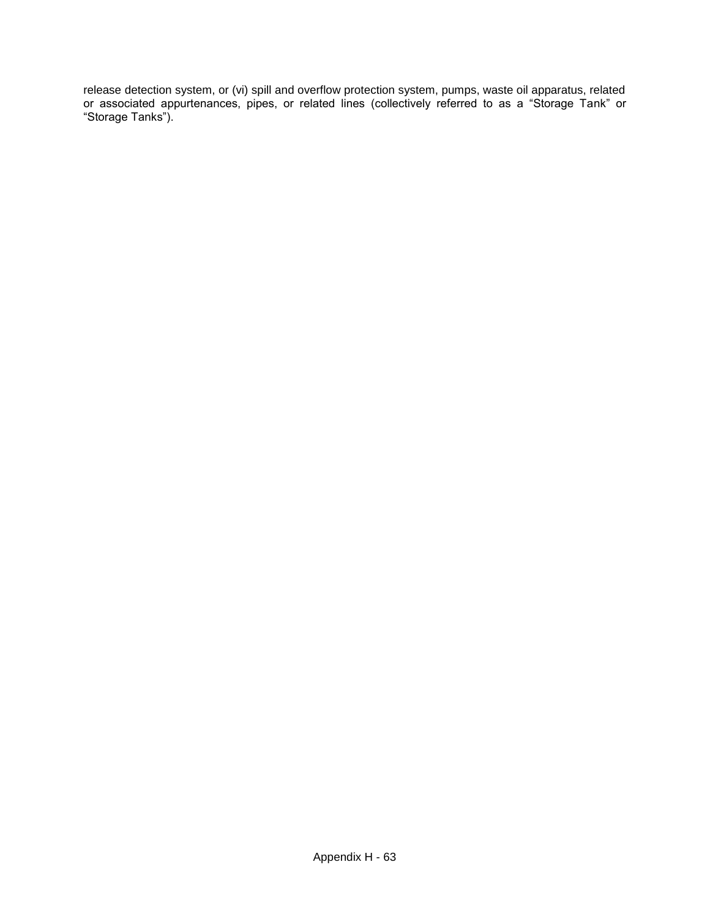release detection system, or (vi) spill and overflow protection system, pumps, waste oil apparatus, related or associated appurtenances, pipes, or related lines (collectively referred to as a "Storage Tank" or "Storage Tanks").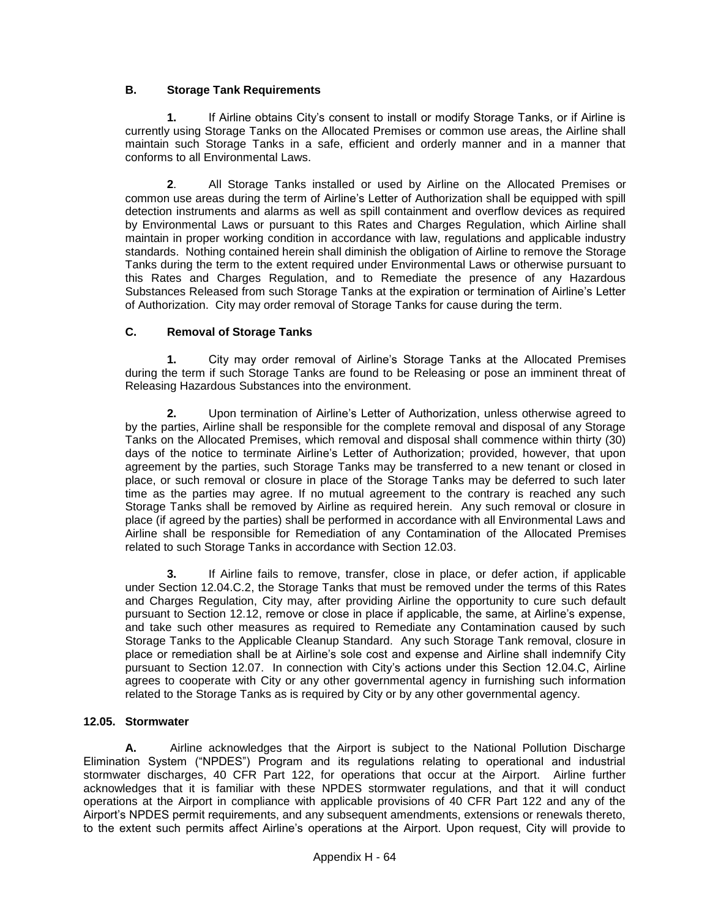# **B. Storage Tank Requirements**

**1.** If Airline obtains City's consent to install or modify Storage Tanks, or if Airline is currently using Storage Tanks on the Allocated Premises or common use areas, the Airline shall maintain such Storage Tanks in a safe, efficient and orderly manner and in a manner that conforms to all Environmental Laws.

**2**. All Storage Tanks installed or used by Airline on the Allocated Premises or common use areas during the term of Airline's Letter of Authorization shall be equipped with spill detection instruments and alarms as well as spill containment and overflow devices as required by Environmental Laws or pursuant to this Rates and Charges Regulation, which Airline shall maintain in proper working condition in accordance with law, regulations and applicable industry standards. Nothing contained herein shall diminish the obligation of Airline to remove the Storage Tanks during the term to the extent required under Environmental Laws or otherwise pursuant to this Rates and Charges Regulation, and to Remediate the presence of any Hazardous Substances Released from such Storage Tanks at the expiration or termination of Airline's Letter of Authorization. City may order removal of Storage Tanks for cause during the term.

## **C. Removal of Storage Tanks**

**1.** City may order removal of Airline's Storage Tanks at the Allocated Premises during the term if such Storage Tanks are found to be Releasing or pose an imminent threat of Releasing Hazardous Substances into the environment.

**2.** Upon termination of Airline's Letter of Authorization, unless otherwise agreed to by the parties, Airline shall be responsible for the complete removal and disposal of any Storage Tanks on the Allocated Premises, which removal and disposal shall commence within thirty (30) days of the notice to terminate Airline's Letter of Authorization; provided, however, that upon agreement by the parties, such Storage Tanks may be transferred to a new tenant or closed in place, or such removal or closure in place of the Storage Tanks may be deferred to such later time as the parties may agree. If no mutual agreement to the contrary is reached any such Storage Tanks shall be removed by Airline as required herein. Any such removal or closure in place (if agreed by the parties) shall be performed in accordance with all Environmental Laws and Airline shall be responsible for Remediation of any Contamination of the Allocated Premises related to such Storage Tanks in accordance with Section 12.03.

**3.** If Airline fails to remove, transfer, close in place, or defer action, if applicable under Section 12.04.C.2, the Storage Tanks that must be removed under the terms of this Rates and Charges Regulation, City may, after providing Airline the opportunity to cure such default pursuant to Section 12.12, remove or close in place if applicable, the same, at Airline's expense, and take such other measures as required to Remediate any Contamination caused by such Storage Tanks to the Applicable Cleanup Standard. Any such Storage Tank removal, closure in place or remediation shall be at Airline's sole cost and expense and Airline shall indemnify City pursuant to Section 12.07. In connection with City's actions under this Section 12.04.C, Airline agrees to cooperate with City or any other governmental agency in furnishing such information related to the Storage Tanks as is required by City or by any other governmental agency.

## **12.05. Stormwater**

**A.** Airline acknowledges that the Airport is subject to the National Pollution Discharge Elimination System ("NPDES") Program and its regulations relating to operational and industrial stormwater discharges, 40 CFR Part 122, for operations that occur at the Airport. Airline further acknowledges that it is familiar with these NPDES stormwater regulations, and that it will conduct operations at the Airport in compliance with applicable provisions of 40 CFR Part 122 and any of the Airport's NPDES permit requirements, and any subsequent amendments, extensions or renewals thereto, to the extent such permits affect Airline's operations at the Airport. Upon request, City will provide to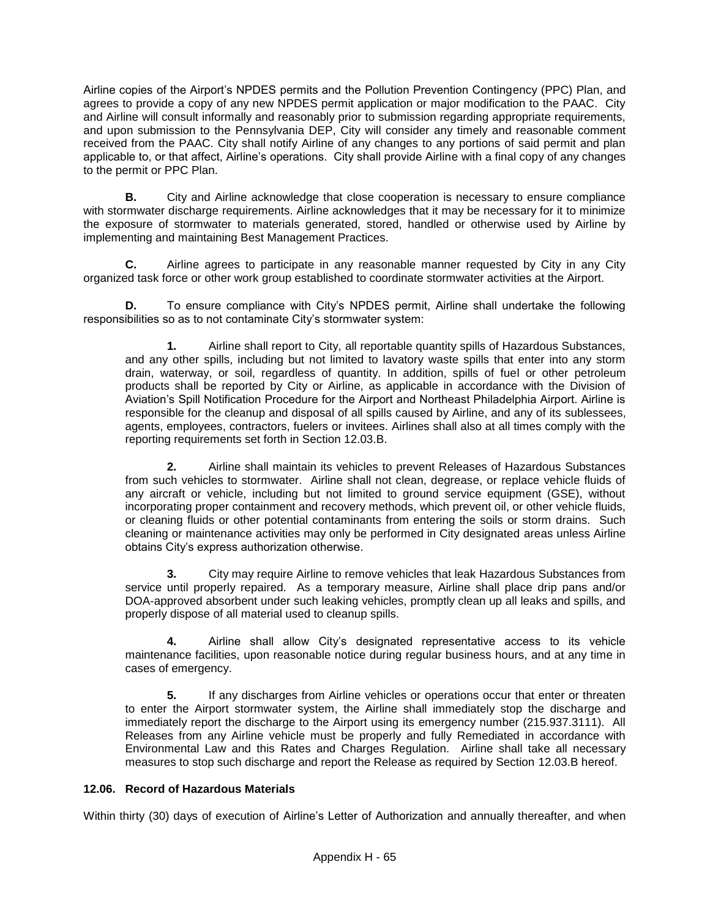Airline copies of the Airport's NPDES permits and the Pollution Prevention Contingency (PPC) Plan, and agrees to provide a copy of any new NPDES permit application or major modification to the PAAC. City and Airline will consult informally and reasonably prior to submission regarding appropriate requirements, and upon submission to the Pennsylvania DEP, City will consider any timely and reasonable comment received from the PAAC. City shall notify Airline of any changes to any portions of said permit and plan applicable to, or that affect, Airline's operations. City shall provide Airline with a final copy of any changes to the permit or PPC Plan.

**B.** City and Airline acknowledge that close cooperation is necessary to ensure compliance with stormwater discharge requirements. Airline acknowledges that it may be necessary for it to minimize the exposure of stormwater to materials generated, stored, handled or otherwise used by Airline by implementing and maintaining Best Management Practices.

**C.** Airline agrees to participate in any reasonable manner requested by City in any City organized task force or other work group established to coordinate stormwater activities at the Airport.

**D.** To ensure compliance with City's NPDES permit, Airline shall undertake the following responsibilities so as to not contaminate City's stormwater system:

**1.** Airline shall report to City, all reportable quantity spills of Hazardous Substances, and any other spills, including but not limited to lavatory waste spills that enter into any storm drain, waterway, or soil, regardless of quantity. In addition, spills of fuel or other petroleum products shall be reported by City or Airline, as applicable in accordance with the Division of Aviation's Spill Notification Procedure for the Airport and Northeast Philadelphia Airport. Airline is responsible for the cleanup and disposal of all spills caused by Airline, and any of its sublessees, agents, employees, contractors, fuelers or invitees. Airlines shall also at all times comply with the reporting requirements set forth in Section 12.03.B.

**2.** Airline shall maintain its vehicles to prevent Releases of Hazardous Substances from such vehicles to stormwater. Airline shall not clean, degrease, or replace vehicle fluids of any aircraft or vehicle, including but not limited to ground service equipment (GSE), without incorporating proper containment and recovery methods, which prevent oil, or other vehicle fluids, or cleaning fluids or other potential contaminants from entering the soils or storm drains. Such cleaning or maintenance activities may only be performed in City designated areas unless Airline obtains City's express authorization otherwise.

**3.** City may require Airline to remove vehicles that leak Hazardous Substances from service until properly repaired. As a temporary measure, Airline shall place drip pans and/or DOA-approved absorbent under such leaking vehicles, promptly clean up all leaks and spills, and properly dispose of all material used to cleanup spills.

**4.** Airline shall allow City's designated representative access to its vehicle maintenance facilities, upon reasonable notice during regular business hours, and at any time in cases of emergency.

**5.** If any discharges from Airline vehicles or operations occur that enter or threaten to enter the Airport stormwater system, the Airline shall immediately stop the discharge and immediately report the discharge to the Airport using its emergency number (215.937.3111). All Releases from any Airline vehicle must be properly and fully Remediated in accordance with Environmental Law and this Rates and Charges Regulation. Airline shall take all necessary measures to stop such discharge and report the Release as required by Section 12.03.B hereof.

## **12.06. Record of Hazardous Materials**

Within thirty (30) days of execution of Airline's Letter of Authorization and annually thereafter, and when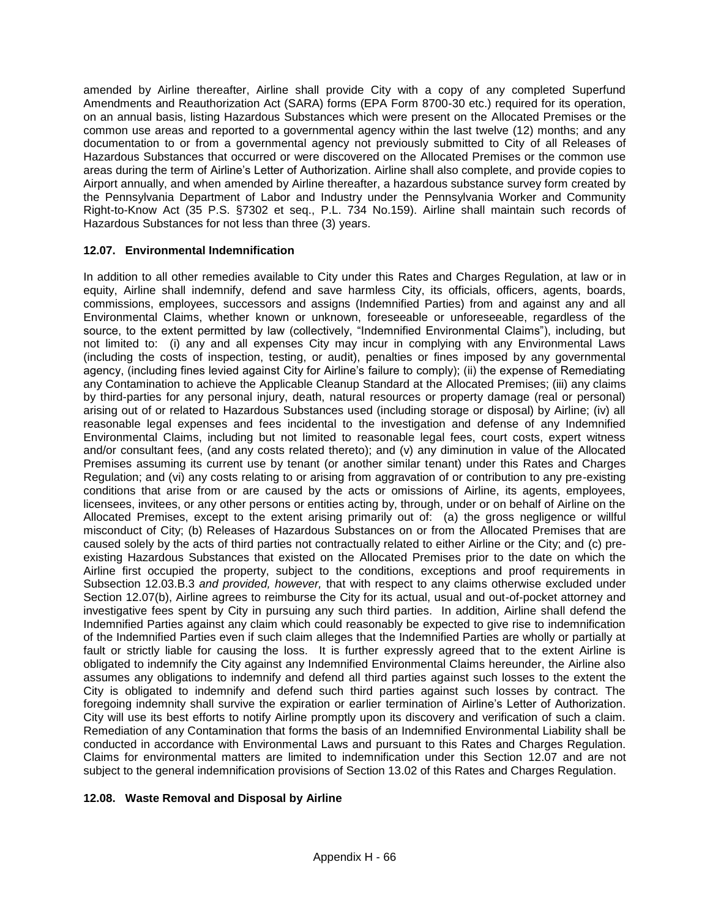amended by Airline thereafter, Airline shall provide City with a copy of any completed Superfund Amendments and Reauthorization Act (SARA) forms (EPA Form 8700-30 etc.) required for its operation, on an annual basis, listing Hazardous Substances which were present on the Allocated Premises or the common use areas and reported to a governmental agency within the last twelve (12) months; and any documentation to or from a governmental agency not previously submitted to City of all Releases of Hazardous Substances that occurred or were discovered on the Allocated Premises or the common use areas during the term of Airline's Letter of Authorization. Airline shall also complete, and provide copies to Airport annually, and when amended by Airline thereafter, a hazardous substance survey form created by the Pennsylvania Department of Labor and Industry under the Pennsylvania Worker and Community Right-to-Know Act (35 P.S. §7302 et seq., P.L. 734 No.159). Airline shall maintain such records of Hazardous Substances for not less than three (3) years.

# **12.07. Environmental Indemnification**

In addition to all other remedies available to City under this Rates and Charges Regulation, at law or in equity, Airline shall indemnify, defend and save harmless City, its officials, officers, agents, boards, commissions, employees, successors and assigns (Indemnified Parties) from and against any and all Environmental Claims, whether known or unknown, foreseeable or unforeseeable, regardless of the source, to the extent permitted by law (collectively, "Indemnified Environmental Claims"), including, but not limited to: (i) any and all expenses City may incur in complying with any Environmental Laws (including the costs of inspection, testing, or audit), penalties or fines imposed by any governmental agency, (including fines levied against City for Airline's failure to comply); (ii) the expense of Remediating any Contamination to achieve the Applicable Cleanup Standard at the Allocated Premises; (iii) any claims by third-parties for any personal injury, death, natural resources or property damage (real or personal) arising out of or related to Hazardous Substances used (including storage or disposal) by Airline; (iv) all reasonable legal expenses and fees incidental to the investigation and defense of any Indemnified Environmental Claims, including but not limited to reasonable legal fees, court costs, expert witness and/or consultant fees, (and any costs related thereto); and (v) any diminution in value of the Allocated Premises assuming its current use by tenant (or another similar tenant) under this Rates and Charges Regulation; and (vi) any costs relating to or arising from aggravation of or contribution to any pre-existing conditions that arise from or are caused by the acts or omissions of Airline, its agents, employees, licensees, invitees, or any other persons or entities acting by, through, under or on behalf of Airline on the Allocated Premises, except to the extent arising primarily out of: (a) the gross negligence or willful misconduct of City; (b) Releases of Hazardous Substances on or from the Allocated Premises that are caused solely by the acts of third parties not contractually related to either Airline or the City; and (c) preexisting Hazardous Substances that existed on the Allocated Premises prior to the date on which the Airline first occupied the property, subject to the conditions, exceptions and proof requirements in Subsection 12.03.B.3 *and provided, however,* that with respect to any claims otherwise excluded under Section 12.07(b), Airline agrees to reimburse the City for its actual, usual and out-of-pocket attorney and investigative fees spent by City in pursuing any such third parties. In addition, Airline shall defend the Indemnified Parties against any claim which could reasonably be expected to give rise to indemnification of the Indemnified Parties even if such claim alleges that the Indemnified Parties are wholly or partially at fault or strictly liable for causing the loss. It is further expressly agreed that to the extent Airline is obligated to indemnify the City against any Indemnified Environmental Claims hereunder, the Airline also assumes any obligations to indemnify and defend all third parties against such losses to the extent the City is obligated to indemnify and defend such third parties against such losses by contract. The foregoing indemnity shall survive the expiration or earlier termination of Airline's Letter of Authorization. City will use its best efforts to notify Airline promptly upon its discovery and verification of such a claim. Remediation of any Contamination that forms the basis of an Indemnified Environmental Liability shall be conducted in accordance with Environmental Laws and pursuant to this Rates and Charges Regulation. Claims for environmental matters are limited to indemnification under this Section 12.07 and are not subject to the general indemnification provisions of Section 13.02 of this Rates and Charges Regulation.

## **12.08. Waste Removal and Disposal by Airline**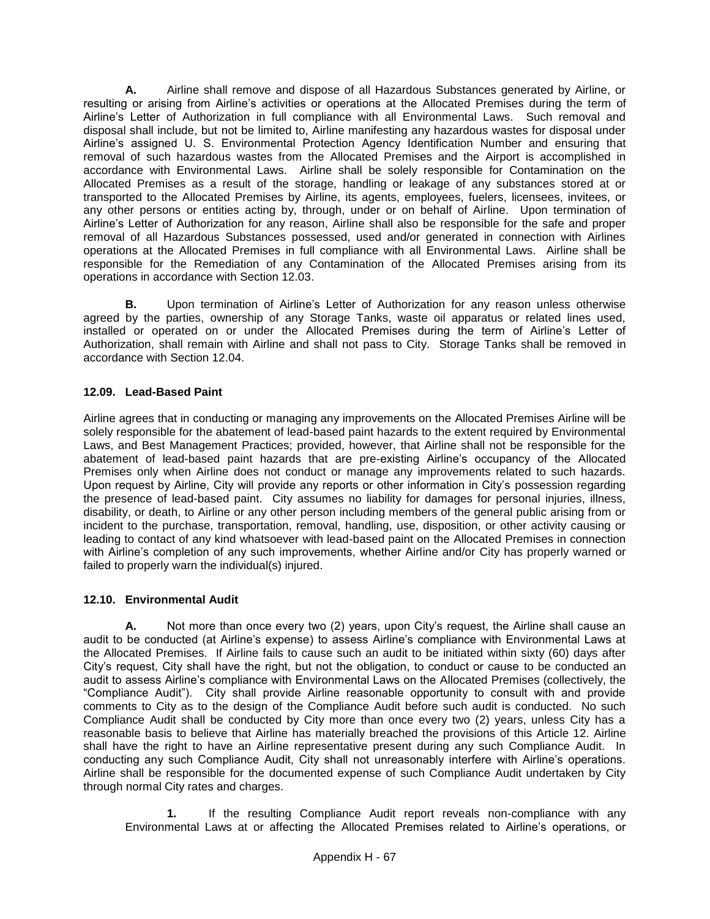**A.** Airline shall remove and dispose of all Hazardous Substances generated by Airline, or resulting or arising from Airline's activities or operations at the Allocated Premises during the term of Airline's Letter of Authorization in full compliance with all Environmental Laws. Such removal and disposal shall include, but not be limited to, Airline manifesting any hazardous wastes for disposal under Airline's assigned U. S. Environmental Protection Agency Identification Number and ensuring that removal of such hazardous wastes from the Allocated Premises and the Airport is accomplished in accordance with Environmental Laws. Airline shall be solely responsible for Contamination on the Allocated Premises as a result of the storage, handling or leakage of any substances stored at or transported to the Allocated Premises by Airline, its agents, employees, fuelers, licensees, invitees, or any other persons or entities acting by, through, under or on behalf of Airline. Upon termination of Airline's Letter of Authorization for any reason, Airline shall also be responsible for the safe and proper removal of all Hazardous Substances possessed, used and/or generated in connection with Airlines operations at the Allocated Premises in full compliance with all Environmental Laws. Airline shall be responsible for the Remediation of any Contamination of the Allocated Premises arising from its operations in accordance with Section 12.03.

**B.** Upon termination of Airline's Letter of Authorization for any reason unless otherwise agreed by the parties, ownership of any Storage Tanks, waste oil apparatus or related lines used, installed or operated on or under the Allocated Premises during the term of Airline's Letter of Authorization, shall remain with Airline and shall not pass to City. Storage Tanks shall be removed in accordance with Section 12.04.

# **12.09. Lead-Based Paint**

Airline agrees that in conducting or managing any improvements on the Allocated Premises Airline will be solely responsible for the abatement of lead-based paint hazards to the extent required by Environmental Laws, and Best Management Practices; provided, however, that Airline shall not be responsible for the abatement of lead-based paint hazards that are pre-existing Airline's occupancy of the Allocated Premises only when Airline does not conduct or manage any improvements related to such hazards. Upon request by Airline, City will provide any reports or other information in City's possession regarding the presence of lead-based paint. City assumes no liability for damages for personal injuries, illness, disability, or death, to Airline or any other person including members of the general public arising from or incident to the purchase, transportation, removal, handling, use, disposition, or other activity causing or leading to contact of any kind whatsoever with lead-based paint on the Allocated Premises in connection with Airline's completion of any such improvements, whether Airline and/or City has properly warned or failed to properly warn the individual(s) injured.

# **12.10. Environmental Audit**

**A.** Not more than once every two (2) years, upon City's request, the Airline shall cause an audit to be conducted (at Airline's expense) to assess Airline's compliance with Environmental Laws at the Allocated Premises. If Airline fails to cause such an audit to be initiated within sixty (60) days after City's request, City shall have the right, but not the obligation, to conduct or cause to be conducted an audit to assess Airline's compliance with Environmental Laws on the Allocated Premises (collectively, the "Compliance Audit"). City shall provide Airline reasonable opportunity to consult with and provide comments to City as to the design of the Compliance Audit before such audit is conducted. No such Compliance Audit shall be conducted by City more than once every two (2) years, unless City has a reasonable basis to believe that Airline has materially breached the provisions of this Article 12. Airline shall have the right to have an Airline representative present during any such Compliance Audit. In conducting any such Compliance Audit, City shall not unreasonably interfere with Airline's operations. Airline shall be responsible for the documented expense of such Compliance Audit undertaken by City through normal City rates and charges.

**1.** If the resulting Compliance Audit report reveals non-compliance with any Environmental Laws at or affecting the Allocated Premises related to Airline's operations, or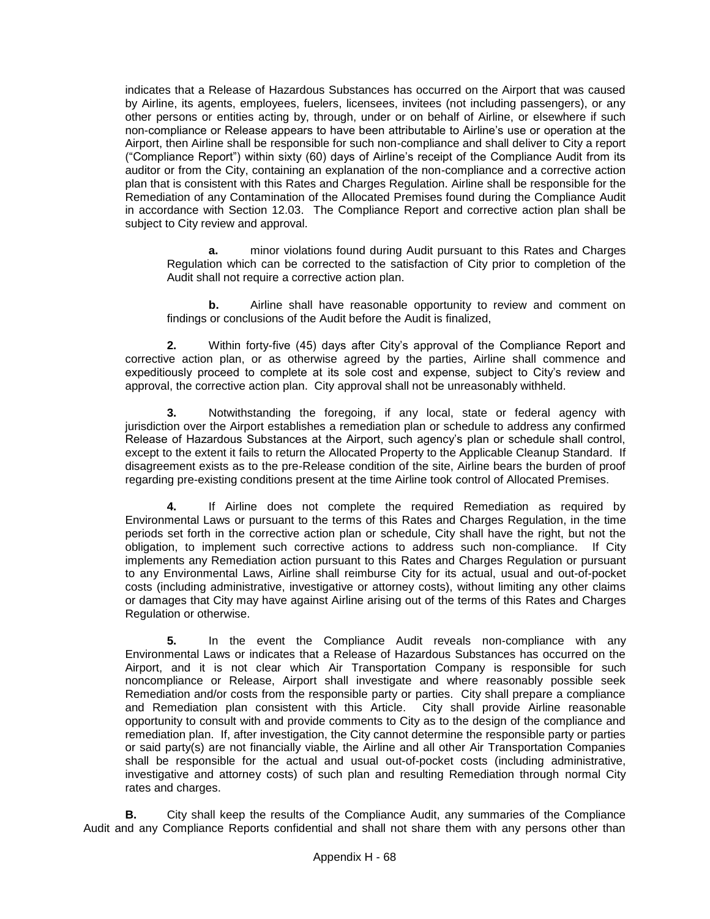indicates that a Release of Hazardous Substances has occurred on the Airport that was caused by Airline, its agents, employees, fuelers, licensees, invitees (not including passengers), or any other persons or entities acting by, through, under or on behalf of Airline, or elsewhere if such non-compliance or Release appears to have been attributable to Airline's use or operation at the Airport, then Airline shall be responsible for such non-compliance and shall deliver to City a report ("Compliance Report") within sixty (60) days of Airline's receipt of the Compliance Audit from its auditor or from the City, containing an explanation of the non-compliance and a corrective action plan that is consistent with this Rates and Charges Regulation. Airline shall be responsible for the Remediation of any Contamination of the Allocated Premises found during the Compliance Audit in accordance with Section 12.03. The Compliance Report and corrective action plan shall be subject to City review and approval.

**a.** minor violations found during Audit pursuant to this Rates and Charges Regulation which can be corrected to the satisfaction of City prior to completion of the Audit shall not require a corrective action plan.

**b.** Airline shall have reasonable opportunity to review and comment on findings or conclusions of the Audit before the Audit is finalized,

**2.** Within forty-five (45) days after City's approval of the Compliance Report and corrective action plan, or as otherwise agreed by the parties, Airline shall commence and expeditiously proceed to complete at its sole cost and expense, subject to City's review and approval, the corrective action plan. City approval shall not be unreasonably withheld.

**3.** Notwithstanding the foregoing, if any local, state or federal agency with jurisdiction over the Airport establishes a remediation plan or schedule to address any confirmed Release of Hazardous Substances at the Airport, such agency's plan or schedule shall control, except to the extent it fails to return the Allocated Property to the Applicable Cleanup Standard. If disagreement exists as to the pre-Release condition of the site, Airline bears the burden of proof regarding pre-existing conditions present at the time Airline took control of Allocated Premises.

**4.** If Airline does not complete the required Remediation as required by Environmental Laws or pursuant to the terms of this Rates and Charges Regulation, in the time periods set forth in the corrective action plan or schedule, City shall have the right, but not the obligation, to implement such corrective actions to address such non-compliance. If City implements any Remediation action pursuant to this Rates and Charges Regulation or pursuant to any Environmental Laws, Airline shall reimburse City for its actual, usual and out-of-pocket costs (including administrative, investigative or attorney costs), without limiting any other claims or damages that City may have against Airline arising out of the terms of this Rates and Charges Regulation or otherwise.

**5.** In the event the Compliance Audit reveals non-compliance with any Environmental Laws or indicates that a Release of Hazardous Substances has occurred on the Airport, and it is not clear which Air Transportation Company is responsible for such noncompliance or Release, Airport shall investigate and where reasonably possible seek Remediation and/or costs from the responsible party or parties. City shall prepare a compliance and Remediation plan consistent with this Article. City shall provide Airline reasonable opportunity to consult with and provide comments to City as to the design of the compliance and remediation plan. If, after investigation, the City cannot determine the responsible party or parties or said party(s) are not financially viable, the Airline and all other Air Transportation Companies shall be responsible for the actual and usual out-of-pocket costs (including administrative, investigative and attorney costs) of such plan and resulting Remediation through normal City rates and charges.

**B.** City shall keep the results of the Compliance Audit, any summaries of the Compliance Audit and any Compliance Reports confidential and shall not share them with any persons other than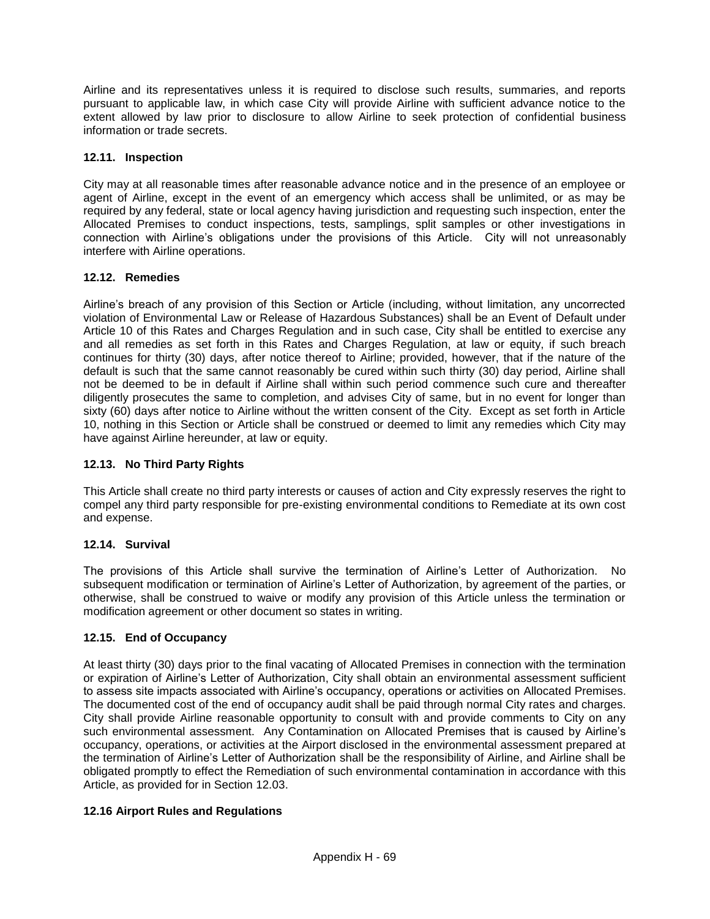Airline and its representatives unless it is required to disclose such results, summaries, and reports pursuant to applicable law, in which case City will provide Airline with sufficient advance notice to the extent allowed by law prior to disclosure to allow Airline to seek protection of confidential business information or trade secrets.

# **12.11. Inspection**

City may at all reasonable times after reasonable advance notice and in the presence of an employee or agent of Airline, except in the event of an emergency which access shall be unlimited, or as may be required by any federal, state or local agency having jurisdiction and requesting such inspection, enter the Allocated Premises to conduct inspections, tests, samplings, split samples or other investigations in connection with Airline's obligations under the provisions of this Article. City will not unreasonably interfere with Airline operations.

# **12.12. Remedies**

Airline's breach of any provision of this Section or Article (including, without limitation, any uncorrected violation of Environmental Law or Release of Hazardous Substances) shall be an Event of Default under Article 10 of this Rates and Charges Regulation and in such case, City shall be entitled to exercise any and all remedies as set forth in this Rates and Charges Regulation, at law or equity, if such breach continues for thirty (30) days, after notice thereof to Airline; provided, however, that if the nature of the default is such that the same cannot reasonably be cured within such thirty (30) day period, Airline shall not be deemed to be in default if Airline shall within such period commence such cure and thereafter diligently prosecutes the same to completion, and advises City of same, but in no event for longer than sixty (60) days after notice to Airline without the written consent of the City. Except as set forth in Article 10, nothing in this Section or Article shall be construed or deemed to limit any remedies which City may have against Airline hereunder, at law or equity.

# **12.13. No Third Party Rights**

This Article shall create no third party interests or causes of action and City expressly reserves the right to compel any third party responsible for pre-existing environmental conditions to Remediate at its own cost and expense.

## **12.14. Survival**

The provisions of this Article shall survive the termination of Airline's Letter of Authorization. No subsequent modification or termination of Airline's Letter of Authorization, by agreement of the parties, or otherwise, shall be construed to waive or modify any provision of this Article unless the termination or modification agreement or other document so states in writing.

## **12.15. End of Occupancy**

At least thirty (30) days prior to the final vacating of Allocated Premises in connection with the termination or expiration of Airline's Letter of Authorization, City shall obtain an environmental assessment sufficient to assess site impacts associated with Airline's occupancy, operations or activities on Allocated Premises. The documented cost of the end of occupancy audit shall be paid through normal City rates and charges. City shall provide Airline reasonable opportunity to consult with and provide comments to City on any such environmental assessment. Any Contamination on Allocated Premises that is caused by Airline's occupancy, operations, or activities at the Airport disclosed in the environmental assessment prepared at the termination of Airline's Letter of Authorization shall be the responsibility of Airline, and Airline shall be obligated promptly to effect the Remediation of such environmental contamination in accordance with this Article, as provided for in Section 12.03.

## **12.16 Airport Rules and Regulations**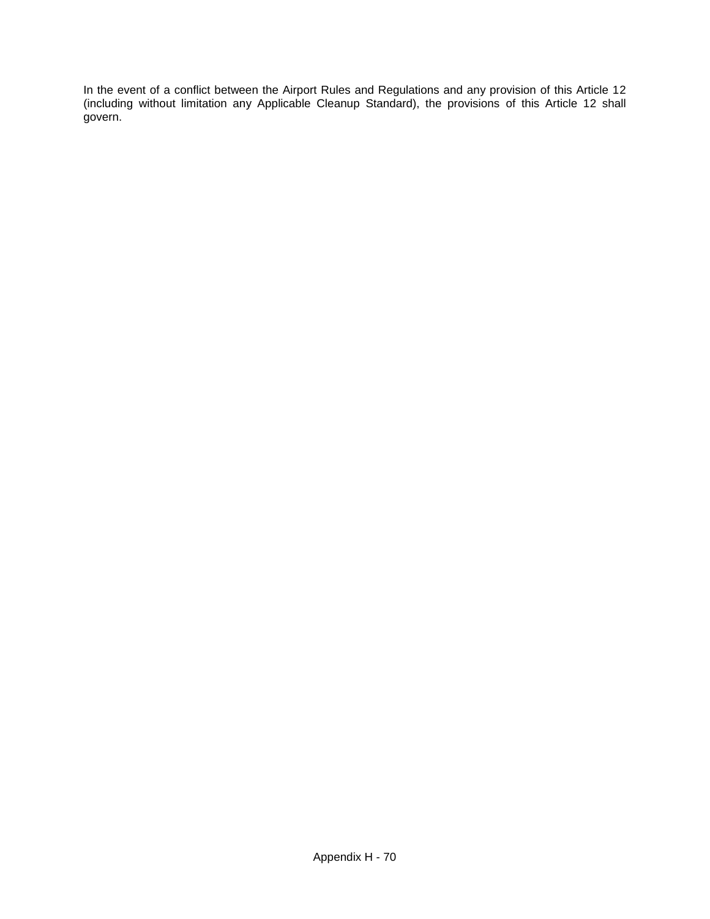In the event of a conflict between the Airport Rules and Regulations and any provision of this Article 12 (including without limitation any Applicable Cleanup Standard), the provisions of this Article 12 shall govern.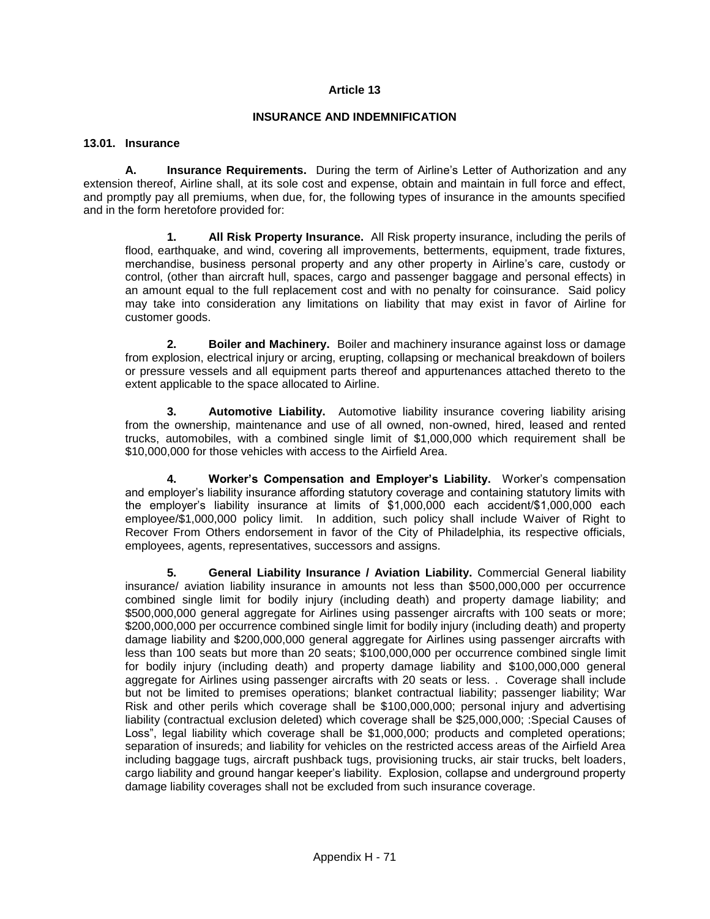### **INSURANCE AND INDEMNIFICATION**

#### **13.01. Insurance**

**A. Insurance Requirements.** During the term of Airline's Letter of Authorization and any extension thereof, Airline shall, at its sole cost and expense, obtain and maintain in full force and effect, and promptly pay all premiums, when due, for, the following types of insurance in the amounts specified and in the form heretofore provided for:

**1. All Risk Property Insurance.** All Risk property insurance, including the perils of flood, earthquake, and wind, covering all improvements, betterments, equipment, trade fixtures, merchandise, business personal property and any other property in Airline's care, custody or control, (other than aircraft hull, spaces, cargo and passenger baggage and personal effects) in an amount equal to the full replacement cost and with no penalty for coinsurance. Said policy may take into consideration any limitations on liability that may exist in favor of Airline for customer goods.

**2. Boiler and Machinery.** Boiler and machinery insurance against loss or damage from explosion, electrical injury or arcing, erupting, collapsing or mechanical breakdown of boilers or pressure vessels and all equipment parts thereof and appurtenances attached thereto to the extent applicable to the space allocated to Airline.

**3. Automotive Liability.** Automotive liability insurance covering liability arising from the ownership, maintenance and use of all owned, non-owned, hired, leased and rented trucks, automobiles, with a combined single limit of \$1,000,000 which requirement shall be \$10,000,000 for those vehicles with access to the Airfield Area.

**4. Worker's Compensation and Employer's Liability.** Worker's compensation and employer's liability insurance affording statutory coverage and containing statutory limits with the employer's liability insurance at limits of \$1,000,000 each accident/\$1,000,000 each employee/\$1,000,000 policy limit. In addition, such policy shall include Waiver of Right to Recover From Others endorsement in favor of the City of Philadelphia, its respective officials, employees, agents, representatives, successors and assigns.

**5. General Liability Insurance / Aviation Liability.** Commercial General liability insurance/ aviation liability insurance in amounts not less than \$500,000,000 per occurrence combined single limit for bodily injury (including death) and property damage liability; and \$500,000,000 general aggregate for Airlines using passenger aircrafts with 100 seats or more; \$200,000,000 per occurrence combined single limit for bodily injury (including death) and property damage liability and \$200,000,000 general aggregate for Airlines using passenger aircrafts with less than 100 seats but more than 20 seats; \$100,000,000 per occurrence combined single limit for bodily injury (including death) and property damage liability and \$100,000,000 general aggregate for Airlines using passenger aircrafts with 20 seats or less. . Coverage shall include but not be limited to premises operations; blanket contractual liability; passenger liability; War Risk and other perils which coverage shall be \$100,000,000; personal injury and advertising liability (contractual exclusion deleted) which coverage shall be \$25,000,000; :Special Causes of Loss", legal liability which coverage shall be \$1,000,000; products and completed operations; separation of insureds; and liability for vehicles on the restricted access areas of the Airfield Area including baggage tugs, aircraft pushback tugs, provisioning trucks, air stair trucks, belt loaders, cargo liability and ground hangar keeper's liability. Explosion, collapse and underground property damage liability coverages shall not be excluded from such insurance coverage.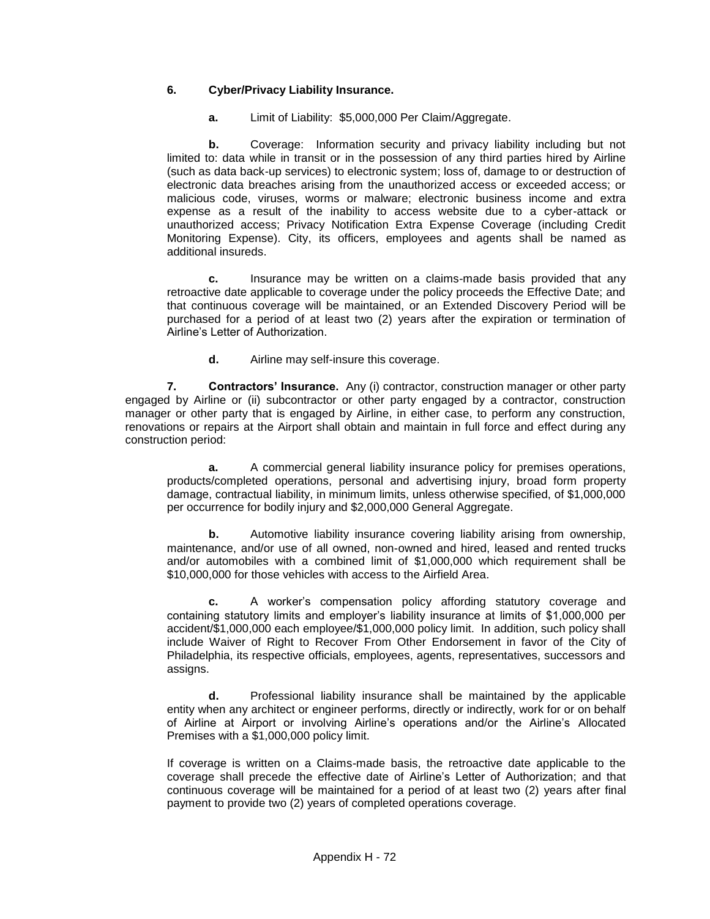# **6. Cyber/Privacy Liability Insurance.**

**a.** Limit of Liability: \$5,000,000 Per Claim/Aggregate.

**b.** Coverage: Information security and privacy liability including but not limited to: data while in transit or in the possession of any third parties hired by Airline (such as data back-up services) to electronic system; loss of, damage to or destruction of electronic data breaches arising from the unauthorized access or exceeded access; or malicious code, viruses, worms or malware; electronic business income and extra expense as a result of the inability to access website due to a cyber-attack or unauthorized access; Privacy Notification Extra Expense Coverage (including Credit Monitoring Expense). City, its officers, employees and agents shall be named as additional insureds.

**c.** Insurance may be written on a claims-made basis provided that any retroactive date applicable to coverage under the policy proceeds the Effective Date; and that continuous coverage will be maintained, or an Extended Discovery Period will be purchased for a period of at least two (2) years after the expiration or termination of Airline's Letter of Authorization.

**d.** Airline may self-insure this coverage.

**7. Contractors' Insurance.** Any (i) contractor, construction manager or other party engaged by Airline or (ii) subcontractor or other party engaged by a contractor, construction manager or other party that is engaged by Airline, in either case, to perform any construction, renovations or repairs at the Airport shall obtain and maintain in full force and effect during any construction period:

**a.** A commercial general liability insurance policy for premises operations, products/completed operations, personal and advertising injury, broad form property damage, contractual liability, in minimum limits, unless otherwise specified, of \$1,000,000 per occurrence for bodily injury and \$2,000,000 General Aggregate.

**b.** Automotive liability insurance covering liability arising from ownership, maintenance, and/or use of all owned, non-owned and hired, leased and rented trucks and/or automobiles with a combined limit of \$1,000,000 which requirement shall be \$10,000,000 for those vehicles with access to the Airfield Area.

**c.** A worker's compensation policy affording statutory coverage and containing statutory limits and employer's liability insurance at limits of \$1,000,000 per accident/\$1,000,000 each employee/\$1,000,000 policy limit. In addition, such policy shall include Waiver of Right to Recover From Other Endorsement in favor of the City of Philadelphia, its respective officials, employees, agents, representatives, successors and assigns.

**d.** Professional liability insurance shall be maintained by the applicable entity when any architect or engineer performs, directly or indirectly, work for or on behalf of Airline at Airport or involving Airline's operations and/or the Airline's Allocated Premises with a \$1,000,000 policy limit.

If coverage is written on a Claims-made basis, the retroactive date applicable to the coverage shall precede the effective date of Airline's Letter of Authorization; and that continuous coverage will be maintained for a period of at least two (2) years after final payment to provide two (2) years of completed operations coverage.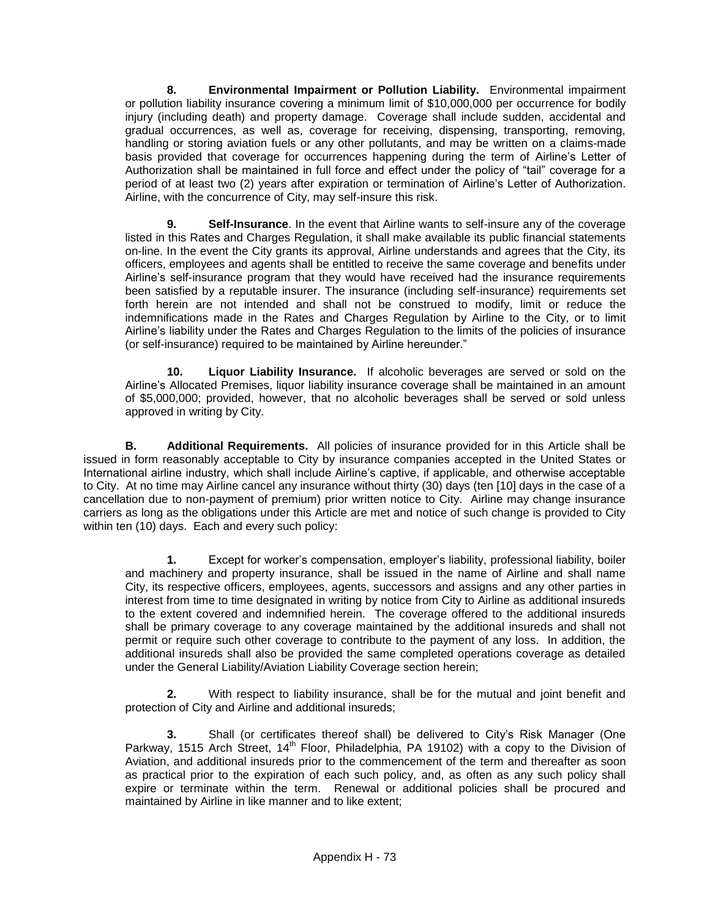**8. Environmental Impairment or Pollution Liability.** Environmental impairment or pollution liability insurance covering a minimum limit of \$10,000,000 per occurrence for bodily injury (including death) and property damage. Coverage shall include sudden, accidental and gradual occurrences, as well as, coverage for receiving, dispensing, transporting, removing, handling or storing aviation fuels or any other pollutants, and may be written on a claims-made basis provided that coverage for occurrences happening during the term of Airline's Letter of Authorization shall be maintained in full force and effect under the policy of "tail" coverage for a period of at least two (2) years after expiration or termination of Airline's Letter of Authorization. Airline, with the concurrence of City, may self-insure this risk.

**9. Self-Insurance**. In the event that Airline wants to self-insure any of the coverage listed in this Rates and Charges Regulation, it shall make available its public financial statements on-line. In the event the City grants its approval, Airline understands and agrees that the City, its officers, employees and agents shall be entitled to receive the same coverage and benefits under Airline's self-insurance program that they would have received had the insurance requirements been satisfied by a reputable insurer. The insurance (including self-insurance) requirements set forth herein are not intended and shall not be construed to modify, limit or reduce the indemnifications made in the Rates and Charges Regulation by Airline to the City, or to limit Airline's liability under the Rates and Charges Regulation to the limits of the policies of insurance (or self-insurance) required to be maintained by Airline hereunder."

**10. Liquor Liability Insurance.** If alcoholic beverages are served or sold on the Airline's Allocated Premises, liquor liability insurance coverage shall be maintained in an amount of \$5,000,000; provided, however, that no alcoholic beverages shall be served or sold unless approved in writing by City.

**B. Additional Requirements.** All policies of insurance provided for in this Article shall be issued in form reasonably acceptable to City by insurance companies accepted in the United States or International airline industry, which shall include Airline's captive, if applicable, and otherwise acceptable to City. At no time may Airline cancel any insurance without thirty (30) days (ten [10] days in the case of a cancellation due to non-payment of premium) prior written notice to City. Airline may change insurance carriers as long as the obligations under this Article are met and notice of such change is provided to City within ten (10) days. Each and every such policy:

**1.** Except for worker's compensation, employer's liability, professional liability, boiler and machinery and property insurance, shall be issued in the name of Airline and shall name City, its respective officers, employees, agents, successors and assigns and any other parties in interest from time to time designated in writing by notice from City to Airline as additional insureds to the extent covered and indemnified herein. The coverage offered to the additional insureds shall be primary coverage to any coverage maintained by the additional insureds and shall not permit or require such other coverage to contribute to the payment of any loss. In addition, the additional insureds shall also be provided the same completed operations coverage as detailed under the General Liability/Aviation Liability Coverage section herein;

**2.** With respect to liability insurance, shall be for the mutual and joint benefit and protection of City and Airline and additional insureds;

**3.** Shall (or certificates thereof shall) be delivered to City's Risk Manager (One Parkway, 1515 Arch Street,  $14<sup>th</sup>$  Floor, Philadelphia, PA 19102) with a copy to the Division of Aviation, and additional insureds prior to the commencement of the term and thereafter as soon as practical prior to the expiration of each such policy, and, as often as any such policy shall expire or terminate within the term. Renewal or additional policies shall be procured and maintained by Airline in like manner and to like extent;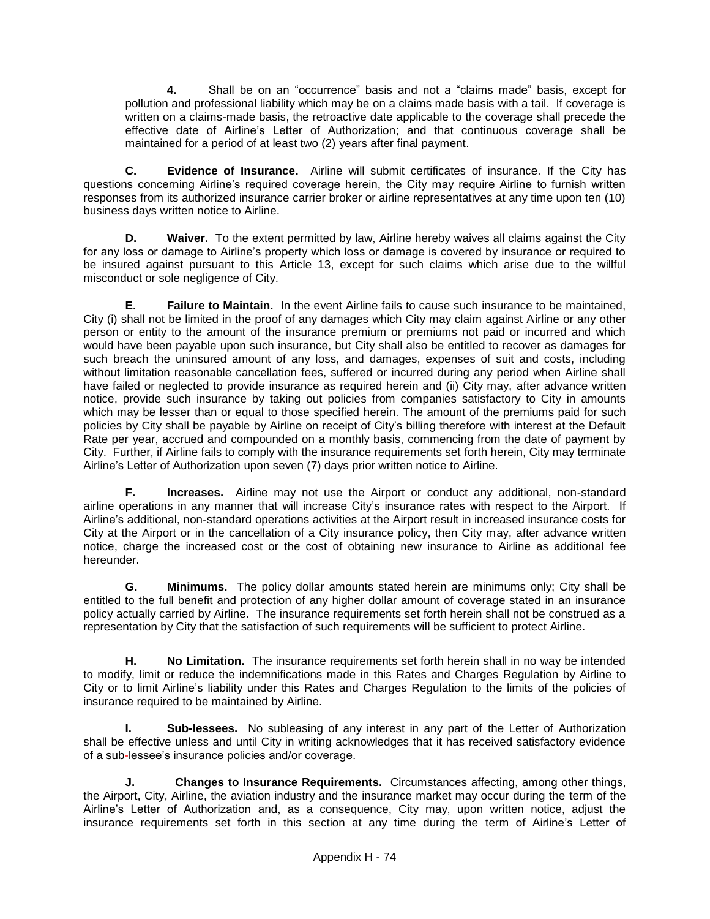**4.** Shall be on an "occurrence" basis and not a "claims made" basis, except for pollution and professional liability which may be on a claims made basis with a tail. If coverage is written on a claims-made basis, the retroactive date applicable to the coverage shall precede the effective date of Airline's Letter of Authorization; and that continuous coverage shall be maintained for a period of at least two (2) years after final payment.

**C. Evidence of Insurance.** Airline will submit certificates of insurance. If the City has questions concerning Airline's required coverage herein, the City may require Airline to furnish written responses from its authorized insurance carrier broker or airline representatives at any time upon ten (10) business days written notice to Airline.

**D. Waiver.** To the extent permitted by law, Airline hereby waives all claims against the City for any loss or damage to Airline's property which loss or damage is covered by insurance or required to be insured against pursuant to this Article 13, except for such claims which arise due to the willful misconduct or sole negligence of City.

**E. Failure to Maintain.** In the event Airline fails to cause such insurance to be maintained, City (i) shall not be limited in the proof of any damages which City may claim against Airline or any other person or entity to the amount of the insurance premium or premiums not paid or incurred and which would have been payable upon such insurance, but City shall also be entitled to recover as damages for such breach the uninsured amount of any loss, and damages, expenses of suit and costs, including without limitation reasonable cancellation fees, suffered or incurred during any period when Airline shall have failed or neglected to provide insurance as required herein and (ii) City may, after advance written notice, provide such insurance by taking out policies from companies satisfactory to City in amounts which may be lesser than or equal to those specified herein. The amount of the premiums paid for such policies by City shall be payable by Airline on receipt of City's billing therefore with interest at the Default Rate per year, accrued and compounded on a monthly basis, commencing from the date of payment by City. Further, if Airline fails to comply with the insurance requirements set forth herein, City may terminate Airline's Letter of Authorization upon seven (7) days prior written notice to Airline.

**F. Increases.** Airline may not use the Airport or conduct any additional, non-standard airline operations in any manner that will increase City's insurance rates with respect to the Airport. If Airline's additional, non-standard operations activities at the Airport result in increased insurance costs for City at the Airport or in the cancellation of a City insurance policy, then City may, after advance written notice, charge the increased cost or the cost of obtaining new insurance to Airline as additional fee hereunder.

**G. Minimums.** The policy dollar amounts stated herein are minimums only; City shall be entitled to the full benefit and protection of any higher dollar amount of coverage stated in an insurance policy actually carried by Airline. The insurance requirements set forth herein shall not be construed as a representation by City that the satisfaction of such requirements will be sufficient to protect Airline.

**H. No Limitation.** The insurance requirements set forth herein shall in no way be intended to modify, limit or reduce the indemnifications made in this Rates and Charges Regulation by Airline to City or to limit Airline's liability under this Rates and Charges Regulation to the limits of the policies of insurance required to be maintained by Airline.

**I. Sub-lessees.** No subleasing of any interest in any part of the Letter of Authorization shall be effective unless and until City in writing acknowledges that it has received satisfactory evidence of a sub-lessee's insurance policies and/or coverage.

**J. Changes to Insurance Requirements.** Circumstances affecting, among other things, the Airport, City, Airline, the aviation industry and the insurance market may occur during the term of the Airline's Letter of Authorization and, as a consequence, City may, upon written notice, adjust the insurance requirements set forth in this section at any time during the term of Airline's Letter of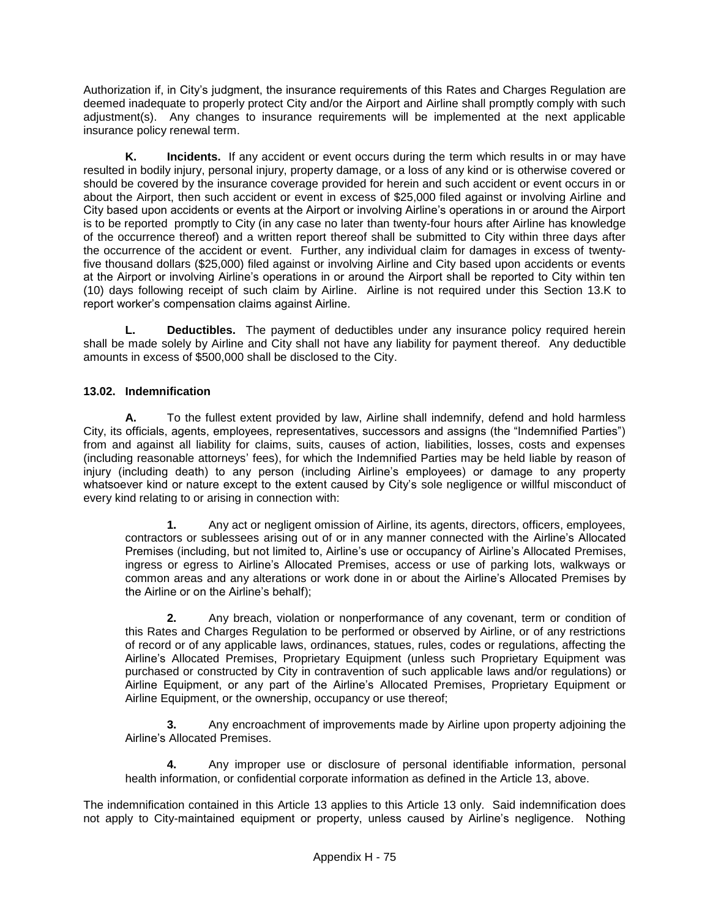Authorization if, in City's judgment, the insurance requirements of this Rates and Charges Regulation are deemed inadequate to properly protect City and/or the Airport and Airline shall promptly comply with such adjustment(s). Any changes to insurance requirements will be implemented at the next applicable insurance policy renewal term.

**K. Incidents.** If any accident or event occurs during the term which results in or may have resulted in bodily injury, personal injury, property damage, or a loss of any kind or is otherwise covered or should be covered by the insurance coverage provided for herein and such accident or event occurs in or about the Airport, then such accident or event in excess of \$25,000 filed against or involving Airline and City based upon accidents or events at the Airport or involving Airline's operations in or around the Airport is to be reported promptly to City (in any case no later than twenty-four hours after Airline has knowledge of the occurrence thereof) and a written report thereof shall be submitted to City within three days after the occurrence of the accident or event. Further, any individual claim for damages in excess of twentyfive thousand dollars (\$25,000) filed against or involving Airline and City based upon accidents or events at the Airport or involving Airline's operations in or around the Airport shall be reported to City within ten (10) days following receipt of such claim by Airline. Airline is not required under this Section 13.K to report worker's compensation claims against Airline.

**L. Deductibles.** The payment of deductibles under any insurance policy required herein shall be made solely by Airline and City shall not have any liability for payment thereof. Any deductible amounts in excess of \$500,000 shall be disclosed to the City.

# **13.02. Indemnification**

**A.** To the fullest extent provided by law, Airline shall indemnify, defend and hold harmless City, its officials, agents, employees, representatives, successors and assigns (the "Indemnified Parties") from and against all liability for claims, suits, causes of action, liabilities, losses, costs and expenses (including reasonable attorneys' fees), for which the Indemnified Parties may be held liable by reason of injury (including death) to any person (including Airline's employees) or damage to any property whatsoever kind or nature except to the extent caused by City's sole negligence or willful misconduct of every kind relating to or arising in connection with:

**1.** Any act or negligent omission of Airline, its agents, directors, officers, employees, contractors or sublessees arising out of or in any manner connected with the Airline's Allocated Premises (including, but not limited to, Airline's use or occupancy of Airline's Allocated Premises, ingress or egress to Airline's Allocated Premises, access or use of parking lots, walkways or common areas and any alterations or work done in or about the Airline's Allocated Premises by the Airline or on the Airline's behalf);

**2.** Any breach, violation or nonperformance of any covenant, term or condition of this Rates and Charges Regulation to be performed or observed by Airline, or of any restrictions of record or of any applicable laws, ordinances, statues, rules, codes or regulations, affecting the Airline's Allocated Premises, Proprietary Equipment (unless such Proprietary Equipment was purchased or constructed by City in contravention of such applicable laws and/or regulations) or Airline Equipment, or any part of the Airline's Allocated Premises, Proprietary Equipment or Airline Equipment, or the ownership, occupancy or use thereof;

**3.** Any encroachment of improvements made by Airline upon property adjoining the Airline's Allocated Premises.

**4.** Any improper use or disclosure of personal identifiable information, personal health information, or confidential corporate information as defined in the Article 13, above.

The indemnification contained in this Article 13 applies to this Article 13 only. Said indemnification does not apply to City-maintained equipment or property, unless caused by Airline's negligence. Nothing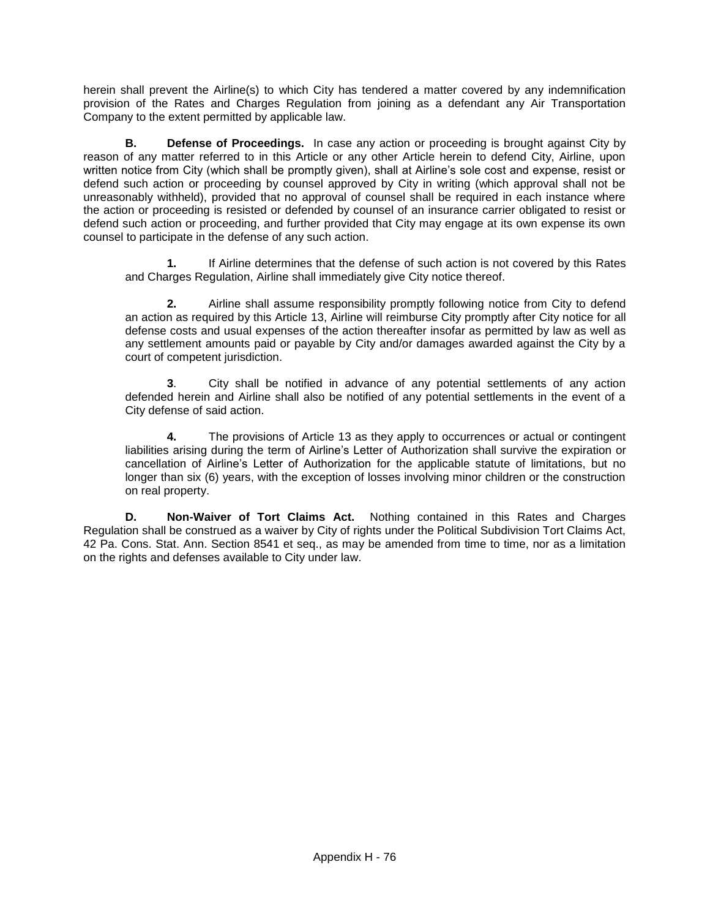herein shall prevent the Airline(s) to which City has tendered a matter covered by any indemnification provision of the Rates and Charges Regulation from joining as a defendant any Air Transportation Company to the extent permitted by applicable law.

**B. Defense of Proceedings.** In case any action or proceeding is brought against City by reason of any matter referred to in this Article or any other Article herein to defend City, Airline, upon written notice from City (which shall be promptly given), shall at Airline's sole cost and expense, resist or defend such action or proceeding by counsel approved by City in writing (which approval shall not be unreasonably withheld), provided that no approval of counsel shall be required in each instance where the action or proceeding is resisted or defended by counsel of an insurance carrier obligated to resist or defend such action or proceeding, and further provided that City may engage at its own expense its own counsel to participate in the defense of any such action.

**1.** If Airline determines that the defense of such action is not covered by this Rates and Charges Regulation, Airline shall immediately give City notice thereof.

**2.** Airline shall assume responsibility promptly following notice from City to defend an action as required by this Article 13, Airline will reimburse City promptly after City notice for all defense costs and usual expenses of the action thereafter insofar as permitted by law as well as any settlement amounts paid or payable by City and/or damages awarded against the City by a court of competent jurisdiction.

**3**. City shall be notified in advance of any potential settlements of any action defended herein and Airline shall also be notified of any potential settlements in the event of a City defense of said action.

**4.** The provisions of Article 13 as they apply to occurrences or actual or contingent liabilities arising during the term of Airline's Letter of Authorization shall survive the expiration or cancellation of Airline's Letter of Authorization for the applicable statute of limitations, but no longer than six (6) years, with the exception of losses involving minor children or the construction on real property.

**D. Non-Waiver of Tort Claims Act.** Nothing contained in this Rates and Charges Regulation shall be construed as a waiver by City of rights under the Political Subdivision Tort Claims Act, 42 Pa. Cons. Stat. Ann. Section 8541 et seq., as may be amended from time to time, nor as a limitation on the rights and defenses available to City under law.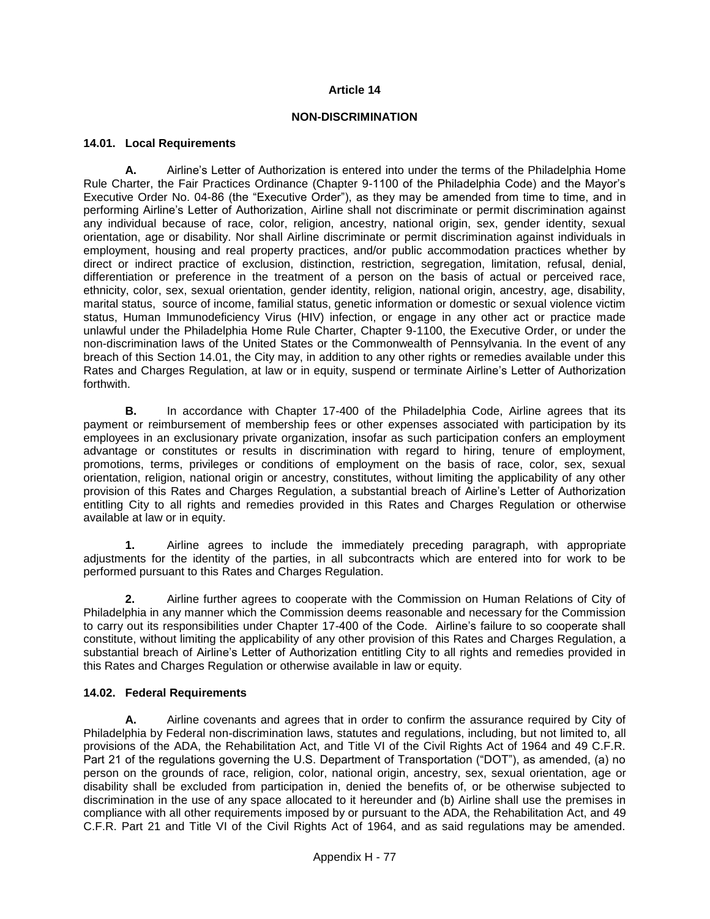### **Article 14**

#### **NON-DISCRIMINATION**

### **14.01. Local Requirements**

**A.** Airline's Letter of Authorization is entered into under the terms of the Philadelphia Home Rule Charter, the Fair Practices Ordinance (Chapter 9-1100 of the Philadelphia Code) and the Mayor's Executive Order No. 04-86 (the "Executive Order"), as they may be amended from time to time, and in performing Airline's Letter of Authorization, Airline shall not discriminate or permit discrimination against any individual because of race, color, religion, ancestry, national origin, sex, gender identity, sexual orientation, age or disability. Nor shall Airline discriminate or permit discrimination against individuals in employment, housing and real property practices, and/or public accommodation practices whether by direct or indirect practice of exclusion, distinction, restriction, segregation, limitation, refusal, denial, differentiation or preference in the treatment of a person on the basis of actual or perceived race, ethnicity, color, sex, sexual orientation, gender identity, religion, national origin, ancestry, age, disability, marital status, source of income, familial status, genetic information or domestic or sexual violence victim status, Human Immunodeficiency Virus (HIV) infection, or engage in any other act or practice made unlawful under the Philadelphia Home Rule Charter, Chapter 9-1100, the Executive Order, or under the non-discrimination laws of the United States or the Commonwealth of Pennsylvania. In the event of any breach of this Section 14.01, the City may, in addition to any other rights or remedies available under this Rates and Charges Regulation, at law or in equity, suspend or terminate Airline's Letter of Authorization forthwith.

**B.** In accordance with Chapter 17-400 of the Philadelphia Code, Airline agrees that its payment or reimbursement of membership fees or other expenses associated with participation by its employees in an exclusionary private organization, insofar as such participation confers an employment advantage or constitutes or results in discrimination with regard to hiring, tenure of employment, promotions, terms, privileges or conditions of employment on the basis of race, color, sex, sexual orientation, religion, national origin or ancestry, constitutes, without limiting the applicability of any other provision of this Rates and Charges Regulation, a substantial breach of Airline's Letter of Authorization entitling City to all rights and remedies provided in this Rates and Charges Regulation or otherwise available at law or in equity.

**1.** Airline agrees to include the immediately preceding paragraph, with appropriate adjustments for the identity of the parties, in all subcontracts which are entered into for work to be performed pursuant to this Rates and Charges Regulation.

**2.** Airline further agrees to cooperate with the Commission on Human Relations of City of Philadelphia in any manner which the Commission deems reasonable and necessary for the Commission to carry out its responsibilities under Chapter 17-400 of the Code. Airline's failure to so cooperate shall constitute, without limiting the applicability of any other provision of this Rates and Charges Regulation, a substantial breach of Airline's Letter of Authorization entitling City to all rights and remedies provided in this Rates and Charges Regulation or otherwise available in law or equity.

## **14.02. Federal Requirements**

**A.** Airline covenants and agrees that in order to confirm the assurance required by City of Philadelphia by Federal non-discrimination laws, statutes and regulations, including, but not limited to, all provisions of the ADA, the Rehabilitation Act, and Title VI of the Civil Rights Act of 1964 and 49 C.F.R. Part 21 of the regulations governing the U.S. Department of Transportation ("DOT"), as amended, (a) no person on the grounds of race, religion, color, national origin, ancestry, sex, sexual orientation, age or disability shall be excluded from participation in, denied the benefits of, or be otherwise subjected to discrimination in the use of any space allocated to it hereunder and (b) Airline shall use the premises in compliance with all other requirements imposed by or pursuant to the ADA, the Rehabilitation Act, and 49 C.F.R. Part 21 and Title VI of the Civil Rights Act of 1964, and as said regulations may be amended.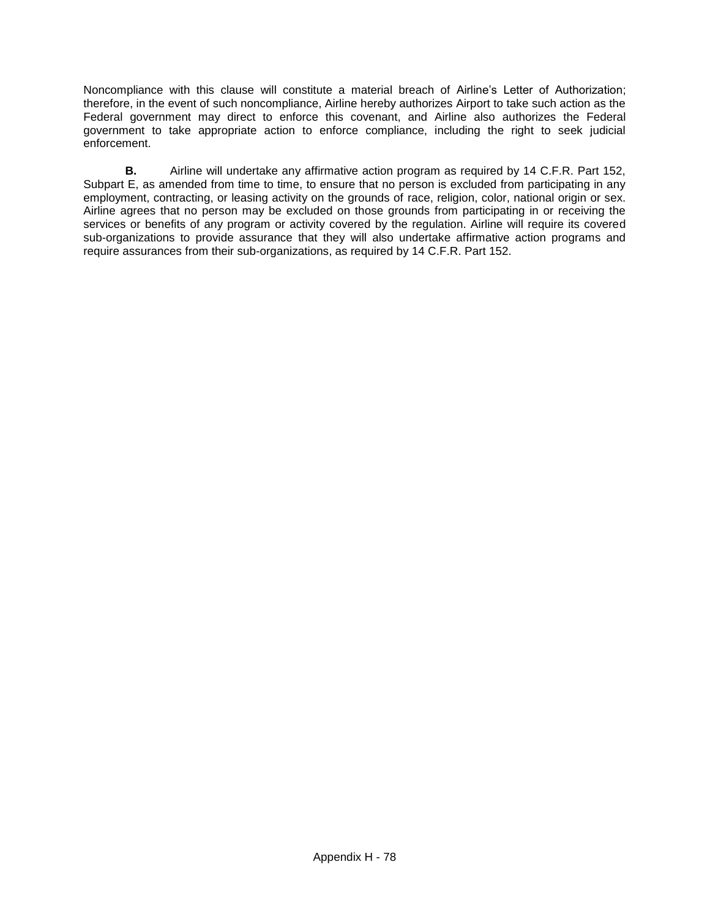Noncompliance with this clause will constitute a material breach of Airline's Letter of Authorization; therefore, in the event of such noncompliance, Airline hereby authorizes Airport to take such action as the Federal government may direct to enforce this covenant, and Airline also authorizes the Federal government to take appropriate action to enforce compliance, including the right to seek judicial enforcement.

**B.** Airline will undertake any affirmative action program as required by 14 C.F.R. Part 152, Subpart E, as amended from time to time, to ensure that no person is excluded from participating in any employment, contracting, or leasing activity on the grounds of race, religion, color, national origin or sex. Airline agrees that no person may be excluded on those grounds from participating in or receiving the services or benefits of any program or activity covered by the regulation. Airline will require its covered sub-organizations to provide assurance that they will also undertake affirmative action programs and require assurances from their sub-organizations, as required by 14 C.F.R. Part 152.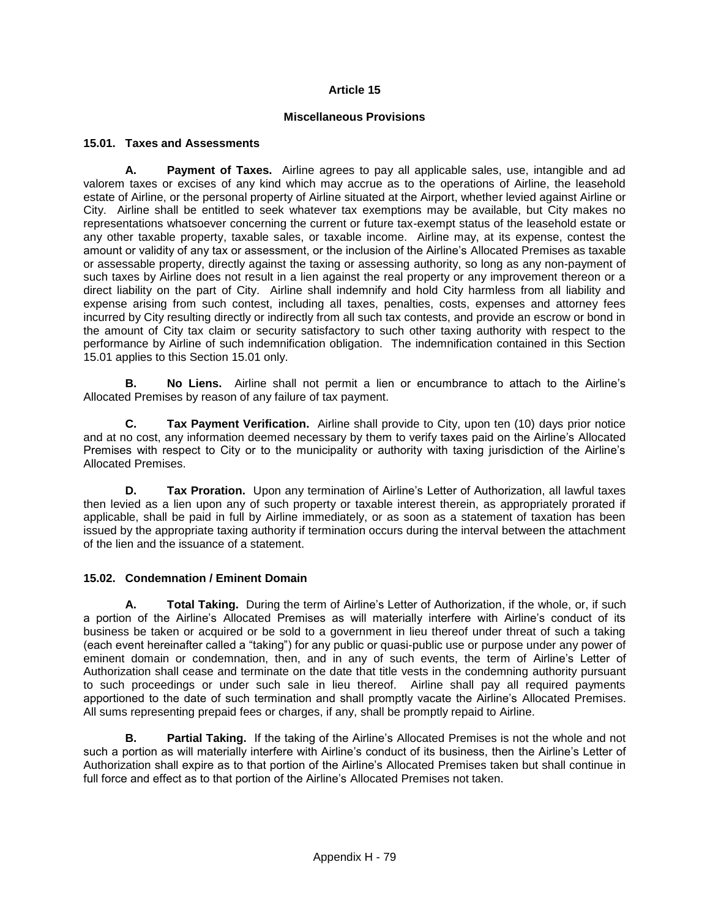## **Article 15**

### **Miscellaneous Provisions**

### **15.01. Taxes and Assessments**

**A. Payment of Taxes.** Airline agrees to pay all applicable sales, use, intangible and ad valorem taxes or excises of any kind which may accrue as to the operations of Airline, the leasehold estate of Airline, or the personal property of Airline situated at the Airport, whether levied against Airline or City. Airline shall be entitled to seek whatever tax exemptions may be available, but City makes no representations whatsoever concerning the current or future tax-exempt status of the leasehold estate or any other taxable property, taxable sales, or taxable income. Airline may, at its expense, contest the amount or validity of any tax or assessment, or the inclusion of the Airline's Allocated Premises as taxable or assessable property, directly against the taxing or assessing authority, so long as any non-payment of such taxes by Airline does not result in a lien against the real property or any improvement thereon or a direct liability on the part of City. Airline shall indemnify and hold City harmless from all liability and expense arising from such contest, including all taxes, penalties, costs, expenses and attorney fees incurred by City resulting directly or indirectly from all such tax contests, and provide an escrow or bond in the amount of City tax claim or security satisfactory to such other taxing authority with respect to the performance by Airline of such indemnification obligation. The indemnification contained in this Section 15.01 applies to this Section 15.01 only.

 **B. No Liens.** Airline shall not permit a lien or encumbrance to attach to the Airline's Allocated Premises by reason of any failure of tax payment.

**C. Tax Payment Verification.** Airline shall provide to City, upon ten (10) days prior notice and at no cost, any information deemed necessary by them to verify taxes paid on the Airline's Allocated Premises with respect to City or to the municipality or authority with taxing jurisdiction of the Airline's Allocated Premises.

**D. Tax Proration.** Upon any termination of Airline's Letter of Authorization, all lawful taxes then levied as a lien upon any of such property or taxable interest therein, as appropriately prorated if applicable, shall be paid in full by Airline immediately, or as soon as a statement of taxation has been issued by the appropriate taxing authority if termination occurs during the interval between the attachment of the lien and the issuance of a statement.

## **15.02. Condemnation / Eminent Domain**

**A. Total Taking.** During the term of Airline's Letter of Authorization, if the whole, or, if such a portion of the Airline's Allocated Premises as will materially interfere with Airline's conduct of its business be taken or acquired or be sold to a government in lieu thereof under threat of such a taking (each event hereinafter called a "taking") for any public or quasi-public use or purpose under any power of eminent domain or condemnation, then, and in any of such events, the term of Airline's Letter of Authorization shall cease and terminate on the date that title vests in the condemning authority pursuant to such proceedings or under such sale in lieu thereof. Airline shall pay all required payments apportioned to the date of such termination and shall promptly vacate the Airline's Allocated Premises. All sums representing prepaid fees or charges, if any, shall be promptly repaid to Airline.

**B. Partial Taking.** If the taking of the Airline's Allocated Premises is not the whole and not such a portion as will materially interfere with Airline's conduct of its business, then the Airline's Letter of Authorization shall expire as to that portion of the Airline's Allocated Premises taken but shall continue in full force and effect as to that portion of the Airline's Allocated Premises not taken.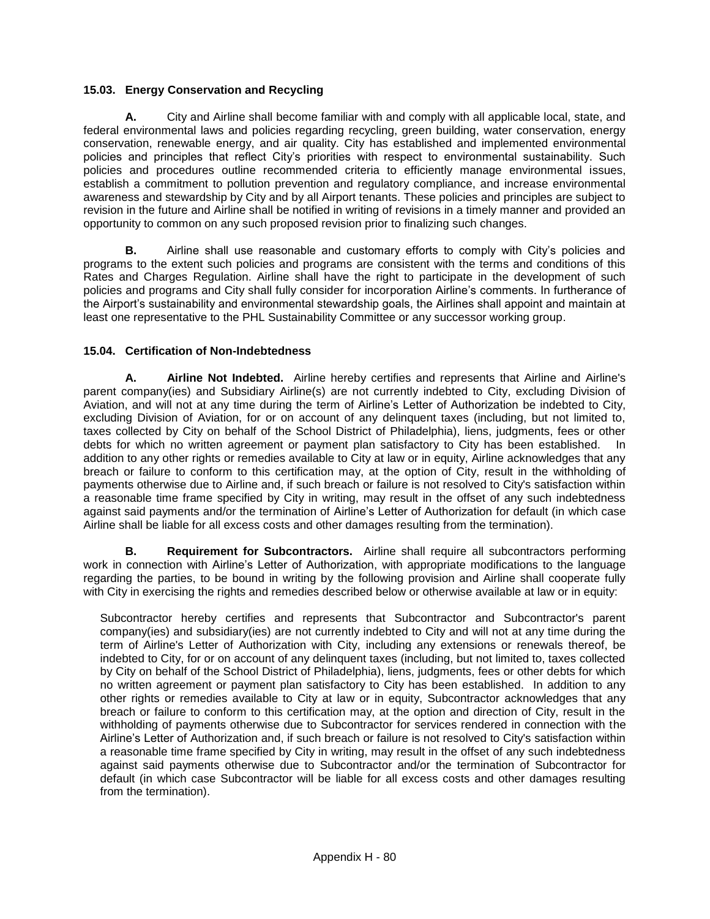# **15.03. Energy Conservation and Recycling**

**A.** City and Airline shall become familiar with and comply with all applicable local, state, and federal environmental laws and policies regarding recycling, green building, water conservation, energy conservation, renewable energy, and air quality. City has established and implemented environmental policies and principles that reflect City's priorities with respect to environmental sustainability. Such policies and procedures outline recommended criteria to efficiently manage environmental issues, establish a commitment to pollution prevention and regulatory compliance, and increase environmental awareness and stewardship by City and by all Airport tenants. These policies and principles are subject to revision in the future and Airline shall be notified in writing of revisions in a timely manner and provided an opportunity to common on any such proposed revision prior to finalizing such changes.

**B.** Airline shall use reasonable and customary efforts to comply with City's policies and programs to the extent such policies and programs are consistent with the terms and conditions of this Rates and Charges Regulation. Airline shall have the right to participate in the development of such policies and programs and City shall fully consider for incorporation Airline's comments. In furtherance of the Airport's sustainability and environmental stewardship goals, the Airlines shall appoint and maintain at least one representative to the PHL Sustainability Committee or any successor working group.

# **15.04. Certification of Non-Indebtedness**

**A. Airline Not Indebted.** Airline hereby certifies and represents that Airline and Airline's parent company(ies) and Subsidiary Airline(s) are not currently indebted to City, excluding Division of Aviation, and will not at any time during the term of Airline's Letter of Authorization be indebted to City, excluding Division of Aviation, for or on account of any delinquent taxes (including, but not limited to, taxes collected by City on behalf of the School District of Philadelphia), liens, judgments, fees or other debts for which no written agreement or payment plan satisfactory to City has been established. In addition to any other rights or remedies available to City at law or in equity, Airline acknowledges that any breach or failure to conform to this certification may, at the option of City, result in the withholding of payments otherwise due to Airline and, if such breach or failure is not resolved to City's satisfaction within a reasonable time frame specified by City in writing, may result in the offset of any such indebtedness against said payments and/or the termination of Airline's Letter of Authorization for default (in which case Airline shall be liable for all excess costs and other damages resulting from the termination).

**B. Requirement for Subcontractors.** Airline shall require all subcontractors performing work in connection with Airline's Letter of Authorization, with appropriate modifications to the language regarding the parties, to be bound in writing by the following provision and Airline shall cooperate fully with City in exercising the rights and remedies described below or otherwise available at law or in equity:

Subcontractor hereby certifies and represents that Subcontractor and Subcontractor's parent company(ies) and subsidiary(ies) are not currently indebted to City and will not at any time during the term of Airline's Letter of Authorization with City, including any extensions or renewals thereof, be indebted to City, for or on account of any delinquent taxes (including, but not limited to, taxes collected by City on behalf of the School District of Philadelphia), liens, judgments, fees or other debts for which no written agreement or payment plan satisfactory to City has been established. In addition to any other rights or remedies available to City at law or in equity, Subcontractor acknowledges that any breach or failure to conform to this certification may, at the option and direction of City, result in the withholding of payments otherwise due to Subcontractor for services rendered in connection with the Airline's Letter of Authorization and, if such breach or failure is not resolved to City's satisfaction within a reasonable time frame specified by City in writing, may result in the offset of any such indebtedness against said payments otherwise due to Subcontractor and/or the termination of Subcontractor for default (in which case Subcontractor will be liable for all excess costs and other damages resulting from the termination).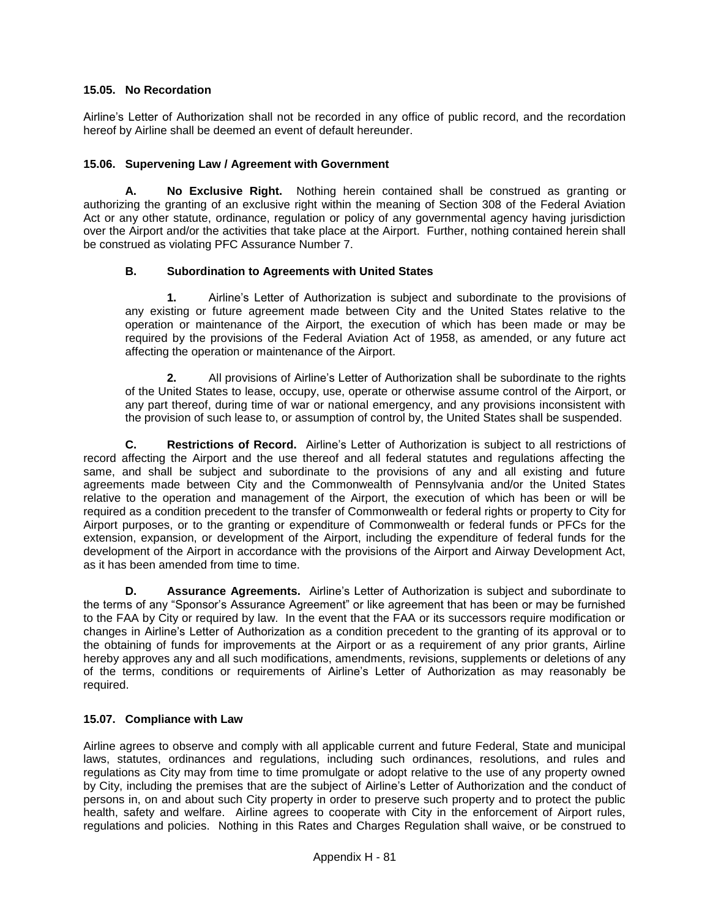## **15.05. No Recordation**

Airline's Letter of Authorization shall not be recorded in any office of public record, and the recordation hereof by Airline shall be deemed an event of default hereunder.

### **15.06. Supervening Law / Agreement with Government**

**A. No Exclusive Right.** Nothing herein contained shall be construed as granting or authorizing the granting of an exclusive right within the meaning of Section 308 of the Federal Aviation Act or any other statute, ordinance, regulation or policy of any governmental agency having jurisdiction over the Airport and/or the activities that take place at the Airport. Further, nothing contained herein shall be construed as violating PFC Assurance Number 7.

### **B. Subordination to Agreements with United States**

**1.** Airline's Letter of Authorization is subject and subordinate to the provisions of any existing or future agreement made between City and the United States relative to the operation or maintenance of the Airport, the execution of which has been made or may be required by the provisions of the Federal Aviation Act of 1958, as amended, or any future act affecting the operation or maintenance of the Airport.

**2.** All provisions of Airline's Letter of Authorization shall be subordinate to the rights of the United States to lease, occupy, use, operate or otherwise assume control of the Airport, or any part thereof, during time of war or national emergency, and any provisions inconsistent with the provision of such lease to, or assumption of control by, the United States shall be suspended.

**C. Restrictions of Record.** Airline's Letter of Authorization is subject to all restrictions of record affecting the Airport and the use thereof and all federal statutes and regulations affecting the same, and shall be subject and subordinate to the provisions of any and all existing and future agreements made between City and the Commonwealth of Pennsylvania and/or the United States relative to the operation and management of the Airport, the execution of which has been or will be required as a condition precedent to the transfer of Commonwealth or federal rights or property to City for Airport purposes, or to the granting or expenditure of Commonwealth or federal funds or PFCs for the extension, expansion, or development of the Airport, including the expenditure of federal funds for the development of the Airport in accordance with the provisions of the Airport and Airway Development Act, as it has been amended from time to time.

**D. Assurance Agreements.** Airline's Letter of Authorization is subject and subordinate to the terms of any "Sponsor's Assurance Agreement" or like agreement that has been or may be furnished to the FAA by City or required by law. In the event that the FAA or its successors require modification or changes in Airline's Letter of Authorization as a condition precedent to the granting of its approval or to the obtaining of funds for improvements at the Airport or as a requirement of any prior grants, Airline hereby approves any and all such modifications, amendments, revisions, supplements or deletions of any of the terms, conditions or requirements of Airline's Letter of Authorization as may reasonably be required.

## **15.07. Compliance with Law**

Airline agrees to observe and comply with all applicable current and future Federal, State and municipal laws, statutes, ordinances and regulations, including such ordinances, resolutions, and rules and regulations as City may from time to time promulgate or adopt relative to the use of any property owned by City, including the premises that are the subject of Airline's Letter of Authorization and the conduct of persons in, on and about such City property in order to preserve such property and to protect the public health, safety and welfare. Airline agrees to cooperate with City in the enforcement of Airport rules, regulations and policies. Nothing in this Rates and Charges Regulation shall waive, or be construed to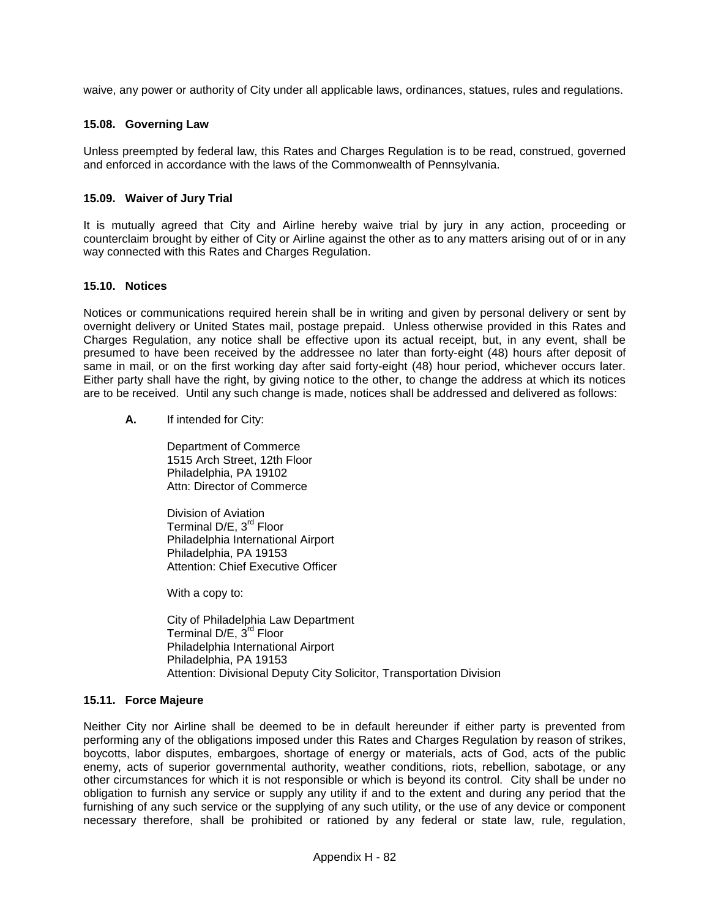waive, any power or authority of City under all applicable laws, ordinances, statues, rules and regulations.

### **15.08. Governing Law**

Unless preempted by federal law, this Rates and Charges Regulation is to be read, construed, governed and enforced in accordance with the laws of the Commonwealth of Pennsylvania.

### **15.09. Waiver of Jury Trial**

It is mutually agreed that City and Airline hereby waive trial by jury in any action, proceeding or counterclaim brought by either of City or Airline against the other as to any matters arising out of or in any way connected with this Rates and Charges Regulation.

#### **15.10. Notices**

Notices or communications required herein shall be in writing and given by personal delivery or sent by overnight delivery or United States mail, postage prepaid. Unless otherwise provided in this Rates and Charges Regulation, any notice shall be effective upon its actual receipt, but, in any event, shall be presumed to have been received by the addressee no later than forty-eight (48) hours after deposit of same in mail, or on the first working day after said forty-eight (48) hour period, whichever occurs later. Either party shall have the right, by giving notice to the other, to change the address at which its notices are to be received. Until any such change is made, notices shall be addressed and delivered as follows:

**A.** If intended for City:

Department of Commerce 1515 Arch Street, 12th Floor Philadelphia, PA 19102 Attn: Director of Commerce

Division of Aviation Terminal D/E, 3<sup>rd</sup> Floor Philadelphia International Airport Philadelphia, PA 19153 Attention: Chief Executive Officer

With a copy to:

City of Philadelphia Law Department Terminal D/E, 3<sup>rd</sup> Floor Philadelphia International Airport Philadelphia, PA 19153 Attention: Divisional Deputy City Solicitor, Transportation Division

#### **15.11. Force Majeure**

Neither City nor Airline shall be deemed to be in default hereunder if either party is prevented from performing any of the obligations imposed under this Rates and Charges Regulation by reason of strikes, boycotts, labor disputes, embargoes, shortage of energy or materials, acts of God, acts of the public enemy, acts of superior governmental authority, weather conditions, riots, rebellion, sabotage, or any other circumstances for which it is not responsible or which is beyond its control. City shall be under no obligation to furnish any service or supply any utility if and to the extent and during any period that the furnishing of any such service or the supplying of any such utility, or the use of any device or component necessary therefore, shall be prohibited or rationed by any federal or state law, rule, regulation,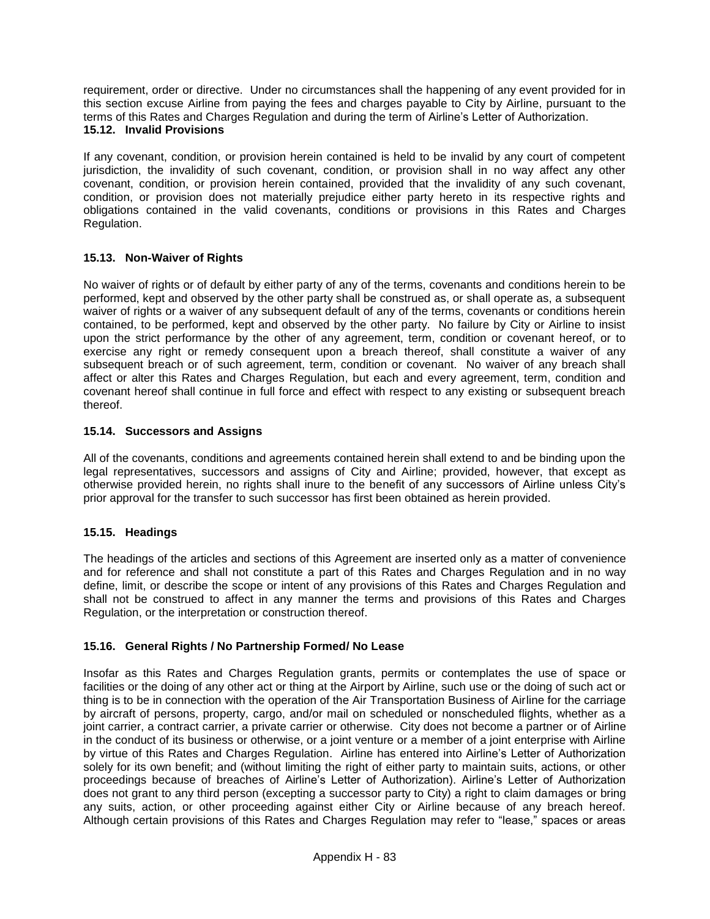requirement, order or directive. Under no circumstances shall the happening of any event provided for in this section excuse Airline from paying the fees and charges payable to City by Airline, pursuant to the terms of this Rates and Charges Regulation and during the term of Airline's Letter of Authorization. **15.12. Invalid Provisions**

If any covenant, condition, or provision herein contained is held to be invalid by any court of competent jurisdiction, the invalidity of such covenant, condition, or provision shall in no way affect any other covenant, condition, or provision herein contained, provided that the invalidity of any such covenant, condition, or provision does not materially prejudice either party hereto in its respective rights and obligations contained in the valid covenants, conditions or provisions in this Rates and Charges Regulation.

# **15.13. Non-Waiver of Rights**

No waiver of rights or of default by either party of any of the terms, covenants and conditions herein to be performed, kept and observed by the other party shall be construed as, or shall operate as, a subsequent waiver of rights or a waiver of any subsequent default of any of the terms, covenants or conditions herein contained, to be performed, kept and observed by the other party. No failure by City or Airline to insist upon the strict performance by the other of any agreement, term, condition or covenant hereof, or to exercise any right or remedy consequent upon a breach thereof, shall constitute a waiver of any subsequent breach or of such agreement, term, condition or covenant. No waiver of any breach shall affect or alter this Rates and Charges Regulation, but each and every agreement, term, condition and covenant hereof shall continue in full force and effect with respect to any existing or subsequent breach thereof.

## **15.14. Successors and Assigns**

All of the covenants, conditions and agreements contained herein shall extend to and be binding upon the legal representatives, successors and assigns of City and Airline; provided, however, that except as otherwise provided herein, no rights shall inure to the benefit of any successors of Airline unless City's prior approval for the transfer to such successor has first been obtained as herein provided.

## **15.15. Headings**

The headings of the articles and sections of this Agreement are inserted only as a matter of convenience and for reference and shall not constitute a part of this Rates and Charges Regulation and in no way define, limit, or describe the scope or intent of any provisions of this Rates and Charges Regulation and shall not be construed to affect in any manner the terms and provisions of this Rates and Charges Regulation, or the interpretation or construction thereof.

## **15.16. General Rights / No Partnership Formed/ No Lease**

Insofar as this Rates and Charges Regulation grants, permits or contemplates the use of space or facilities or the doing of any other act or thing at the Airport by Airline, such use or the doing of such act or thing is to be in connection with the operation of the Air Transportation Business of Airline for the carriage by aircraft of persons, property, cargo, and/or mail on scheduled or nonscheduled flights, whether as a joint carrier, a contract carrier, a private carrier or otherwise. City does not become a partner or of Airline in the conduct of its business or otherwise, or a joint venture or a member of a joint enterprise with Airline by virtue of this Rates and Charges Regulation. Airline has entered into Airline's Letter of Authorization solely for its own benefit; and (without limiting the right of either party to maintain suits, actions, or other proceedings because of breaches of Airline's Letter of Authorization). Airline's Letter of Authorization does not grant to any third person (excepting a successor party to City) a right to claim damages or bring any suits, action, or other proceeding against either City or Airline because of any breach hereof. Although certain provisions of this Rates and Charges Regulation may refer to "lease," spaces or areas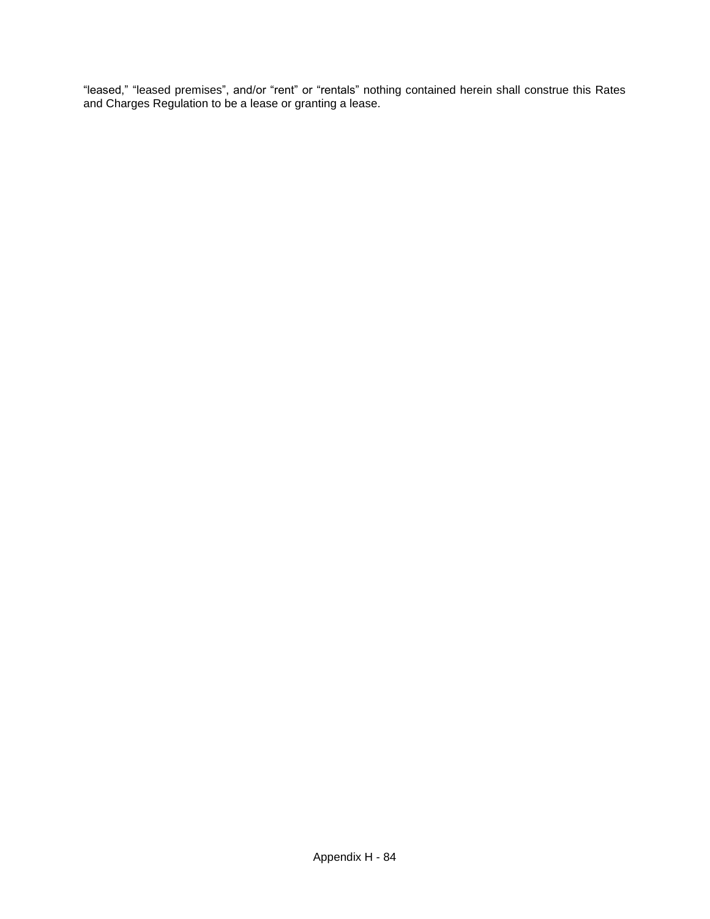"leased," "leased premises", and/or "rent" or "rentals" nothing contained herein shall construe this Rates and Charges Regulation to be a lease or granting a lease.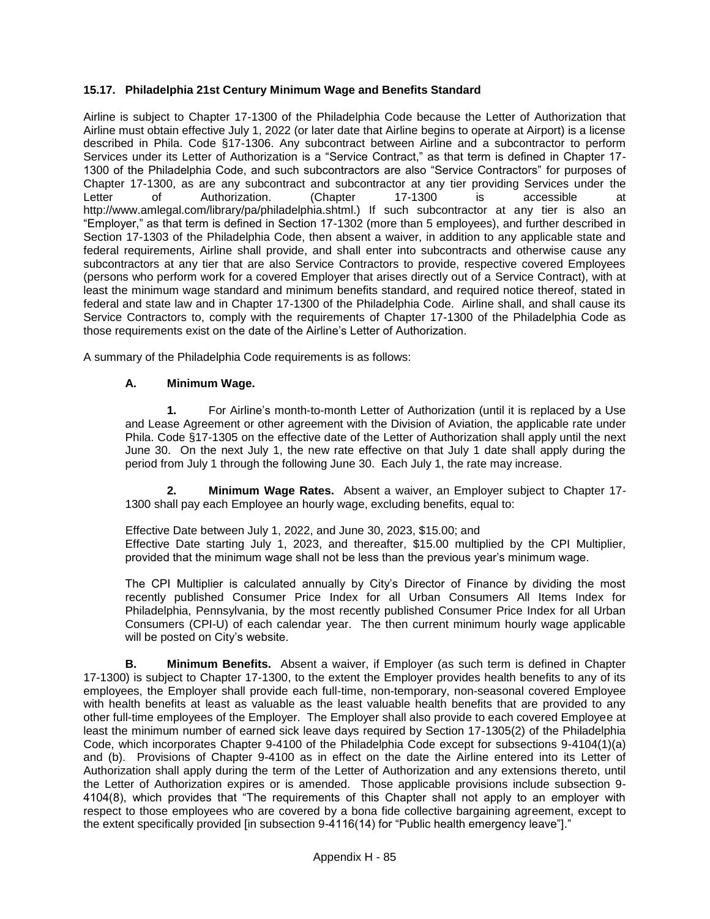# **15.17. Philadelphia 21st Century Minimum Wage and Benefits Standard**

Airline is subject to Chapter 17-1300 of the Philadelphia Code because the Letter of Authorization that Airline must obtain effective July 1, 2022 (or later date that Airline begins to operate at Airport) is a license described in Phila. Code §17-1306. Any subcontract between Airline and a subcontractor to perform Services under its Letter of Authorization is a "Service Contract," as that term is defined in Chapter 17- 1300 of the Philadelphia Code, and such subcontractors are also "Service Contractors" for purposes of Chapter 17-1300, as are any subcontract and subcontractor at any tier providing Services under the Letter of Authorization. (Chapter 17-1300 is accessible at http://www.amlegal.com/library/pa/philadelphia.shtml.) If such subcontractor at any tier is also an "Employer," as that term is defined in Section 17-1302 (more than 5 employees), and further described in Section 17-1303 of the Philadelphia Code, then absent a waiver, in addition to any applicable state and federal requirements, Airline shall provide, and shall enter into subcontracts and otherwise cause any subcontractors at any tier that are also Service Contractors to provide, respective covered Employees (persons who perform work for a covered Employer that arises directly out of a Service Contract), with at least the minimum wage standard and minimum benefits standard, and required notice thereof, stated in federal and state law and in Chapter 17-1300 of the Philadelphia Code. Airline shall, and shall cause its Service Contractors to, comply with the requirements of Chapter 17-1300 of the Philadelphia Code as those requirements exist on the date of the Airline's Letter of Authorization.

A summary of the Philadelphia Code requirements is as follows:

## **A. Minimum Wage.**

**1.** For Airline's month-to-month Letter of Authorization (until it is replaced by a Use and Lease Agreement or other agreement with the Division of Aviation, the applicable rate under Phila. Code §17-1305 on the effective date of the Letter of Authorization shall apply until the next June 30. On the next July 1, the new rate effective on that July 1 date shall apply during the period from July 1 through the following June 30. Each July 1, the rate may increase.

**2. Minimum Wage Rates.** Absent a waiver, an Employer subject to Chapter 17- 1300 shall pay each Employee an hourly wage, excluding benefits, equal to:

Effective Date between July 1, 2022, and June 30, 2023, \$15.00; and

Effective Date starting July 1, 2023, and thereafter, \$15.00 multiplied by the CPI Multiplier, provided that the minimum wage shall not be less than the previous year's minimum wage.

The CPI Multiplier is calculated annually by City's Director of Finance by dividing the most recently published Consumer Price Index for all Urban Consumers All Items Index for Philadelphia, Pennsylvania, by the most recently published Consumer Price Index for all Urban Consumers (CPI-U) of each calendar year. The then current minimum hourly wage applicable will be posted on City's website.

**B. Minimum Benefits.** Absent a waiver, if Employer (as such term is defined in Chapter 17-1300) is subject to Chapter 17-1300, to the extent the Employer provides health benefits to any of its employees, the Employer shall provide each full-time, non-temporary, non-seasonal covered Employee with health benefits at least as valuable as the least valuable health benefits that are provided to any other full-time employees of the Employer. The Employer shall also provide to each covered Employee at least the minimum number of earned sick leave days required by Section 17-1305(2) of the Philadelphia Code, which incorporates Chapter 9-4100 of the Philadelphia Code except for subsections 9-4104(1)(a) and (b). Provisions of Chapter 9-4100 as in effect on the date the Airline entered into its Letter of Authorization shall apply during the term of the Letter of Authorization and any extensions thereto, until the Letter of Authorization expires or is amended. Those applicable provisions include subsection 9- 4104(8), which provides that "The requirements of this Chapter shall not apply to an employer with respect to those employees who are covered by a bona fide collective bargaining agreement, except to the extent specifically provided [in subsection 9-4116(14) for "Public health emergency leave"]."